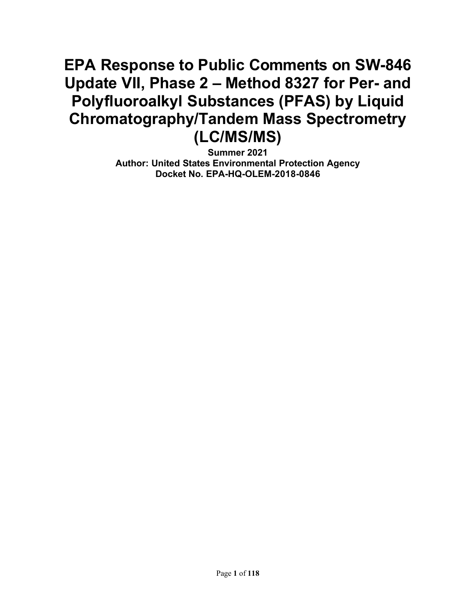# **EPA Response to Public Comments on SW-846 Update VII, Phase 2 – Method 8327 for Per- and Polyfluoroalkyl Substances (PFAS) by Liquid Chromatography/Tandem Mass Spectrometry (LC/MS/MS)**

**Summer 2021 Author: United States Environmental Protection Agency Docket No. EPA-HQ-OLEM-2018-0846**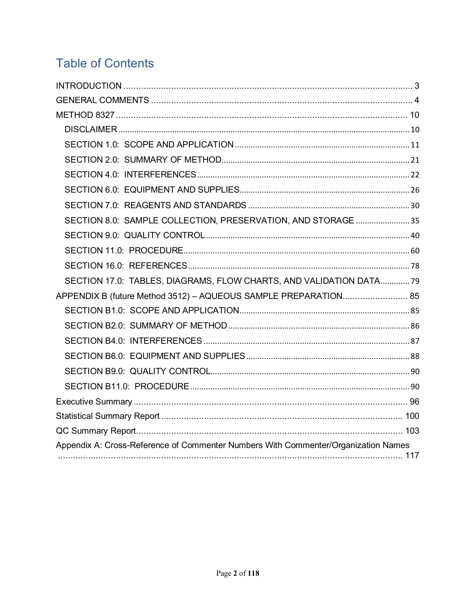# **Table of Contents**

| SECTION 8.0: SAMPLE COLLECTION, PRESERVATION, AND STORAGE  35                      |  |  |  |
|------------------------------------------------------------------------------------|--|--|--|
|                                                                                    |  |  |  |
|                                                                                    |  |  |  |
|                                                                                    |  |  |  |
| SECTION 17.0: TABLES, DIAGRAMS, FLOW CHARTS, AND VALIDATION DATA79                 |  |  |  |
| APPENDIX B (future Method 3512) - AQUEOUS SAMPLE PREPARATION 85                    |  |  |  |
|                                                                                    |  |  |  |
|                                                                                    |  |  |  |
|                                                                                    |  |  |  |
|                                                                                    |  |  |  |
|                                                                                    |  |  |  |
|                                                                                    |  |  |  |
|                                                                                    |  |  |  |
|                                                                                    |  |  |  |
|                                                                                    |  |  |  |
| Appendix A: Cross-Reference of Commenter Numbers With Commenter/Organization Names |  |  |  |
|                                                                                    |  |  |  |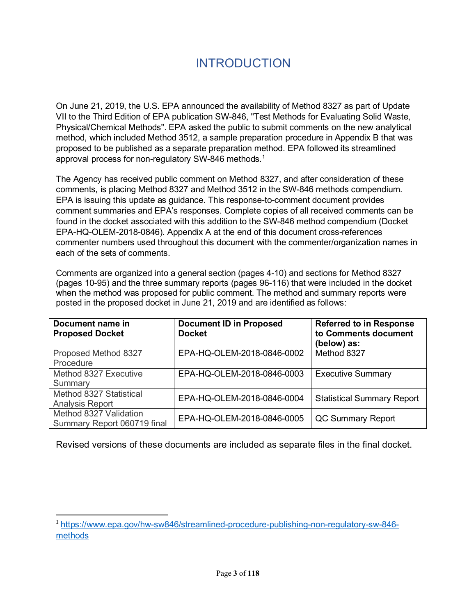# INTRODUCTION

<span id="page-2-0"></span>On June 21, 2019, the U.S. EPA announced the availability of Method 8327 as part of Update VII to the Third Edition of EPA publication SW-846, "Test Methods for Evaluating Solid Waste, Physical/Chemical Methods". EPA asked the public to submit comments on the new analytical method, which included Method 3512, a sample preparation procedure in Appendix B that was proposed to be published as a separate preparation method. EPA followed its streamlined approval process for non-regulatory SW-846 methods.<sup>[1](#page-2-1)</sup>

The Agency has received public comment on Method 8327, and after consideration of these comments, is placing Method 8327 and Method 3512 in the SW-846 methods compendium. EPA is issuing this update as guidance. This response-to-comment document provides comment summaries and EPA's responses. Complete copies of all received comments can be found in the docket associated with this addition to the SW-846 method compendium (Docket EPA-HQ-OLEM-2018-0846). Appendix A at the end of this document cross-references commenter numbers used throughout this document with the commenter/organization names in each of the sets of comments.

Comments are organized into a general section (pages 4-10) and sections for Method 8327 (pages 10-95) and the three summary reports (pages 96-116) that were included in the docket when the method was proposed for public comment. The method and summary reports were posted in the proposed docket in June 21, 2019 and are identified as follows:

| Document name in<br><b>Proposed Docket</b>            | <b>Document ID in Proposed</b><br><b>Docket</b> | <b>Referred to in Response</b><br>to Comments document<br>(below) as: |
|-------------------------------------------------------|-------------------------------------------------|-----------------------------------------------------------------------|
| Proposed Method 8327<br>Procedure                     | EPA-HQ-OLEM-2018-0846-0002                      | Method 8327                                                           |
| Method 8327 Executive<br>Summary                      | EPA-HQ-OLEM-2018-0846-0003                      | <b>Executive Summary</b>                                              |
| Method 8327 Statistical<br><b>Analysis Report</b>     | EPA-HQ-OLEM-2018-0846-0004                      | <b>Statistical Summary Report</b>                                     |
| Method 8327 Validation<br>Summary Report 060719 final | EPA-HQ-OLEM-2018-0846-0005                      | QC Summary Report                                                     |

Revised versions of these documents are included as separate files in the final docket.

<span id="page-2-1"></span><sup>1</sup> [https://www.epa.gov/hw-sw846/streamlined-procedure-publishing-non-regulatory-sw-846](https://www.epa.gov/hw-sw846/streamlined-procedure-publishing-non-regulatory-sw-846-methods) [methods](https://www.epa.gov/hw-sw846/streamlined-procedure-publishing-non-regulatory-sw-846-methods)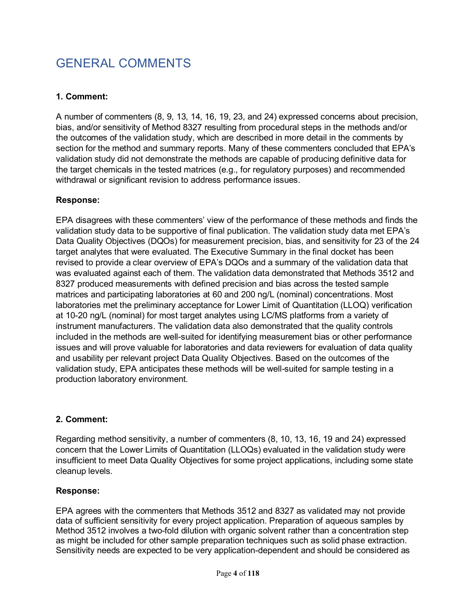# <span id="page-3-0"></span>GENERAL COMMENTS

## **1. Comment:**

A number of commenters (8, 9, 13, 14, 16, 19, 23, and 24) expressed concerns about precision, bias, and/or sensitivity of Method 8327 resulting from procedural steps in the methods and/or the outcomes of the validation study, which are described in more detail in the comments by section for the method and summary reports. Many of these commenters concluded that EPA's validation study did not demonstrate the methods are capable of producing definitive data for the target chemicals in the tested matrices (e.g., for regulatory purposes) and recommended withdrawal or significant revision to address performance issues.

#### **Response:**

EPA disagrees with these commenters' view of the performance of these methods and finds the validation study data to be supportive of final publication. The validation study data met EPA's Data Quality Objectives (DQOs) for measurement precision, bias, and sensitivity for 23 of the 24 target analytes that were evaluated. The Executive Summary in the final docket has been revised to provide a clear overview of EPA's DQOs and a summary of the validation data that was evaluated against each of them. The validation data demonstrated that Methods 3512 and 8327 produced measurements with defined precision and bias across the tested sample matrices and participating laboratories at 60 and 200 ng/L (nominal) concentrations. Most laboratories met the preliminary acceptance for Lower Limit of Quantitation (LLOQ) verification at 10-20 ng/L (nominal) for most target analytes using LC/MS platforms from a variety of instrument manufacturers. The validation data also demonstrated that the quality controls included in the methods are well-suited for identifying measurement bias or other performance issues and will prove valuable for laboratories and data reviewers for evaluation of data quality and usability per relevant project Data Quality Objectives. Based on the outcomes of the validation study, EPA anticipates these methods will be well-suited for sample testing in a production laboratory environment.

#### **2. Comment:**

Regarding method sensitivity, a number of commenters (8, 10, 13, 16, 19 and 24) expressed concern that the Lower Limits of Quantitation (LLOQs) evaluated in the validation study were insufficient to meet Data Quality Objectives for some project applications, including some state cleanup levels.

#### **Response:**

EPA agrees with the commenters that Methods 3512 and 8327 as validated may not provide data of sufficient sensitivity for every project application. Preparation of aqueous samples by Method 3512 involves a two-fold dilution with organic solvent rather than a concentration step as might be included for other sample preparation techniques such as solid phase extraction. Sensitivity needs are expected to be very application-dependent and should be considered as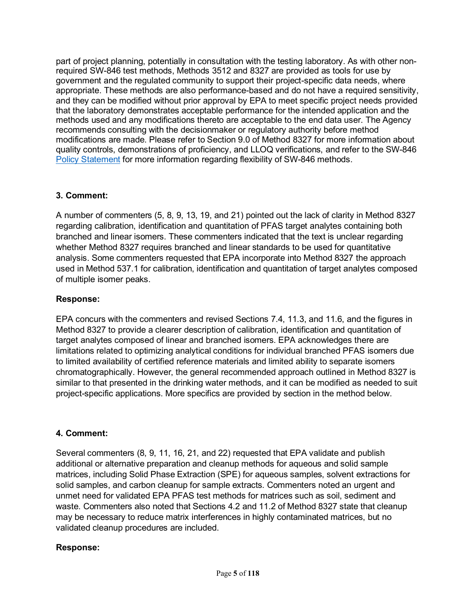part of project planning, potentially in consultation with the testing laboratory. As with other nonrequired SW-846 test methods, Methods 3512 and 8327 are provided as tools for use by government and the regulated community to support their project-specific data needs, where appropriate. These methods are also performance-based and do not have a required sensitivity, and they can be modified without prior approval by EPA to meet specific project needs provided that the laboratory demonstrates acceptable performance for the intended application and the methods used and any modifications thereto are acceptable to the end data user. The Agency recommends consulting with the decisionmaker or regulatory authority before method modifications are made. Please refer to Section 9.0 of Method 8327 for more information about quality controls, demonstrations of proficiency, and LLOQ verifications, and refer to the SW-846 [Policy Statement](https://www.epa.gov/hw-sw846/policy-statement-about-test-methods-evaluating-solid-waste-physicalchemical-methods) for more information regarding flexibility of SW-846 methods.

## **3. Comment:**

A number of commenters (5, 8, 9, 13, 19, and 21) pointed out the lack of clarity in Method 8327 regarding calibration, identification and quantitation of PFAS target analytes containing both branched and linear isomers. These commenters indicated that the text is unclear regarding whether Method 8327 requires branched and linear standards to be used for quantitative analysis. Some commenters requested that EPA incorporate into Method 8327 the approach used in Method 537.1 for calibration, identification and quantitation of target analytes composed of multiple isomer peaks.

## **Response:**

EPA concurs with the commenters and revised Sections 7.4, 11.3, and 11.6, and the figures in Method 8327 to provide a clearer description of calibration, identification and quantitation of target analytes composed of linear and branched isomers. EPA acknowledges there are limitations related to optimizing analytical conditions for individual branched PFAS isomers due to limited availability of certified reference materials and limited ability to separate isomers chromatographically. However, the general recommended approach outlined in Method 8327 is similar to that presented in the drinking water methods, and it can be modified as needed to suit project-specific applications. More specifics are provided by section in the method below.

#### **4. Comment:**

Several commenters (8, 9, 11, 16, 21, and 22) requested that EPA validate and publish additional or alternative preparation and cleanup methods for aqueous and solid sample matrices, including Solid Phase Extraction (SPE) for aqueous samples, solvent extractions for solid samples, and carbon cleanup for sample extracts. Commenters noted an urgent and unmet need for validated EPA PFAS test methods for matrices such as soil, sediment and waste. Commenters also noted that Sections 4.2 and 11.2 of Method 8327 state that cleanup may be necessary to reduce matrix interferences in highly contaminated matrices, but no validated cleanup procedures are included.

#### **Response:**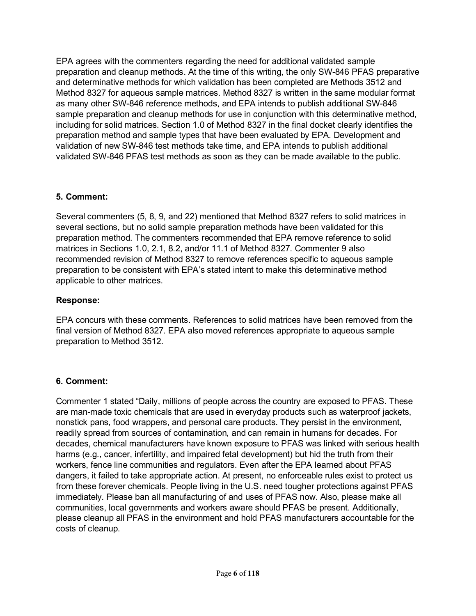EPA agrees with the commenters regarding the need for additional validated sample preparation and cleanup methods. At the time of this writing, the only SW-846 PFAS preparative and determinative methods for which validation has been completed are Methods 3512 and Method 8327 for aqueous sample matrices. Method 8327 is written in the same modular format as many other SW-846 reference methods, and EPA intends to publish additional SW-846 sample preparation and cleanup methods for use in conjunction with this determinative method, including for solid matrices. Section 1.0 of Method 8327 in the final docket clearly identifies the preparation method and sample types that have been evaluated by EPA. Development and validation of new SW-846 test methods take time, and EPA intends to publish additional validated SW-846 PFAS test methods as soon as they can be made available to the public.

## **5. Comment:**

Several commenters (5, 8, 9, and 22) mentioned that Method 8327 refers to solid matrices in several sections, but no solid sample preparation methods have been validated for this preparation method. The commenters recommended that EPA remove reference to solid matrices in Sections 1.0, 2.1, 8.2, and/or 11.1 of Method 8327. Commenter 9 also recommended revision of Method 8327 to remove references specific to aqueous sample preparation to be consistent with EPA's stated intent to make this determinative method applicable to other matrices.

## **Response:**

EPA concurs with these comments. References to solid matrices have been removed from the final version of Method 8327. EPA also moved references appropriate to aqueous sample preparation to Method 3512.

## **6. Comment:**

Commenter 1 stated "Daily, millions of people across the country are exposed to PFAS. These are man-made toxic chemicals that are used in everyday products such as waterproof jackets, nonstick pans, food wrappers, and personal care products. They persist in the environment, readily spread from sources of contamination, and can remain in humans for decades. For decades, chemical manufacturers have known exposure to PFAS was linked with serious health harms (e.g., cancer, infertility, and impaired fetal development) but hid the truth from their workers, fence line communities and regulators. Even after the EPA learned about PFAS dangers, it failed to take appropriate action. At present, no enforceable rules exist to protect us from these forever chemicals. People living in the U.S. need tougher protections against PFAS immediately. Please ban all manufacturing of and uses of PFAS now. Also, please make all communities, local governments and workers aware should PFAS be present. Additionally, please cleanup all PFAS in the environment and hold PFAS manufacturers accountable for the costs of cleanup.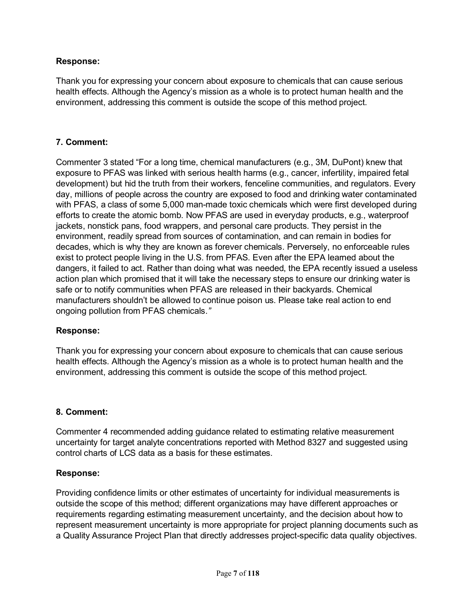#### **Response:**

Thank you for expressing your concern about exposure to chemicals that can cause serious health effects. Although the Agency's mission as a whole is to protect human health and the environment, addressing this comment is outside the scope of this method project.

#### **7. Comment:**

Commenter 3 stated "For a long time, chemical manufacturers (e.g., 3M, DuPont) knew that exposure to PFAS was linked with serious health harms (e.g., cancer, infertility, impaired fetal development) but hid the truth from their workers, fenceline communities, and regulators. Every day, millions of people across the country are exposed to food and drinking water contaminated with PFAS, a class of some 5,000 man-made toxic chemicals which were first developed during efforts to create the atomic bomb. Now PFAS are used in everyday products, e.g., waterproof jackets, nonstick pans, food wrappers, and personal care products. They persist in the environment, readily spread from sources of contamination, and can remain in bodies for decades, which is why they are known as forever chemicals. Perversely, no enforceable rules exist to protect people living in the U.S. from PFAS. Even after the EPA learned about the dangers, it failed to act. Rather than doing what was needed, the EPA recently issued a useless action plan which promised that it will take the necessary steps to ensure our drinking water is safe or to notify communities when PFAS are released in their backyards. Chemical manufacturers shouldn't be allowed to continue poison us. Please take real action to end ongoing pollution from PFAS chemicals.*"*

#### **Response:**

Thank you for expressing your concern about exposure to chemicals that can cause serious health effects. Although the Agency's mission as a whole is to protect human health and the environment, addressing this comment is outside the scope of this method project.

#### **8. Comment:**

Commenter 4 recommended adding guidance related to estimating relative measurement uncertainty for target analyte concentrations reported with Method 8327 and suggested using control charts of LCS data as a basis for these estimates.

#### **Response:**

Providing confidence limits or other estimates of uncertainty for individual measurements is outside the scope of this method; different organizations may have different approaches or requirements regarding estimating measurement uncertainty, and the decision about how to represent measurement uncertainty is more appropriate for project planning documents such as a Quality Assurance Project Plan that directly addresses project-specific data quality objectives.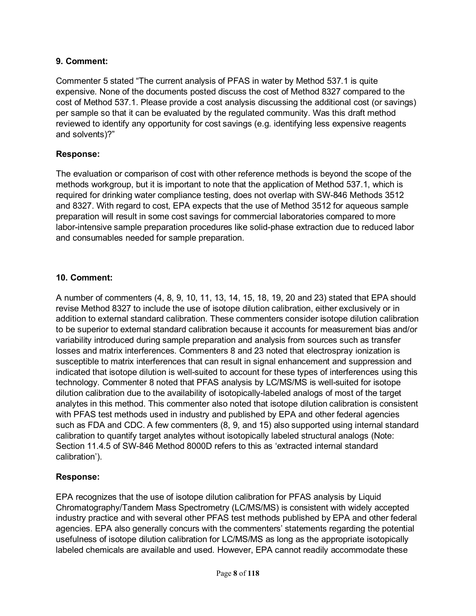Commenter 5 stated "The current analysis of PFAS in water by Method 537.1 is quite expensive. None of the documents posted discuss the cost of Method 8327 compared to the cost of Method 537.1. Please provide a cost analysis discussing the additional cost (or savings) per sample so that it can be evaluated by the regulated community. Was this draft method reviewed to identify any opportunity for cost savings (e.g. identifying less expensive reagents and solvents)?"

## **Response:**

The evaluation or comparison of cost with other reference methods is beyond the scope of the methods workgroup, but it is important to note that the application of Method 537.1, which is required for drinking water compliance testing, does not overlap with SW-846 Methods 3512 and 8327. With regard to cost, EPA expects that the use of Method 3512 for aqueous sample preparation will result in some cost savings for commercial laboratories compared to more labor-intensive sample preparation procedures like solid-phase extraction due to reduced labor and consumables needed for sample preparation.

## **10. Comment:**

A number of commenters (4, 8, 9, 10, 11, 13, 14, 15, 18, 19, 20 and 23) stated that EPA should revise Method 8327 to include the use of isotope dilution calibration, either exclusively or in addition to external standard calibration. These commenters consider isotope dilution calibration to be superior to external standard calibration because it accounts for measurement bias and/or variability introduced during sample preparation and analysis from sources such as transfer losses and matrix interferences. Commenters 8 and 23 noted that electrospray ionization is susceptible to matrix interferences that can result in signal enhancement and suppression and indicated that isotope dilution is well-suited to account for these types of interferences using this technology. Commenter 8 noted that PFAS analysis by LC/MS/MS is well-suited for isotope dilution calibration due to the availability of isotopically-labeled analogs of most of the target analytes in this method. This commenter also noted that isotope dilution calibration is consistent with PFAS test methods used in industry and published by EPA and other federal agencies such as FDA and CDC. A few commenters (8, 9, and 15) also supported using internal standard calibration to quantify target analytes without isotopically labeled structural analogs (Note: Section 11.4.5 of SW-846 Method 8000D refers to this as 'extracted internal standard calibration').

## **Response:**

EPA recognizes that the use of isotope dilution calibration for PFAS analysis by Liquid Chromatography/Tandem Mass Spectrometry (LC/MS/MS) is consistent with widely accepted industry practice and with several other PFAS test methods published by EPA and other federal agencies. EPA also generally concurs with the commenters' statements regarding the potential usefulness of isotope dilution calibration for LC/MS/MS as long as the appropriate isotopically labeled chemicals are available and used. However, EPA cannot readily accommodate these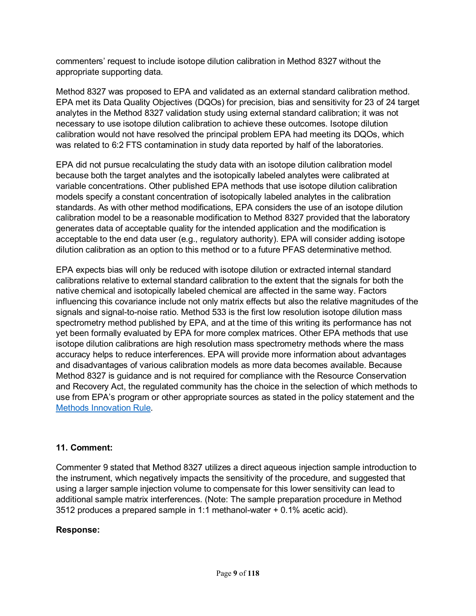commenters' request to include isotope dilution calibration in Method 8327 without the appropriate supporting data.

Method 8327 was proposed to EPA and validated as an external standard calibration method. EPA met its Data Quality Objectives (DQOs) for precision, bias and sensitivity for 23 of 24 target analytes in the Method 8327 validation study using external standard calibration; it was not necessary to use isotope dilution calibration to achieve these outcomes. Isotope dilution calibration would not have resolved the principal problem EPA had meeting its DQOs, which was related to 6:2 FTS contamination in study data reported by half of the laboratories.

EPA did not pursue recalculating the study data with an isotope dilution calibration model because both the target analytes and the isotopically labeled analytes were calibrated at variable concentrations. Other published EPA methods that use isotope dilution calibration models specify a constant concentration of isotopically labeled analytes in the calibration standards. As with other method modifications, EPA considers the use of an isotope dilution calibration model to be a reasonable modification to Method 8327 provided that the laboratory generates data of acceptable quality for the intended application and the modification is acceptable to the end data user (e.g., regulatory authority). EPA will consider adding isotope dilution calibration as an option to this method or to a future PFAS determinative method.

EPA expects bias will only be reduced with isotope dilution or extracted internal standard calibrations relative to external standard calibration to the extent that the signals for both the native chemical and isotopically labeled chemical are affected in the same way. Factors influencing this covariance include not only matrix effects but also the relative magnitudes of the signals and signal-to-noise ratio. Method 533 is the first low resolution isotope dilution mass spectrometry method published by EPA, and at the time of this writing its performance has not yet been formally evaluated by EPA for more complex matrices. Other EPA methods that use isotope dilution calibrations are high resolution mass spectrometry methods where the mass accuracy helps to reduce interferences. EPA will provide more information about advantages and disadvantages of various calibration models as more data becomes available. Because Method 8327 is guidance and is not required for compliance with the Resource Conservation and Recovery Act, the regulated community has the choice in the selection of which methods to use from EPA's program or other appropriate sources as stated in the policy statement and the [Methods Innovation Rule.](https://www.epa.gov/hw-sw846/final-rule-methods-innovation-rule-mir)

#### **11. Comment:**

Commenter 9 stated that Method 8327 utilizes a direct aqueous injection sample introduction to the instrument, which negatively impacts the sensitivity of the procedure, and suggested that using a larger sample injection volume to compensate for this lower sensitivity can lead to additional sample matrix interferences. (Note: The sample preparation procedure in Method 3512 produces a prepared sample in 1:1 methanol-water + 0.1% acetic acid).

#### **Response:**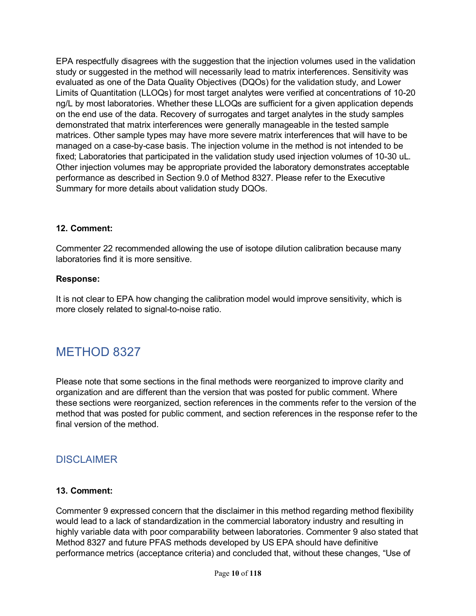EPA respectfully disagrees with the suggestion that the injection volumes used in the validation study or suggested in the method will necessarily lead to matrix interferences. Sensitivity was evaluated as one of the Data Quality Objectives (DQOs) for the validation study, and Lower Limits of Quantitation (LLOQs) for most target analytes were verified at concentrations of 10-20 ng/L by most laboratories. Whether these LLOQs are sufficient for a given application depends on the end use of the data. Recovery of surrogates and target analytes in the study samples demonstrated that matrix interferences were generally manageable in the tested sample matrices. Other sample types may have more severe matrix interferences that will have to be managed on a case-by-case basis. The injection volume in the method is not intended to be fixed; Laboratories that participated in the validation study used injection volumes of 10-30 uL. Other injection volumes may be appropriate provided the laboratory demonstrates acceptable performance as described in Section 9.0 of Method 8327. Please refer to the Executive Summary for more details about validation study DQOs.

#### **12. Comment:**

Commenter 22 recommended allowing the use of isotope dilution calibration because many laboratories find it is more sensitive.

#### **Response:**

It is not clear to EPA how changing the calibration model would improve sensitivity, which is more closely related to signal-to-noise ratio.

# <span id="page-9-0"></span>METHOD 8327

Please note that some sections in the final methods were reorganized to improve clarity and organization and are different than the version that was posted for public comment. Where these sections were reorganized, section references in the comments refer to the version of the method that was posted for public comment, and section references in the response refer to the final version of the method.

## <span id="page-9-1"></span>DISCLAIMER

#### **13. Comment:**

Commenter 9 expressed concern that the disclaimer in this method regarding method flexibility would lead to a lack of standardization in the commercial laboratory industry and resulting in highly variable data with poor comparability between laboratories. Commenter 9 also stated that Method 8327 and future PFAS methods developed by US EPA should have definitive performance metrics (acceptance criteria) and concluded that, without these changes, "Use of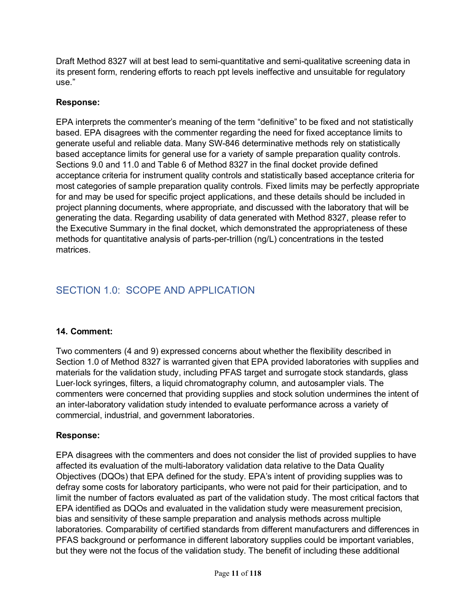Draft Method 8327 will at best lead to semi-quantitative and semi-qualitative screening data in its present form, rendering efforts to reach ppt levels ineffective and unsuitable for regulatory use."

## **Response:**

EPA interprets the commenter's meaning of the term "definitive" to be fixed and not statistically based. EPA disagrees with the commenter regarding the need for fixed acceptance limits to generate useful and reliable data. Many SW-846 determinative methods rely on statistically based acceptance limits for general use for a variety of sample preparation quality controls. Sections 9.0 and 11.0 and Table 6 of Method 8327 in the final docket provide defined acceptance criteria for instrument quality controls and statistically based acceptance criteria for most categories of sample preparation quality controls. Fixed limits may be perfectly appropriate for and may be used for specific project applications, and these details should be included in project planning documents, where appropriate, and discussed with the laboratory that will be generating the data. Regarding usability of data generated with Method 8327, please refer to the Executive Summary in the final docket, which demonstrated the appropriateness of these methods for quantitative analysis of parts-per-trillion (ng/L) concentrations in the tested matrices.

# <span id="page-10-0"></span>SECTION 1.0: SCOPE AND APPLICATION

## **14. Comment:**

Two commenters (4 and 9) expressed concerns about whether the flexibility described in Section 1.0 of Method 8327 is warranted given that EPA provided laboratories with supplies and materials for the validation study, including PFAS target and surrogate stock standards, glass Luer‐lock syringes, filters, a liquid chromatography column, and autosampler vials. The commenters were concerned that providing supplies and stock solution undermines the intent of an inter-laboratory validation study intended to evaluate performance across a variety of commercial, industrial, and government laboratories.

#### **Response:**

EPA disagrees with the commenters and does not consider the list of provided supplies to have affected its evaluation of the multi-laboratory validation data relative to the Data Quality Objectives (DQOs) that EPA defined for the study. EPA's intent of providing supplies was to defray some costs for laboratory participants, who were not paid for their participation, and to limit the number of factors evaluated as part of the validation study. The most critical factors that EPA identified as DQOs and evaluated in the validation study were measurement precision, bias and sensitivity of these sample preparation and analysis methods across multiple laboratories. Comparability of certified standards from different manufacturers and differences in PFAS background or performance in different laboratory supplies could be important variables, but they were not the focus of the validation study. The benefit of including these additional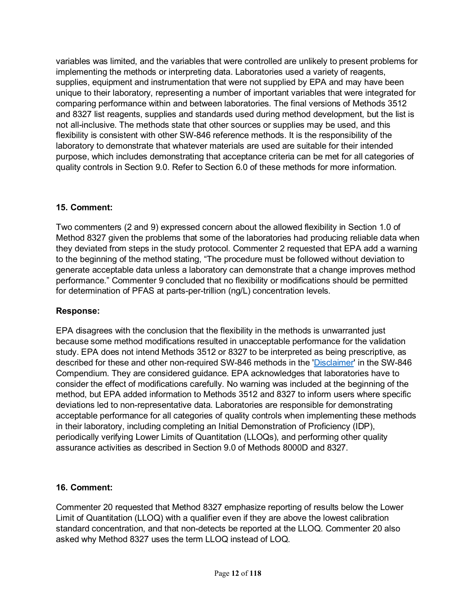variables was limited, and the variables that were controlled are unlikely to present problems for implementing the methods or interpreting data. Laboratories used a variety of reagents, supplies, equipment and instrumentation that were not supplied by EPA and may have been unique to their laboratory, representing a number of important variables that were integrated for comparing performance within and between laboratories. The final versions of Methods 3512 and 8327 list reagents, supplies and standards used during method development, but the list is not all-inclusive. The methods state that other sources or supplies may be used, and this flexibility is consistent with other SW-846 reference methods. It is the responsibility of the laboratory to demonstrate that whatever materials are used are suitable for their intended purpose, which includes demonstrating that acceptance criteria can be met for all categories of quality controls in Section 9.0. Refer to Section 6.0 of these methods for more information.

## **15. Comment:**

Two commenters (2 and 9) expressed concern about the allowed flexibility in Section 1.0 of Method 8327 given the problems that some of the laboratories had producing reliable data when they deviated from steps in the study protocol. Commenter 2 requested that EPA add a warning to the beginning of the method stating, "The procedure must be followed without deviation to generate acceptable data unless a laboratory can demonstrate that a change improves method performance." Commenter 9 concluded that no flexibility or modifications should be permitted for determination of PFAS at parts-per-trillion (ng/L) concentration levels.

## **Response:**

EPA disagrees with the conclusion that the flexibility in the methods is unwarranted just because some method modifications resulted in unacceptable performance for the validation study. EPA does not intend Methods 3512 or 8327 to be interpreted as being prescriptive, as described for these and other non-required SW-846 methods in the ['Disclaimer'](https://www.epa.gov/hw-sw846/disclaimer-test-methods-evaluating-solid-waste-physicalchemical-methods-compendium-sw-846) in the SW-846 Compendium. They are considered guidance. EPA acknowledges that laboratories have to consider the effect of modifications carefully. No warning was included at the beginning of the method, but EPA added information to Methods 3512 and 8327 to inform users where specific deviations led to non-representative data. Laboratories are responsible for demonstrating acceptable performance for all categories of quality controls when implementing these methods in their laboratory, including completing an Initial Demonstration of Proficiency (IDP), periodically verifying Lower Limits of Quantitation (LLOQs), and performing other quality assurance activities as described in Section 9.0 of Methods 8000D and 8327.

## **16. Comment:**

Commenter 20 requested that Method 8327 emphasize reporting of results below the Lower Limit of Quantitation (LLOQ) with a qualifier even if they are above the lowest calibration standard concentration, and that non-detects be reported at the LLOQ. Commenter 20 also asked why Method 8327 uses the term LLOQ instead of LOQ.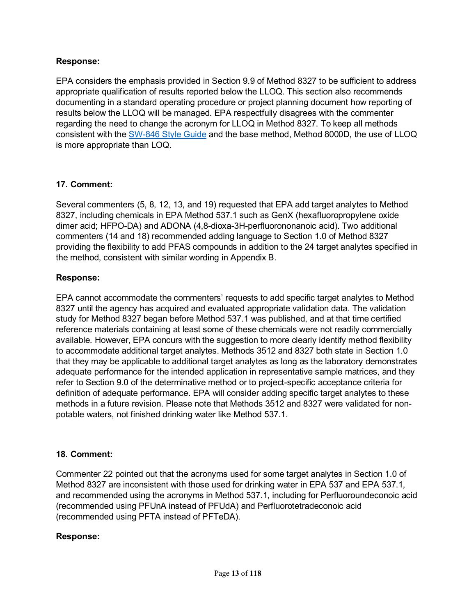#### **Response:**

EPA considers the emphasis provided in Section 9.9 of Method 8327 to be sufficient to address appropriate qualification of results reported below the LLOQ. This section also recommends documenting in a standard operating procedure or project planning document how reporting of results below the LLOQ will be managed. EPA respectfully disagrees with the commenter regarding the need to change the acronym for LLOQ in Method 8327. To keep all methods consistent with the [SW-846 Style Guide](https://www.epa.gov/hw-sw846/sw-846-method-style-guide) and the base method, Method 8000D, the use of LLOQ is more appropriate than LOQ.

## **17. Comment:**

Several commenters (5, 8, 12, 13, and 19) requested that EPA add target analytes to Method 8327, including chemicals in EPA Method 537.1 such as GenX (hexafluoropropylene oxide dimer acid; HFPO-DA) and ADONA (4,8-dioxa-3H-perfluorononanoic acid). Two additional commenters (14 and 18) recommended adding language to Section 1.0 of Method 8327 providing the flexibility to add PFAS compounds in addition to the 24 target analytes specified in the method, consistent with similar wording in Appendix B.

## **Response:**

EPA cannot accommodate the commenters' requests to add specific target analytes to Method 8327 until the agency has acquired and evaluated appropriate validation data. The validation study for Method 8327 began before Method 537.1 was published, and at that time certified reference materials containing at least some of these chemicals were not readily commercially available. However, EPA concurs with the suggestion to more clearly identify method flexibility to accommodate additional target analytes. Methods 3512 and 8327 both state in Section 1.0 that they may be applicable to additional target analytes as long as the laboratory demonstrates adequate performance for the intended application in representative sample matrices, and they refer to Section 9.0 of the determinative method or to project-specific acceptance criteria for definition of adequate performance. EPA will consider adding specific target analytes to these methods in a future revision. Please note that Methods 3512 and 8327 were validated for nonpotable waters, not finished drinking water like Method 537.1.

#### **18. Comment:**

Commenter 22 pointed out that the acronyms used for some target analytes in Section 1.0 of Method 8327 are inconsistent with those used for drinking water in EPA 537 and EPA 537.1, and recommended using the acronyms in Method 537.1, including for Perfluoroundeconoic acid (recommended using PFUnA instead of PFUdA) and Perfluorotetradeconoic acid (recommended using PFTA instead of PFTeDA).

#### **Response:**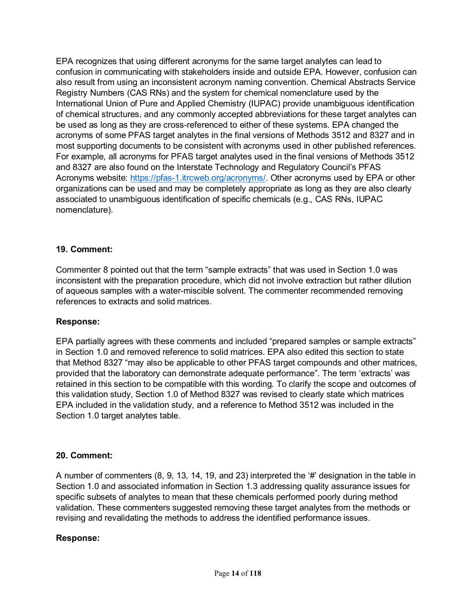EPA recognizes that using different acronyms for the same target analytes can lead to confusion in communicating with stakeholders inside and outside EPA. However, confusion can also result from using an inconsistent acronym naming convention. Chemical Abstracts Service Registry Numbers (CAS RNs) and the system for chemical nomenclature used by the International Union of Pure and Applied Chemistry (IUPAC) provide unambiguous identification of chemical structures, and any commonly accepted abbreviations for these target analytes can be used as long as they are cross-referenced to either of these systems. EPA changed the acronyms of some PFAS target analytes in the final versions of Methods 3512 and 8327 and in most supporting documents to be consistent with acronyms used in other published references. For example, all acronyms for PFAS target analytes used in the final versions of Methods 3512 and 8327 are also found on the Interstate Technology and Regulatory Council's PFAS Acronyms website: [https://pfas-1.itrcweb.org/acronyms/.](https://pfas-1.itrcweb.org/acronyms/) Other acronyms used by EPA or other organizations can be used and may be completely appropriate as long as they are also clearly associated to unambiguous identification of specific chemicals (e.g., CAS RNs, IUPAC nomenclature).

#### **19. Comment:**

Commenter 8 pointed out that the term "sample extracts" that was used in Section 1.0 was inconsistent with the preparation procedure, which did not involve extraction but rather dilution of aqueous samples with a water-miscible solvent. The commenter recommended removing references to extracts and solid matrices.

#### **Response:**

EPA partially agrees with these comments and included "prepared samples or sample extracts" in Section 1.0 and removed reference to solid matrices. EPA also edited this section to state that Method 8327 "may also be applicable to other PFAS target compounds and other matrices, provided that the laboratory can demonstrate adequate performance". The term 'extracts' was retained in this section to be compatible with this wording. To clarify the scope and outcomes of this validation study, Section 1.0 of Method 8327 was revised to clearly state which matrices EPA included in the validation study, and a reference to Method 3512 was included in the Section 1.0 target analytes table.

#### **20. Comment:**

A number of commenters (8, 9, 13, 14, 19, and 23) interpreted the '#' designation in the table in Section 1.0 and associated information in Section 1.3 addressing quality assurance issues for specific subsets of analytes to mean that these chemicals performed poorly during method validation. These commenters suggested removing these target analytes from the methods or revising and revalidating the methods to address the identified performance issues.

#### **Response:**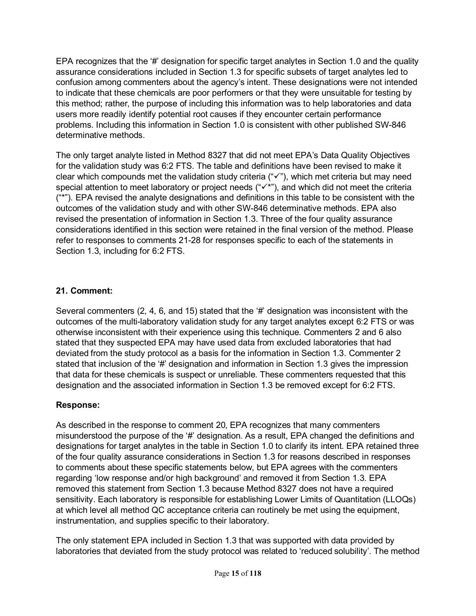EPA recognizes that the '#' designation for specific target analytes in Section 1.0 and the quality assurance considerations included in Section 1.3 for specific subsets of target analytes led to confusion among commenters about the agency's intent. These designations were not intended to indicate that these chemicals are poor performers or that they were unsuitable for testing by this method; rather, the purpose of including this information was to help laboratories and data users more readily identify potential root causes if they encounter certain performance problems. Including this information in Section 1.0 is consistent with other published SW-846 determinative methods.

The only target analyte listed in Method 8327 that did not meet EPA's Data Quality Objectives for the validation study was 6:2 FTS. The table and definitions have been revised to make it clear which compounds met the validation study criteria (" $\checkmark$ "), which met criteria but may need special attention to meet laboratory or project needs (" $\checkmark$ "), and which did not meet the criteria ("\*"). EPA revised the analyte designations and definitions in this table to be consistent with the outcomes of the validation study and with other SW-846 determinative methods. EPA also revised the presentation of information in Section 1.3. Three of the four quality assurance considerations identified in this section were retained in the final version of the method. Please refer to responses to comments 21-28 for responses specific to each of the statements in Section 1.3, including for 6:2 FTS.

## **21. Comment:**

Several commenters (2, 4, 6, and 15) stated that the '#' designation was inconsistent with the outcomes of the multi-laboratory validation study for any target analytes except 6:2 FTS or was otherwise inconsistent with their experience using this technique. Commenters 2 and 6 also stated that they suspected EPA may have used data from excluded laboratories that had deviated from the study protocol as a basis for the information in Section 1.3. Commenter 2 stated that inclusion of the '#' designation and information in Section 1.3 gives the impression that data for these chemicals is suspect or unreliable. These commenters requested that this designation and the associated information in Section 1.3 be removed except for 6:2 FTS.

#### **Response:**

As described in the response to comment 20, EPA recognizes that many commenters misunderstood the purpose of the '#' designation. As a result, EPA changed the definitions and designations for target analytes in the table in Section 1.0 to clarify its intent. EPA retained three of the four quality assurance considerations in Section 1.3 for reasons described in responses to comments about these specific statements below, but EPA agrees with the commenters regarding 'low response and/or high background' and removed it from Section 1.3. EPA removed this statement from Section 1.3 because Method 8327 does not have a required sensitivity. Each laboratory is responsible for establishing Lower Limits of Quantitation (LLOQs) at which level all method QC acceptance criteria can routinely be met using the equipment, instrumentation, and supplies specific to their laboratory.

The only statement EPA included in Section 1.3 that was supported with data provided by laboratories that deviated from the study protocol was related to 'reduced solubility'. The method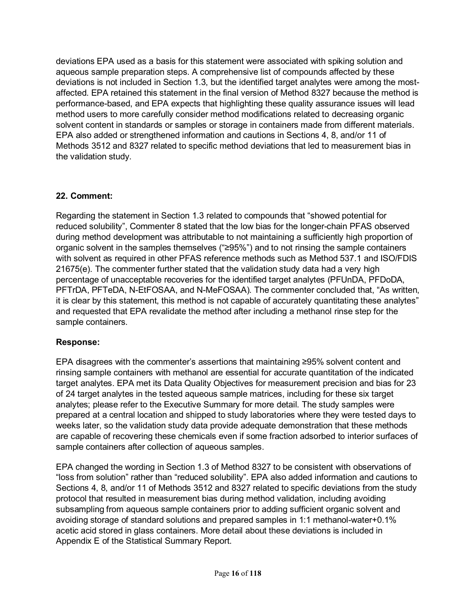deviations EPA used as a basis for this statement were associated with spiking solution and aqueous sample preparation steps. A comprehensive list of compounds affected by these deviations is not included in Section 1.3, but the identified target analytes were among the mostaffected. EPA retained this statement in the final version of Method 8327 because the method is performance-based, and EPA expects that highlighting these quality assurance issues will lead method users to more carefully consider method modifications related to decreasing organic solvent content in standards or samples or storage in containers made from different materials. EPA also added or strengthened information and cautions in Sections 4, 8, and/or 11 of Methods 3512 and 8327 related to specific method deviations that led to measurement bias in the validation study.

## **22. Comment:**

Regarding the statement in Section 1.3 related to compounds that "showed potential for reduced solubility", Commenter 8 stated that the low bias for the longer-chain PFAS observed during method development was attributable to not maintaining a sufficiently high proportion of organic solvent in the samples themselves ("≥95%") and to not rinsing the sample containers with solvent as required in other PFAS reference methods such as Method 537.1 and ISO/FDIS 21675(e). The commenter further stated that the validation study data had a very high percentage of unacceptable recoveries for the identified target analytes (PFUnDA, PFDoDA, PFTrDA, PFTeDA, N-EtFOSAA, and N-MeFOSAA). The commenter concluded that, "As written, it is clear by this statement, this method is not capable of accurately quantitating these analytes" and requested that EPA revalidate the method after including a methanol rinse step for the sample containers.

## **Response:**

EPA disagrees with the commenter's assertions that maintaining ≥95% solvent content and rinsing sample containers with methanol are essential for accurate quantitation of the indicated target analytes. EPA met its Data Quality Objectives for measurement precision and bias for 23 of 24 target analytes in the tested aqueous sample matrices, including for these six target analytes; please refer to the Executive Summary for more detail. The study samples were prepared at a central location and shipped to study laboratories where they were tested days to weeks later, so the validation study data provide adequate demonstration that these methods are capable of recovering these chemicals even if some fraction adsorbed to interior surfaces of sample containers after collection of aqueous samples.

EPA changed the wording in Section 1.3 of Method 8327 to be consistent with observations of "loss from solution" rather than "reduced solubility". EPA also added information and cautions to Sections 4, 8, and/or 11 of Methods 3512 and 8327 related to specific deviations from the study protocol that resulted in measurement bias during method validation, including avoiding subsampling from aqueous sample containers prior to adding sufficient organic solvent and avoiding storage of standard solutions and prepared samples in 1:1 methanol-water+0.1% acetic acid stored in glass containers. More detail about these deviations is included in Appendix E of the Statistical Summary Report.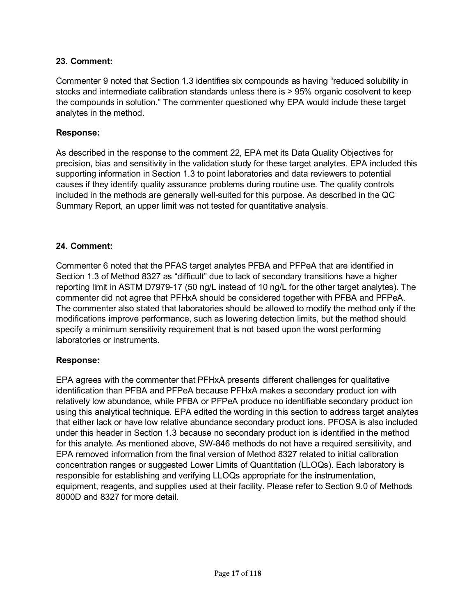Commenter 9 noted that Section 1.3 identifies six compounds as having "reduced solubility in stocks and intermediate calibration standards unless there is > 95% organic cosolvent to keep the compounds in solution." The commenter questioned why EPA would include these target analytes in the method.

#### **Response:**

As described in the response to the comment 22, EPA met its Data Quality Objectives for precision, bias and sensitivity in the validation study for these target analytes. EPA included this supporting information in Section 1.3 to point laboratories and data reviewers to potential causes if they identify quality assurance problems during routine use. The quality controls included in the methods are generally well-suited for this purpose. As described in the QC Summary Report, an upper limit was not tested for quantitative analysis.

#### **24. Comment:**

Commenter 6 noted that the PFAS target analytes PFBA and PFPeA that are identified in Section 1.3 of Method 8327 as "difficult" due to lack of secondary transitions have a higher reporting limit in ASTM D7979-17 (50 ng/L instead of 10 ng/L for the other target analytes). The commenter did not agree that PFHxA should be considered together with PFBA and PFPeA. The commenter also stated that laboratories should be allowed to modify the method only if the modifications improve performance, such as lowering detection limits, but the method should specify a minimum sensitivity requirement that is not based upon the worst performing laboratories or instruments.

#### **Response:**

EPA agrees with the commenter that PFHxA presents different challenges for qualitative identification than PFBA and PFPeA because PFHxA makes a secondary product ion with relatively low abundance, while PFBA or PFPeA produce no identifiable secondary product ion using this analytical technique. EPA edited the wording in this section to address target analytes that either lack or have low relative abundance secondary product ions. PFOSA is also included under this header in Section 1.3 because no secondary product ion is identified in the method for this analyte. As mentioned above, SW-846 methods do not have a required sensitivity, and EPA removed information from the final version of Method 8327 related to initial calibration concentration ranges or suggested Lower Limits of Quantitation (LLOQs). Each laboratory is responsible for establishing and verifying LLOQs appropriate for the instrumentation, equipment, reagents, and supplies used at their facility. Please refer to Section 9.0 of Methods 8000D and 8327 for more detail.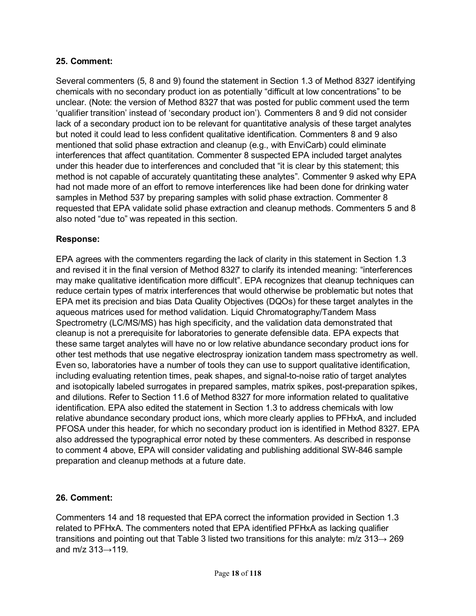Several commenters (5, 8 and 9) found the statement in Section 1.3 of Method 8327 identifying chemicals with no secondary product ion as potentially "difficult at low concentrations" to be unclear. (Note: the version of Method 8327 that was posted for public comment used the term 'qualifier transition' instead of 'secondary product ion'). Commenters 8 and 9 did not consider lack of a secondary product ion to be relevant for quantitative analysis of these target analytes but noted it could lead to less confident qualitative identification. Commenters 8 and 9 also mentioned that solid phase extraction and cleanup (e.g., with EnviCarb) could eliminate interferences that affect quantitation. Commenter 8 suspected EPA included target analytes under this header due to interferences and concluded that "it is clear by this statement; this method is not capable of accurately quantitating these analytes". Commenter 9 asked why EPA had not made more of an effort to remove interferences like had been done for drinking water samples in Method 537 by preparing samples with solid phase extraction. Commenter 8 requested that EPA validate solid phase extraction and cleanup methods. Commenters 5 and 8 also noted "due to" was repeated in this section.

## **Response:**

EPA agrees with the commenters regarding the lack of clarity in this statement in Section 1.3 and revised it in the final version of Method 8327 to clarify its intended meaning: "interferences may make qualitative identification more difficult". EPA recognizes that cleanup techniques can reduce certain types of matrix interferences that would otherwise be problematic but notes that EPA met its precision and bias Data Quality Objectives (DQOs) for these target analytes in the aqueous matrices used for method validation. Liquid Chromatography/Tandem Mass Spectrometry (LC/MS/MS) has high specificity, and the validation data demonstrated that cleanup is not a prerequisite for laboratories to generate defensible data. EPA expects that these same target analytes will have no or low relative abundance secondary product ions for other test methods that use negative electrospray ionization tandem mass spectrometry as well. Even so, laboratories have a number of tools they can use to support qualitative identification, including evaluating retention times, peak shapes, and signal-to-noise ratio of target analytes and isotopically labeled surrogates in prepared samples, matrix spikes, post-preparation spikes, and dilutions. Refer to Section 11.6 of Method 8327 for more information related to qualitative identification. EPA also edited the statement in Section 1.3 to address chemicals with low relative abundance secondary product ions, which more clearly applies to PFHxA, and included PFOSA under this header, for which no secondary product ion is identified in Method 8327. EPA also addressed the typographical error noted by these commenters. As described in response to comment 4 above, EPA will consider validating and publishing additional SW-846 sample preparation and cleanup methods at a future date.

#### **26. Comment:**

Commenters 14 and 18 requested that EPA correct the information provided in Section 1.3 related to PFHxA. The commenters noted that EPA identified PFHxA as lacking qualifier transitions and pointing out that Table 3 listed two transitions for this analyte:  $m/z$  313 $\rightarrow$  269 and m/z  $313 \rightarrow 119$ .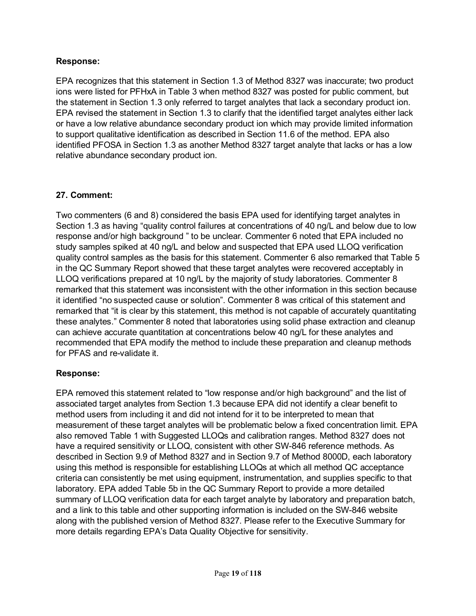### **Response:**

EPA recognizes that this statement in Section 1.3 of Method 8327 was inaccurate; two product ions were listed for PFHxA in Table 3 when method 8327 was posted for public comment, but the statement in Section 1.3 only referred to target analytes that lack a secondary product ion. EPA revised the statement in Section 1.3 to clarify that the identified target analytes either lack or have a low relative abundance secondary product ion which may provide limited information to support qualitative identification as described in Section 11.6 of the method. EPA also identified PFOSA in Section 1.3 as another Method 8327 target analyte that lacks or has a low relative abundance secondary product ion.

## **27. Comment:**

Two commenters (6 and 8) considered the basis EPA used for identifying target analytes in Section 1.3 as having "quality control failures at concentrations of 40 ng/L and below due to low response and/or high background " to be unclear. Commenter 6 noted that EPA included no study samples spiked at 40 ng/L and below and suspected that EPA used LLOQ verification quality control samples as the basis for this statement. Commenter 6 also remarked that Table 5 in the QC Summary Report showed that these target analytes were recovered acceptably in LLOQ verifications prepared at 10 ng/L by the majority of study laboratories. Commenter 8 remarked that this statement was inconsistent with the other information in this section because it identified "no suspected cause or solution". Commenter 8 was critical of this statement and remarked that "it is clear by this statement, this method is not capable of accurately quantitating these analytes." Commenter 8 noted that laboratories using solid phase extraction and cleanup can achieve accurate quantitation at concentrations below 40 ng/L for these analytes and recommended that EPA modify the method to include these preparation and cleanup methods for PFAS and re-validate it.

#### **Response:**

EPA removed this statement related to "low response and/or high background" and the list of associated target analytes from Section 1.3 because EPA did not identify a clear benefit to method users from including it and did not intend for it to be interpreted to mean that measurement of these target analytes will be problematic below a fixed concentration limit. EPA also removed Table 1 with Suggested LLOQs and calibration ranges. Method 8327 does not have a required sensitivity or LLOQ, consistent with other SW-846 reference methods. As described in Section 9.9 of Method 8327 and in Section 9.7 of Method 8000D, each laboratory using this method is responsible for establishing LLOQs at which all method QC acceptance criteria can consistently be met using equipment, instrumentation, and supplies specific to that laboratory. EPA added Table 5b in the QC Summary Report to provide a more detailed summary of LLOQ verification data for each target analyte by laboratory and preparation batch, and a link to this table and other supporting information is included on the SW-846 website along with the published version of Method 8327. Please refer to the Executive Summary for more details regarding EPA's Data Quality Objective for sensitivity.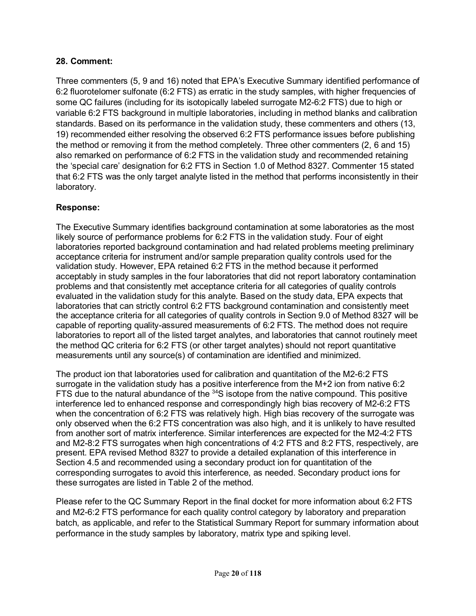Three commenters (5, 9 and 16) noted that EPA's Executive Summary identified performance of 6:2 fluorotelomer sulfonate (6:2 FTS) as erratic in the study samples, with higher frequencies of some QC failures (including for its isotopically labeled surrogate M2-6:2 FTS) due to high or variable 6:2 FTS background in multiple laboratories, including in method blanks and calibration standards. Based on its performance in the validation study, these commenters and others (13, 19) recommended either resolving the observed 6:2 FTS performance issues before publishing the method or removing it from the method completely. Three other commenters (2, 6 and 15) also remarked on performance of 6:2 FTS in the validation study and recommended retaining the 'special care' designation for 6:2 FTS in Section 1.0 of Method 8327. Commenter 15 stated that 6:2 FTS was the only target analyte listed in the method that performs inconsistently in their laboratory.

## **Response:**

The Executive Summary identifies background contamination at some laboratories as the most likely source of performance problems for 6:2 FTS in the validation study. Four of eight laboratories reported background contamination and had related problems meeting preliminary acceptance criteria for instrument and/or sample preparation quality controls used for the validation study. However, EPA retained 6:2 FTS in the method because it performed acceptably in study samples in the four laboratories that did not report laboratory contamination problems and that consistently met acceptance criteria for all categories of quality controls evaluated in the validation study for this analyte. Based on the study data, EPA expects that laboratories that can strictly control 6:2 FTS background contamination and consistently meet the acceptance criteria for all categories of quality controls in Section 9.0 of Method 8327 will be capable of reporting quality-assured measurements of 6:2 FTS. The method does not require laboratories to report all of the listed target analytes, and laboratories that cannot routinely meet the method QC criteria for 6:2 FTS (or other target analytes) should not report quantitative measurements until any source(s) of contamination are identified and minimized.

The product ion that laboratories used for calibration and quantitation of the M2-6:2 FTS surrogate in the validation study has a positive interference from the M+2 ion from native 6:2 FTS due to the natural abundance of the <sup>34</sup>S isotope from the native compound. This positive interference led to enhanced response and correspondingly high bias recovery of M2-6:2 FTS when the concentration of 6:2 FTS was relatively high. High bias recovery of the surrogate was only observed when the 6:2 FTS concentration was also high, and it is unlikely to have resulted from another sort of matrix interference. Similar interferences are expected for the M2-4:2 FTS and M2-8:2 FTS surrogates when high concentrations of 4:2 FTS and 8:2 FTS, respectively, are present. EPA revised Method 8327 to provide a detailed explanation of this interference in Section 4.5 and recommended using a secondary product ion for quantitation of the corresponding surrogates to avoid this interference, as needed. Secondary product ions for these surrogates are listed in Table 2 of the method.

Please refer to the QC Summary Report in the final docket for more information about 6:2 FTS and M2-6:2 FTS performance for each quality control category by laboratory and preparation batch, as applicable, and refer to the Statistical Summary Report for summary information about performance in the study samples by laboratory, matrix type and spiking level.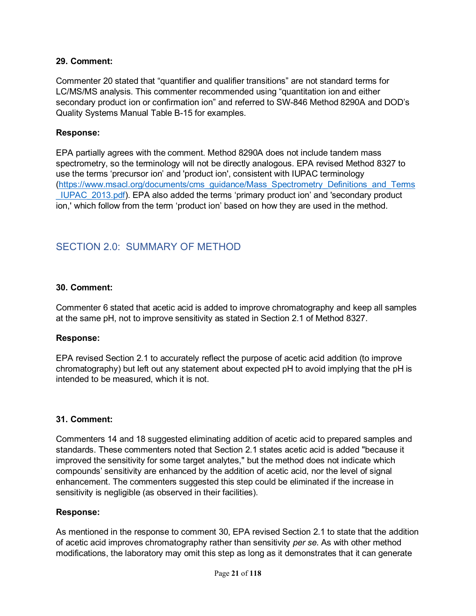Commenter 20 stated that "quantifier and qualifier transitions" are not standard terms for LC/MS/MS analysis. This commenter recommended using "quantitation ion and either secondary product ion or confirmation ion" and referred to SW-846 Method 8290A and DOD's Quality Systems Manual Table B-15 for examples.

#### **Response:**

EPA partially agrees with the comment. Method 8290A does not include tandem mass spectrometry, so the terminology will not be directly analogous. EPA revised Method 8327 to use the terms 'precursor ion' and 'product ion', consistent with IUPAC terminology [\(https://www.msacl.org/documents/cms\\_guidance/Mass\\_Spectrometry\\_Definitions\\_and\\_Terms](https://www.msacl.org/documents/cms_guidance/Mass_Spectrometry_Definitions_and_Terms_IUPAC_2013.pdf) [\\_IUPAC\\_2013.pdf\)](https://www.msacl.org/documents/cms_guidance/Mass_Spectrometry_Definitions_and_Terms_IUPAC_2013.pdf). EPA also added the terms 'primary product ion' and 'secondary product ion,' which follow from the term 'product ion' based on how they are used in the method.

## <span id="page-20-0"></span>SECTION 2.0: SUMMARY OF METHOD

#### **30. Comment:**

Commenter 6 stated that acetic acid is added to improve chromatography and keep all samples at the same pH, not to improve sensitivity as stated in Section 2.1 of Method 8327.

#### **Response:**

EPA revised Section 2.1 to accurately reflect the purpose of acetic acid addition (to improve chromatography) but left out any statement about expected pH to avoid implying that the pH is intended to be measured, which it is not.

#### **31. Comment:**

Commenters 14 and 18 suggested eliminating addition of acetic acid to prepared samples and standards. These commenters noted that Section 2.1 states acetic acid is added "because it improved the sensitivity for some target analytes," but the method does not indicate which compounds' sensitivity are enhanced by the addition of acetic acid, nor the level of signal enhancement. The commenters suggested this step could be eliminated if the increase in sensitivity is negligible (as observed in their facilities).

#### **Response:**

As mentioned in the response to comment 30, EPA revised Section 2.1 to state that the addition of acetic acid improves chromatography rather than sensitivity *per se*. As with other method modifications, the laboratory may omit this step as long as it demonstrates that it can generate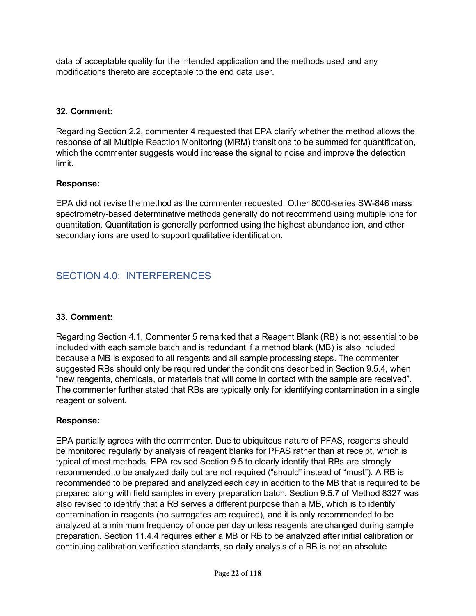data of acceptable quality for the intended application and the methods used and any modifications thereto are acceptable to the end data user.

### **32. Comment:**

Regarding Section 2.2, commenter 4 requested that EPA clarify whether the method allows the response of all Multiple Reaction Monitoring (MRM) transitions to be summed for quantification, which the commenter suggests would increase the signal to noise and improve the detection limit.

## **Response:**

EPA did not revise the method as the commenter requested. Other 8000-series SW-846 mass spectrometry-based determinative methods generally do not recommend using multiple ions for quantitation. Quantitation is generally performed using the highest abundance ion, and other secondary ions are used to support qualitative identification.

# <span id="page-21-0"></span>SECTION 4.0: INTERFERENCES

#### **33. Comment:**

Regarding Section 4.1, Commenter 5 remarked that a Reagent Blank (RB) is not essential to be included with each sample batch and is redundant if a method blank (MB) is also included because a MB is exposed to all reagents and all sample processing steps. The commenter suggested RBs should only be required under the conditions described in Section 9.5.4, when "new reagents, chemicals, or materials that will come in contact with the sample are received". The commenter further stated that RBs are typically only for identifying contamination in a single reagent or solvent.

#### **Response:**

EPA partially agrees with the commenter. Due to ubiquitous nature of PFAS, reagents should be monitored regularly by analysis of reagent blanks for PFAS rather than at receipt, which is typical of most methods. EPA revised Section 9.5 to clearly identify that RBs are strongly recommended to be analyzed daily but are not required ("should" instead of "must"). A RB is recommended to be prepared and analyzed each day in addition to the MB that is required to be prepared along with field samples in every preparation batch. Section 9.5.7 of Method 8327 was also revised to identify that a RB serves a different purpose than a MB, which is to identify contamination in reagents (no surrogates are required), and it is only recommended to be analyzed at a minimum frequency of once per day unless reagents are changed during sample preparation. Section 11.4.4 requires either a MB or RB to be analyzed after initial calibration or continuing calibration verification standards, so daily analysis of a RB is not an absolute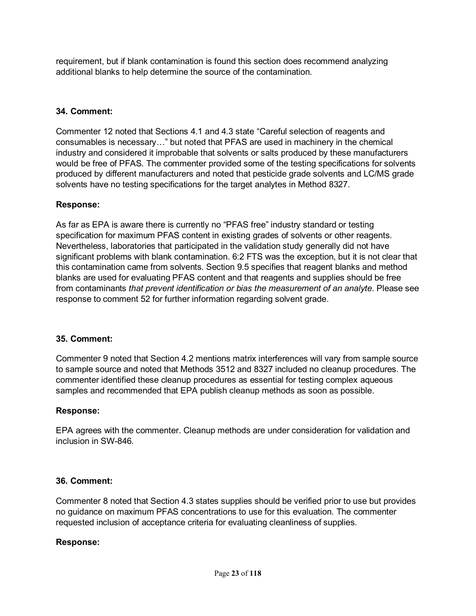requirement, but if blank contamination is found this section does recommend analyzing additional blanks to help determine the source of the contamination.

### **34. Comment:**

Commenter 12 noted that Sections 4.1 and 4.3 state "Careful selection of reagents and consumables is necessary…" but noted that PFAS are used in machinery in the chemical industry and considered it improbable that solvents or salts produced by these manufacturers would be free of PFAS. The commenter provided some of the testing specifications for solvents produced by different manufacturers and noted that pesticide grade solvents and LC/MS grade solvents have no testing specifications for the target analytes in Method 8327.

#### **Response:**

As far as EPA is aware there is currently no "PFAS free" industry standard or testing specification for maximum PFAS content in existing grades of solvents or other reagents. Nevertheless, laboratories that participated in the validation study generally did not have significant problems with blank contamination. 6:2 FTS was the exception, but it is not clear that this contamination came from solvents. Section 9.5 specifies that reagent blanks and method blanks are used for evaluating PFAS content and that reagents and supplies should be free from contaminants *that prevent identification or bias the measurement of an analyte*. Please see response to comment 52 for further information regarding solvent grade.

#### **35. Comment:**

Commenter 9 noted that Section 4.2 mentions matrix interferences will vary from sample source to sample source and noted that Methods 3512 and 8327 included no cleanup procedures. The commenter identified these cleanup procedures as essential for testing complex aqueous samples and recommended that EPA publish cleanup methods as soon as possible.

#### **Response:**

EPA agrees with the commenter. Cleanup methods are under consideration for validation and inclusion in SW-846.

#### **36. Comment:**

Commenter 8 noted that Section 4.3 states supplies should be verified prior to use but provides no guidance on maximum PFAS concentrations to use for this evaluation. The commenter requested inclusion of acceptance criteria for evaluating cleanliness of supplies.

#### **Response:**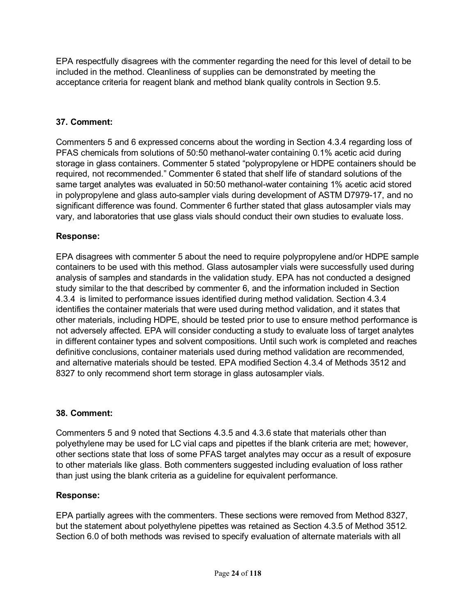EPA respectfully disagrees with the commenter regarding the need for this level of detail to be included in the method. Cleanliness of supplies can be demonstrated by meeting the acceptance criteria for reagent blank and method blank quality controls in Section 9.5.

## **37. Comment:**

Commenters 5 and 6 expressed concerns about the wording in Section 4.3.4 regarding loss of PFAS chemicals from solutions of 50:50 methanol-water containing 0.1% acetic acid during storage in glass containers. Commenter 5 stated "polypropylene or HDPE containers should be required, not recommended." Commenter 6 stated that shelf life of standard solutions of the same target analytes was evaluated in 50:50 methanol-water containing 1% acetic acid stored in polypropylene and glass auto-sampler vials during development of ASTM D7979-17, and no significant difference was found. Commenter 6 further stated that glass autosampler vials may vary, and laboratories that use glass vials should conduct their own studies to evaluate loss.

## **Response:**

EPA disagrees with commenter 5 about the need to require polypropylene and/or HDPE sample containers to be used with this method. Glass autosampler vials were successfully used during analysis of samples and standards in the validation study. EPA has not conducted a designed study similar to the that described by commenter 6, and the information included in Section 4.3.4 is limited to performance issues identified during method validation. Section 4.3.4 identifies the container materials that were used during method validation, and it states that other materials, including HDPE, should be tested prior to use to ensure method performance is not adversely affected. EPA will consider conducting a study to evaluate loss of target analytes in different container types and solvent compositions. Until such work is completed and reaches definitive conclusions, container materials used during method validation are recommended, and alternative materials should be tested. EPA modified Section 4.3.4 of Methods 3512 and 8327 to only recommend short term storage in glass autosampler vials.

## **38. Comment:**

Commenters 5 and 9 noted that Sections 4.3.5 and 4.3.6 state that materials other than polyethylene may be used for LC vial caps and pipettes if the blank criteria are met; however, other sections state that loss of some PFAS target analytes may occur as a result of exposure to other materials like glass. Both commenters suggested including evaluation of loss rather than just using the blank criteria as a guideline for equivalent performance.

#### **Response:**

EPA partially agrees with the commenters. These sections were removed from Method 8327, but the statement about polyethylene pipettes was retained as Section 4.3.5 of Method 3512. Section 6.0 of both methods was revised to specify evaluation of alternate materials with all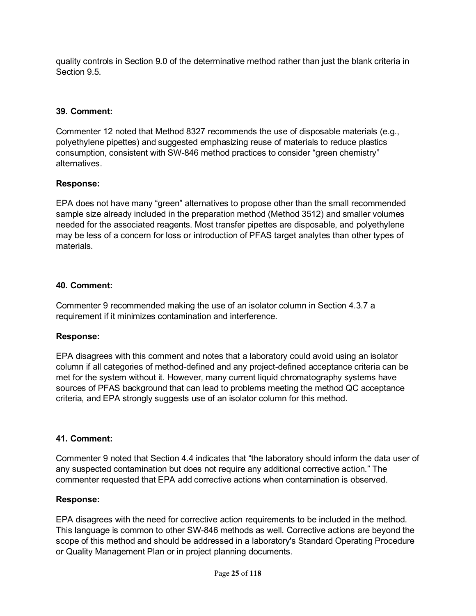quality controls in Section 9.0 of the determinative method rather than just the blank criteria in Section 9.5.

#### **39. Comment:**

Commenter 12 noted that Method 8327 recommends the use of disposable materials (e.g., polyethylene pipettes) and suggested emphasizing reuse of materials to reduce plastics consumption, consistent with SW-846 method practices to consider "green chemistry" alternatives.

#### **Response:**

EPA does not have many "green" alternatives to propose other than the small recommended sample size already included in the preparation method (Method 3512) and smaller volumes needed for the associated reagents. Most transfer pipettes are disposable, and polyethylene may be less of a concern for loss or introduction of PFAS target analytes than other types of materials.

#### **40. Comment:**

Commenter 9 recommended making the use of an isolator column in Section 4.3.7 a requirement if it minimizes contamination and interference.

#### **Response:**

EPA disagrees with this comment and notes that a laboratory could avoid using an isolator column if all categories of method-defined and any project-defined acceptance criteria can be met for the system without it. However, many current liquid chromatography systems have sources of PFAS background that can lead to problems meeting the method QC acceptance criteria, and EPA strongly suggests use of an isolator column for this method.

#### **41. Comment:**

Commenter 9 noted that Section 4.4 indicates that "the laboratory should inform the data user of any suspected contamination but does not require any additional corrective action." The commenter requested that EPA add corrective actions when contamination is observed.

#### **Response:**

EPA disagrees with the need for corrective action requirements to be included in the method. This language is common to other SW-846 methods as well. Corrective actions are beyond the scope of this method and should be addressed in a laboratory's Standard Operating Procedure or Quality Management Plan or in project planning documents.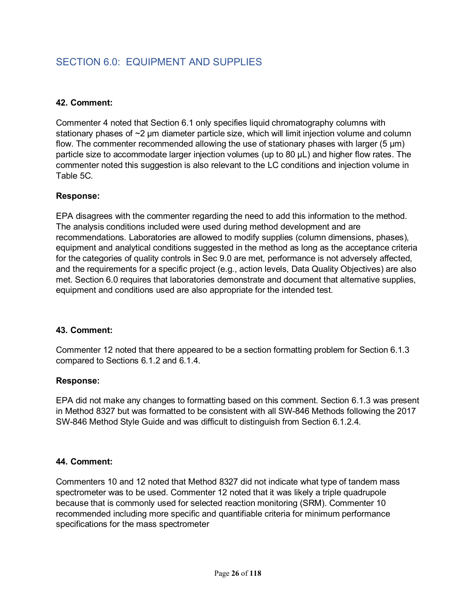## <span id="page-25-0"></span>SECTION 6.0: EQUIPMENT AND SUPPLIES

### **42. Comment:**

Commenter 4 noted that Section 6.1 only specifies liquid chromatography columns with stationary phases of ~2 μm diameter particle size, which will limit injection volume and column flow. The commenter recommended allowing the use of stationary phases with larger (5 μm) particle size to accommodate larger injection volumes (up to 80 μL) and higher flow rates. The commenter noted this suggestion is also relevant to the LC conditions and injection volume in Table 5C.

#### **Response:**

EPA disagrees with the commenter regarding the need to add this information to the method. The analysis conditions included were used during method development and are recommendations. Laboratories are allowed to modify supplies (column dimensions, phases), equipment and analytical conditions suggested in the method as long as the acceptance criteria for the categories of quality controls in Sec 9.0 are met, performance is not adversely affected, and the requirements for a specific project (e.g., action levels, Data Quality Objectives) are also met. Section 6.0 requires that laboratories demonstrate and document that alternative supplies, equipment and conditions used are also appropriate for the intended test.

#### **43. Comment:**

Commenter 12 noted that there appeared to be a section formatting problem for Section 6.1.3 compared to Sections 6.1.2 and 6.1.4.

#### **Response:**

EPA did not make any changes to formatting based on this comment. Section 6.1.3 was present in Method 8327 but was formatted to be consistent with all SW-846 Methods following the 2017 SW-846 Method Style Guide and was difficult to distinguish from Section 6.1.2.4.

#### **44. Comment:**

Commenters 10 and 12 noted that Method 8327 did not indicate what type of tandem mass spectrometer was to be used. Commenter 12 noted that it was likely a triple quadrupole because that is commonly used for selected reaction monitoring (SRM). Commenter 10 recommended including more specific and quantifiable criteria for minimum performance specifications for the mass spectrometer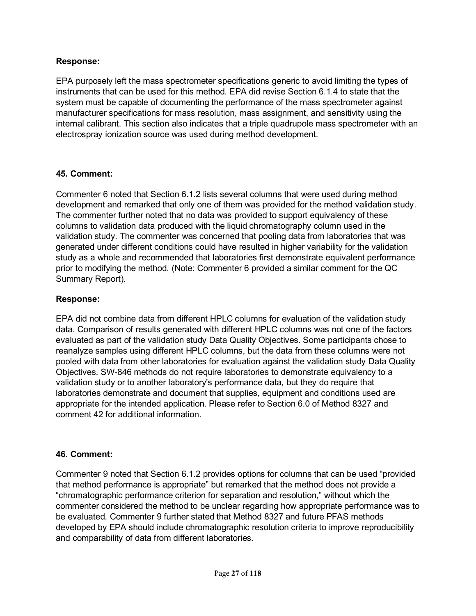### **Response:**

EPA purposely left the mass spectrometer specifications generic to avoid limiting the types of instruments that can be used for this method. EPA did revise Section 6.1.4 to state that the system must be capable of documenting the performance of the mass spectrometer against manufacturer specifications for mass resolution, mass assignment, and sensitivity using the internal calibrant. This section also indicates that a triple quadrupole mass spectrometer with an electrospray ionization source was used during method development.

## **45. Comment:**

Commenter 6 noted that Section 6.1.2 lists several columns that were used during method development and remarked that only one of them was provided for the method validation study. The commenter further noted that no data was provided to support equivalency of these columns to validation data produced with the liquid chromatography column used in the validation study. The commenter was concerned that pooling data from laboratories that was generated under different conditions could have resulted in higher variability for the validation study as a whole and recommended that laboratories first demonstrate equivalent performance prior to modifying the method. (Note: Commenter 6 provided a similar comment for the QC Summary Report).

## **Response:**

EPA did not combine data from different HPLC columns for evaluation of the validation study data. Comparison of results generated with different HPLC columns was not one of the factors evaluated as part of the validation study Data Quality Objectives. Some participants chose to reanalyze samples using different HPLC columns, but the data from these columns were not pooled with data from other laboratories for evaluation against the validation study Data Quality Objectives. SW-846 methods do not require laboratories to demonstrate equivalency to a validation study or to another laboratory's performance data, but they do require that laboratories demonstrate and document that supplies, equipment and conditions used are appropriate for the intended application. Please refer to Section 6.0 of Method 8327 and comment 42 for additional information.

## **46. Comment:**

Commenter 9 noted that Section 6.1.2 provides options for columns that can be used "provided that method performance is appropriate" but remarked that the method does not provide a "chromatographic performance criterion for separation and resolution," without which the commenter considered the method to be unclear regarding how appropriate performance was to be evaluated. Commenter 9 further stated that Method 8327 and future PFAS methods developed by EPA should include chromatographic resolution criteria to improve reproducibility and comparability of data from different laboratories.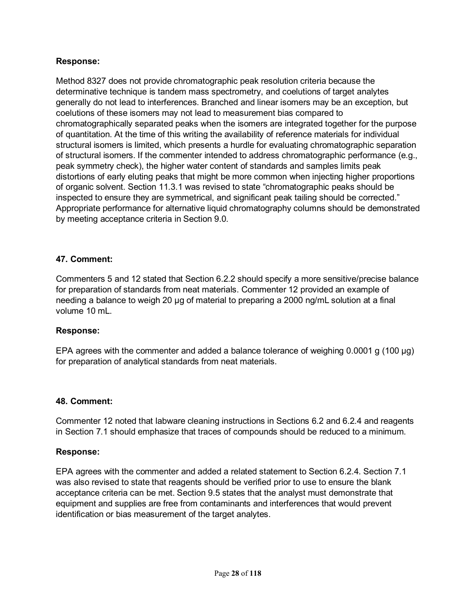#### **Response:**

Method 8327 does not provide chromatographic peak resolution criteria because the determinative technique is tandem mass spectrometry, and coelutions of target analytes generally do not lead to interferences. Branched and linear isomers may be an exception, but coelutions of these isomers may not lead to measurement bias compared to chromatographically separated peaks when the isomers are integrated together for the purpose of quantitation. At the time of this writing the availability of reference materials for individual structural isomers is limited, which presents a hurdle for evaluating chromatographic separation of structural isomers. If the commenter intended to address chromatographic performance (e.g., peak symmetry check), the higher water content of standards and samples limits peak distortions of early eluting peaks that might be more common when injecting higher proportions of organic solvent. Section 11.3.1 was revised to state "chromatographic peaks should be inspected to ensure they are symmetrical, and significant peak tailing should be corrected." Appropriate performance for alternative liquid chromatography columns should be demonstrated by meeting acceptance criteria in Section 9.0.

#### **47. Comment:**

Commenters 5 and 12 stated that Section 6.2.2 should specify a more sensitive/precise balance for preparation of standards from neat materials. Commenter 12 provided an example of needing a balance to weigh 20 µg of material to preparing a 2000 ng/mL solution at a final volume 10 mL.

#### **Response:**

EPA agrees with the commenter and added a balance tolerance of weighing 0.0001 g (100 µg) for preparation of analytical standards from neat materials.

#### **48. Comment:**

Commenter 12 noted that labware cleaning instructions in Sections 6.2 and 6.2.4 and reagents in Section 7.1 should emphasize that traces of compounds should be reduced to a minimum.

#### **Response:**

EPA agrees with the commenter and added a related statement to Section 6.2.4. Section 7.1 was also revised to state that reagents should be verified prior to use to ensure the blank acceptance criteria can be met. Section 9.5 states that the analyst must demonstrate that equipment and supplies are free from contaminants and interferences that would prevent identification or bias measurement of the target analytes.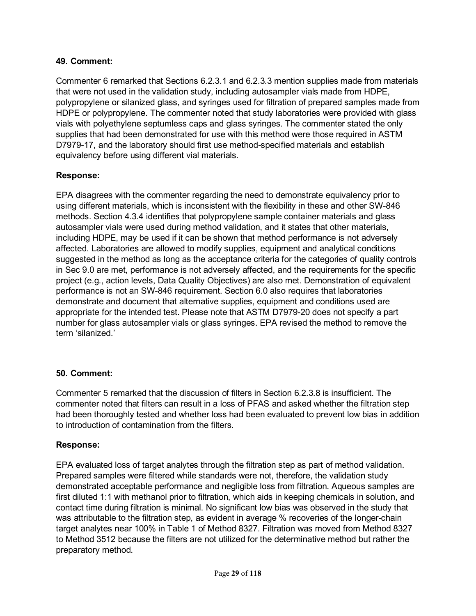Commenter 6 remarked that Sections 6.2.3.1 and 6.2.3.3 mention supplies made from materials that were not used in the validation study, including autosampler vials made from HDPE, polypropylene or silanized glass, and syringes used for filtration of prepared samples made from HDPE or polypropylene. The commenter noted that study laboratories were provided with glass vials with polyethylene septumless caps and glass syringes. The commenter stated the only supplies that had been demonstrated for use with this method were those required in ASTM D7979-17, and the laboratory should first use method-specified materials and establish equivalency before using different vial materials.

## **Response:**

EPA disagrees with the commenter regarding the need to demonstrate equivalency prior to using different materials, which is inconsistent with the flexibility in these and other SW-846 methods. Section 4.3.4 identifies that polypropylene sample container materials and glass autosampler vials were used during method validation, and it states that other materials, including HDPE, may be used if it can be shown that method performance is not adversely affected. Laboratories are allowed to modify supplies, equipment and analytical conditions suggested in the method as long as the acceptance criteria for the categories of quality controls in Sec 9.0 are met, performance is not adversely affected, and the requirements for the specific project (e.g., action levels, Data Quality Objectives) are also met. Demonstration of equivalent performance is not an SW-846 requirement. Section 6.0 also requires that laboratories demonstrate and document that alternative supplies, equipment and conditions used are appropriate for the intended test. Please note that ASTM D7979-20 does not specify a part number for glass autosampler vials or glass syringes. EPA revised the method to remove the term 'silanized.'

#### **50. Comment:**

Commenter 5 remarked that the discussion of filters in Section 6.2.3.8 is insufficient. The commenter noted that filters can result in a loss of PFAS and asked whether the filtration step had been thoroughly tested and whether loss had been evaluated to prevent low bias in addition to introduction of contamination from the filters.

#### **Response:**

EPA evaluated loss of target analytes through the filtration step as part of method validation. Prepared samples were filtered while standards were not, therefore, the validation study demonstrated acceptable performance and negligible loss from filtration. Aqueous samples are first diluted 1:1 with methanol prior to filtration, which aids in keeping chemicals in solution, and contact time during filtration is minimal. No significant low bias was observed in the study that was attributable to the filtration step, as evident in average % recoveries of the longer-chain target analytes near 100% in Table 1 of Method 8327. Filtration was moved from Method 8327 to Method 3512 because the filters are not utilized for the determinative method but rather the preparatory method.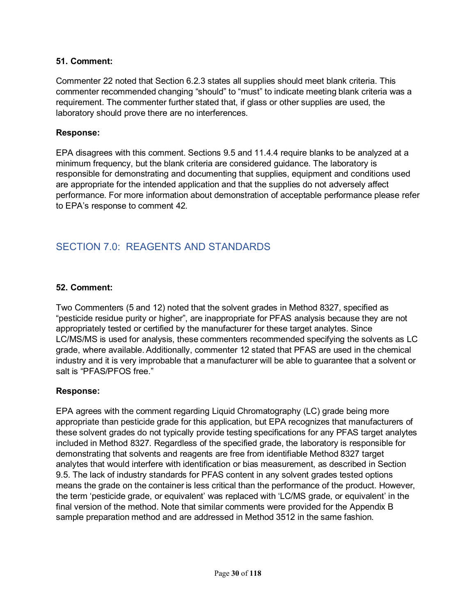Commenter 22 noted that Section 6.2.3 states all supplies should meet blank criteria. This commenter recommended changing "should" to "must" to indicate meeting blank criteria was a requirement. The commenter further stated that, if glass or other supplies are used, the laboratory should prove there are no interferences.

#### **Response:**

EPA disagrees with this comment. Sections 9.5 and 11.4.4 require blanks to be analyzed at a minimum frequency, but the blank criteria are considered guidance. The laboratory is responsible for demonstrating and documenting that supplies, equipment and conditions used are appropriate for the intended application and that the supplies do not adversely affect performance. For more information about demonstration of acceptable performance please refer to EPA's response to comment 42.

## <span id="page-29-0"></span>SECTION 7.0: REAGENTS AND STANDARDS

#### **52. Comment:**

Two Commenters (5 and 12) noted that the solvent grades in Method 8327, specified as "pesticide residue purity or higher", are inappropriate for PFAS analysis because they are not appropriately tested or certified by the manufacturer for these target analytes. Since LC/MS/MS is used for analysis, these commenters recommended specifying the solvents as LC grade, where available. Additionally, commenter 12 stated that PFAS are used in the chemical industry and it is very improbable that a manufacturer will be able to guarantee that a solvent or salt is "PFAS/PFOS free."

#### **Response:**

EPA agrees with the comment regarding Liquid Chromatography (LC) grade being more appropriate than pesticide grade for this application, but EPA recognizes that manufacturers of these solvent grades do not typically provide testing specifications for any PFAS target analytes included in Method 8327. Regardless of the specified grade, the laboratory is responsible for demonstrating that solvents and reagents are free from identifiable Method 8327 target analytes that would interfere with identification or bias measurement, as described in Section 9.5. The lack of industry standards for PFAS content in any solvent grades tested options means the grade on the container is less critical than the performance of the product. However, the term 'pesticide grade, or equivalent' was replaced with 'LC/MS grade, or equivalent' in the final version of the method. Note that similar comments were provided for the Appendix B sample preparation method and are addressed in Method 3512 in the same fashion.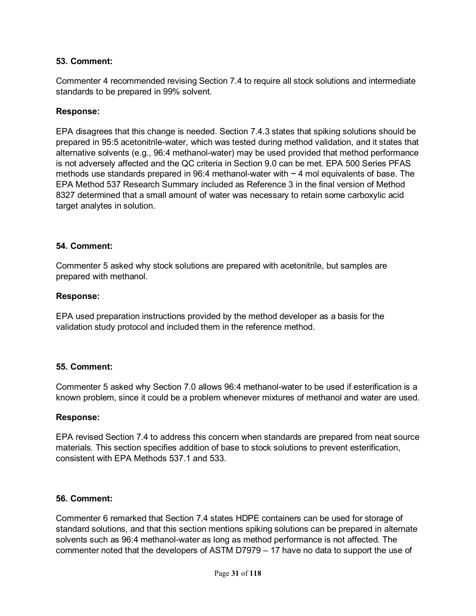Commenter 4 recommended revising Section 7.4 to require all stock solutions and intermediate standards to be prepared in 99% solvent.

#### **Response:**

EPA disagrees that this change is needed. Section 7.4.3 states that spiking solutions should be prepared in 95:5 acetonitrile-water, which was tested during method validation, and it states that alternative solvents (e.g., 96:4 methanol-water) may be used provided that method performance is not adversely affected and the QC criteria in Section 9.0 can be met. EPA 500 Series PFAS methods use standards prepared in 96:4 methanol-water with  $\sim$  4 mol equivalents of base. The EPA Method 537 Research Summary included as Reference 3 in the final version of Method 8327 determined that a small amount of water was necessary to retain some carboxylic acid target analytes in solution.

#### **54. Comment:**

Commenter 5 asked why stock solutions are prepared with acetonitrile, but samples are prepared with methanol.

#### **Response:**

EPA used preparation instructions provided by the method developer as a basis for the validation study protocol and included them in the reference method.

#### **55. Comment:**

Commenter 5 asked why Section 7.0 allows 96:4 methanol-water to be used if esterification is a known problem, since it could be a problem whenever mixtures of methanol and water are used.

#### **Response:**

EPA revised Section 7.4 to address this concern when standards are prepared from neat source materials. This section specifies addition of base to stock solutions to prevent esterification, consistent with EPA Methods 537.1 and 533.

#### **56. Comment:**

Commenter 6 remarked that Section 7.4 states HDPE containers can be used for storage of standard solutions, and that this section mentions spiking solutions can be prepared in alternate solvents such as 96:4 methanol-water as long as method performance is not affected. The commenter noted that the developers of ASTM D7979 – 17 have no data to support the use of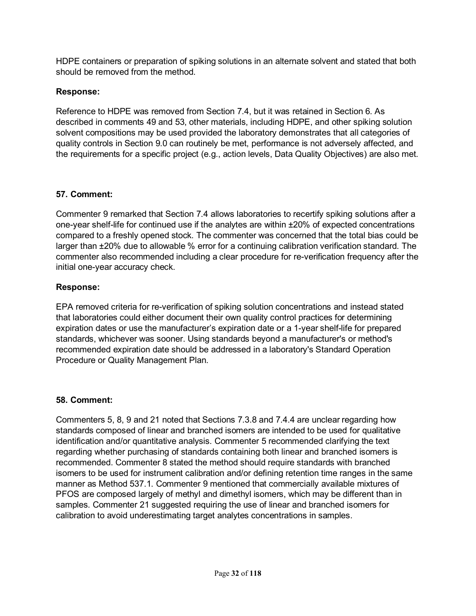HDPE containers or preparation of spiking solutions in an alternate solvent and stated that both should be removed from the method.

## **Response:**

Reference to HDPE was removed from Section 7.4, but it was retained in Section 6. As described in comments 49 and 53, other materials, including HDPE, and other spiking solution solvent compositions may be used provided the laboratory demonstrates that all categories of quality controls in Section 9.0 can routinely be met, performance is not adversely affected, and the requirements for a specific project (e.g., action levels, Data Quality Objectives) are also met.

## **57. Comment:**

Commenter 9 remarked that Section 7.4 allows laboratories to recertify spiking solutions after a one-year shelf-life for continued use if the analytes are within ±20% of expected concentrations compared to a freshly opened stock. The commenter was concerned that the total bias could be larger than  $\pm 20\%$  due to allowable % error for a continuing calibration verification standard. The commenter also recommended including a clear procedure for re-verification frequency after the initial one-year accuracy check.

#### **Response:**

EPA removed criteria for re-verification of spiking solution concentrations and instead stated that laboratories could either document their own quality control practices for determining expiration dates or use the manufacturer's expiration date or a 1-year shelf-life for prepared standards, whichever was sooner. Using standards beyond a manufacturer's or method's recommended expiration date should be addressed in a laboratory's Standard Operation Procedure or Quality Management Plan.

#### **58. Comment:**

Commenters 5, 8, 9 and 21 noted that Sections 7.3.8 and 7.4.4 are unclear regarding how standards composed of linear and branched isomers are intended to be used for qualitative identification and/or quantitative analysis. Commenter 5 recommended clarifying the text regarding whether purchasing of standards containing both linear and branched isomers is recommended. Commenter 8 stated the method should require standards with branched isomers to be used for instrument calibration and/or defining retention time ranges in the same manner as Method 537.1. Commenter 9 mentioned that commercially available mixtures of PFOS are composed largely of methyl and dimethyl isomers, which may be different than in samples. Commenter 21 suggested requiring the use of linear and branched isomers for calibration to avoid underestimating target analytes concentrations in samples.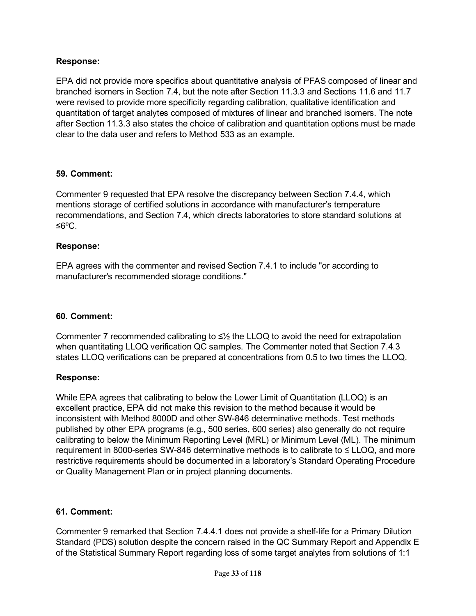#### **Response:**

EPA did not provide more specifics about quantitative analysis of PFAS composed of linear and branched isomers in Section 7.4, but the note after Section 11.3.3 and Sections 11.6 and 11.7 were revised to provide more specificity regarding calibration, qualitative identification and quantitation of target analytes composed of mixtures of linear and branched isomers. The note after Section 11.3.3 also states the choice of calibration and quantitation options must be made clear to the data user and refers to Method 533 as an example.

## **59. Comment:**

Commenter 9 requested that EPA resolve the discrepancy between Section 7.4.4, which mentions storage of certified solutions in accordance with manufacturer's temperature recommendations, and Section 7.4, which directs laboratories to store standard solutions at ≤6ºC.

#### **Response:**

EPA agrees with the commenter and revised Section 7.4.1 to include "or according to manufacturer's recommended storage conditions."

#### **60. Comment:**

Commenter 7 recommended calibrating to  $\leq\frac{1}{2}$  the LLOQ to avoid the need for extrapolation when quantitating LLOQ verification QC samples. The Commenter noted that Section 7.4.3 states LLOQ verifications can be prepared at concentrations from 0.5 to two times the LLOQ.

#### **Response:**

While EPA agrees that calibrating to below the Lower Limit of Quantitation (LLOQ) is an excellent practice, EPA did not make this revision to the method because it would be inconsistent with Method 8000D and other SW-846 determinative methods. Test methods published by other EPA programs (e.g., 500 series, 600 series) also generally do not require calibrating to below the Minimum Reporting Level (MRL) or Minimum Level (ML). The minimum requirement in 8000-series SW-846 determinative methods is to calibrate to ≤ LLOQ, and more restrictive requirements should be documented in a laboratory's Standard Operating Procedure or Quality Management Plan or in project planning documents.

## **61. Comment:**

Commenter 9 remarked that Section 7.4.4.1 does not provide a shelf-life for a Primary Dilution Standard (PDS) solution despite the concern raised in the QC Summary Report and Appendix E of the Statistical Summary Report regarding loss of some target analytes from solutions of 1:1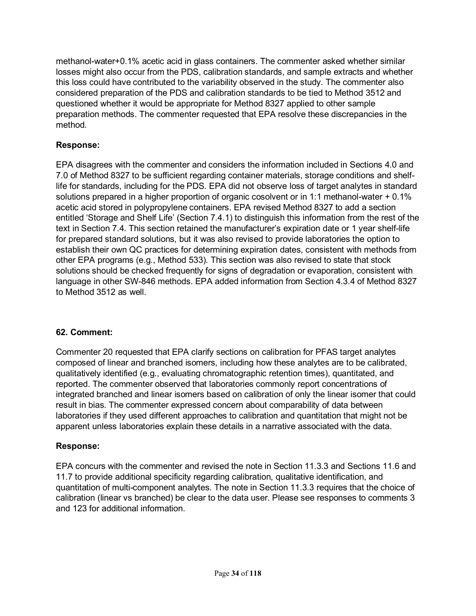methanol-water+0.1% acetic acid in glass containers. The commenter asked whether similar losses might also occur from the PDS, calibration standards, and sample extracts and whether this loss could have contributed to the variability observed in the study. The commenter also considered preparation of the PDS and calibration standards to be tied to Method 3512 and questioned whether it would be appropriate for Method 8327 applied to other sample preparation methods. The commenter requested that EPA resolve these discrepancies in the method.

## **Response:**

EPA disagrees with the commenter and considers the information included in Sections 4.0 and 7.0 of Method 8327 to be sufficient regarding container materials, storage conditions and shelflife for standards, including for the PDS. EPA did not observe loss of target analytes in standard solutions prepared in a higher proportion of organic cosolvent or in 1:1 methanol-water + 0.1% acetic acid stored in polypropylene containers. EPA revised Method 8327 to add a section entitled 'Storage and Shelf Life' (Section 7.4.1) to distinguish this information from the rest of the text in Section 7.4. This section retained the manufacturer's expiration date or 1 year shelf-life for prepared standard solutions, but it was also revised to provide laboratories the option to establish their own QC practices for determining expiration dates, consistent with methods from other EPA programs (e.g., Method 533). This section was also revised to state that stock solutions should be checked frequently for signs of degradation or evaporation, consistent with language in other SW-846 methods. EPA added information from Section 4.3.4 of Method 8327 to Method 3512 as well.

## **62. Comment:**

Commenter 20 requested that EPA clarify sections on calibration for PFAS target analytes composed of linear and branched isomers, including how these analytes are to be calibrated, qualitatively identified (e.g., evaluating chromatographic retention times), quantitated, and reported. The commenter observed that laboratories commonly report concentrations of integrated branched and linear isomers based on calibration of only the linear isomer that could result in bias. The commenter expressed concern about comparability of data between laboratories if they used different approaches to calibration and quantitation that might not be apparent unless laboratories explain these details in a narrative associated with the data.

## **Response:**

EPA concurs with the commenter and revised the note in Section 11.3.3 and Sections 11.6 and 11.7 to provide additional specificity regarding calibration, qualitative identification, and quantitation of multi-component analytes. The note in Section 11.3.3 requires that the choice of calibration (linear vs branched) be clear to the data user. Please see responses to comments 3 and 123 for additional information.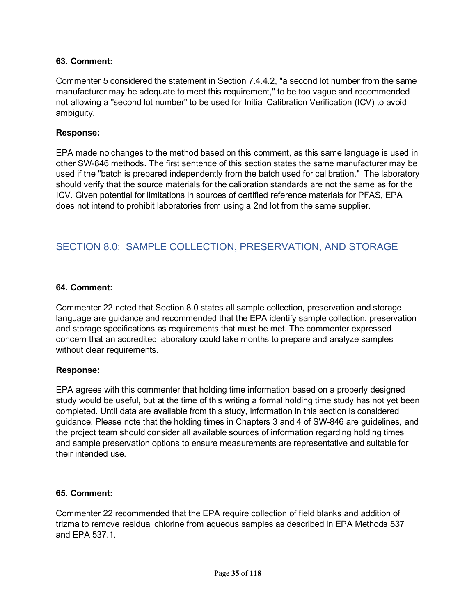Commenter 5 considered the statement in Section 7.4.4.2, "a second lot number from the same manufacturer may be adequate to meet this requirement," to be too vague and recommended not allowing a "second lot number" to be used for Initial Calibration Verification (ICV) to avoid ambiguity.

#### **Response:**

EPA made no changes to the method based on this comment, as this same language is used in other SW-846 methods. The first sentence of this section states the same manufacturer may be used if the "batch is prepared independently from the batch used for calibration." The laboratory should verify that the source materials for the calibration standards are not the same as for the ICV. Given potential for limitations in sources of certified reference materials for PFAS, EPA does not intend to prohibit laboratories from using a 2nd lot from the same supplier.

## <span id="page-34-0"></span>SECTION 8.0: SAMPLE COLLECTION, PRESERVATION, AND STORAGE

#### **64. Comment:**

Commenter 22 noted that Section 8.0 states all sample collection, preservation and storage language are guidance and recommended that the EPA identify sample collection, preservation and storage specifications as requirements that must be met. The commenter expressed concern that an accredited laboratory could take months to prepare and analyze samples without clear requirements.

#### **Response:**

EPA agrees with this commenter that holding time information based on a properly designed study would be useful, but at the time of this writing a formal holding time study has not yet been completed. Until data are available from this study, information in this section is considered guidance. Please note that the holding times in Chapters 3 and 4 of SW-846 are guidelines, and the project team should consider all available sources of information regarding holding times and sample preservation options to ensure measurements are representative and suitable for their intended use.

#### **65. Comment:**

Commenter 22 recommended that the EPA require collection of field blanks and addition of trizma to remove residual chlorine from aqueous samples as described in EPA Methods 537 and EPA 537.1.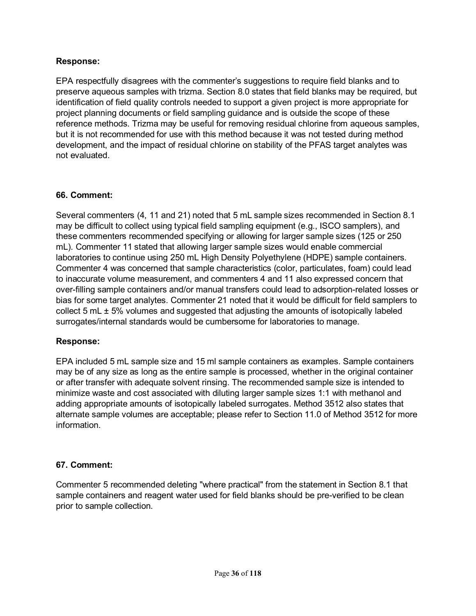#### **Response:**

EPA respectfully disagrees with the commenter's suggestions to require field blanks and to preserve aqueous samples with trizma. Section 8.0 states that field blanks may be required, but identification of field quality controls needed to support a given project is more appropriate for project planning documents or field sampling guidance and is outside the scope of these reference methods. Trizma may be useful for removing residual chlorine from aqueous samples, but it is not recommended for use with this method because it was not tested during method development, and the impact of residual chlorine on stability of the PFAS target analytes was not evaluated.

#### **66. Comment:**

Several commenters (4, 11 and 21) noted that 5 mL sample sizes recommended in Section 8.1 may be difficult to collect using typical field sampling equipment (e.g., ISCO samplers), and these commenters recommended specifying or allowing for larger sample sizes (125 or 250 mL). Commenter 11 stated that allowing larger sample sizes would enable commercial laboratories to continue using 250 mL High Density Polyethylene (HDPE) sample containers. Commenter 4 was concerned that sample characteristics (color, particulates, foam) could lead to inaccurate volume measurement, and commenters 4 and 11 also expressed concern that over-filling sample containers and/or manual transfers could lead to adsorption-related losses or bias for some target analytes. Commenter 21 noted that it would be difficult for field samplers to collect 5 mL  $\pm$  5% volumes and suggested that adjusting the amounts of isotopically labeled surrogates/internal standards would be cumbersome for laboratories to manage.

#### **Response:**

EPA included 5 mL sample size and 15 ml sample containers as examples. Sample containers may be of any size as long as the entire sample is processed, whether in the original container or after transfer with adequate solvent rinsing. The recommended sample size is intended to minimize waste and cost associated with diluting larger sample sizes 1:1 with methanol and adding appropriate amounts of isotopically labeled surrogates. Method 3512 also states that alternate sample volumes are acceptable; please refer to Section 11.0 of Method 3512 for more information.

#### **67. Comment:**

Commenter 5 recommended deleting "where practical" from the statement in Section 8.1 that sample containers and reagent water used for field blanks should be pre-verified to be clean prior to sample collection.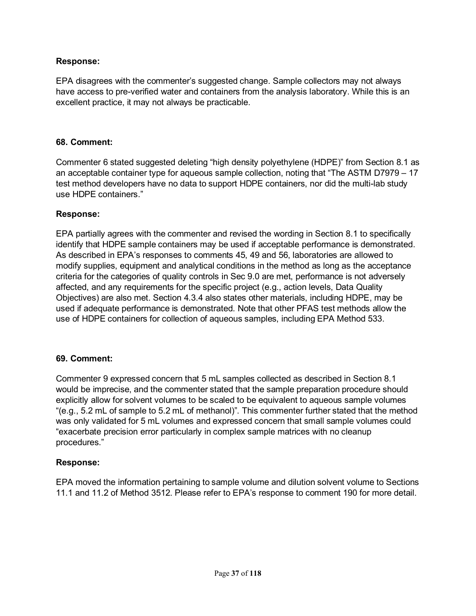EPA disagrees with the commenter's suggested change. Sample collectors may not always have access to pre-verified water and containers from the analysis laboratory. While this is an excellent practice, it may not always be practicable.

#### **68. Comment:**

Commenter 6 stated suggested deleting "high density polyethylene (HDPE)" from Section 8.1 as an acceptable container type for aqueous sample collection, noting that "The ASTM D7979 – 17 test method developers have no data to support HDPE containers, nor did the multi-lab study use HDPE containers."

#### **Response:**

EPA partially agrees with the commenter and revised the wording in Section 8.1 to specifically identify that HDPE sample containers may be used if acceptable performance is demonstrated. As described in EPA's responses to comments 45, 49 and 56, laboratories are allowed to modify supplies, equipment and analytical conditions in the method as long as the acceptance criteria for the categories of quality controls in Sec 9.0 are met, performance is not adversely affected, and any requirements for the specific project (e.g., action levels, Data Quality Objectives) are also met. Section 4.3.4 also states other materials, including HDPE, may be used if adequate performance is demonstrated. Note that other PFAS test methods allow the use of HDPE containers for collection of aqueous samples, including EPA Method 533.

#### **69. Comment:**

Commenter 9 expressed concern that 5 mL samples collected as described in Section 8.1 would be imprecise, and the commenter stated that the sample preparation procedure should explicitly allow for solvent volumes to be scaled to be equivalent to aqueous sample volumes "(e.g., 5.2 mL of sample to 5.2 mL of methanol)". This commenter further stated that the method was only validated for 5 mL volumes and expressed concern that small sample volumes could "exacerbate precision error particularly in complex sample matrices with no cleanup procedures."

#### **Response:**

EPA moved the information pertaining to sample volume and dilution solvent volume to Sections 11.1 and 11.2 of Method 3512. Please refer to EPA's response to comment 190 for more detail.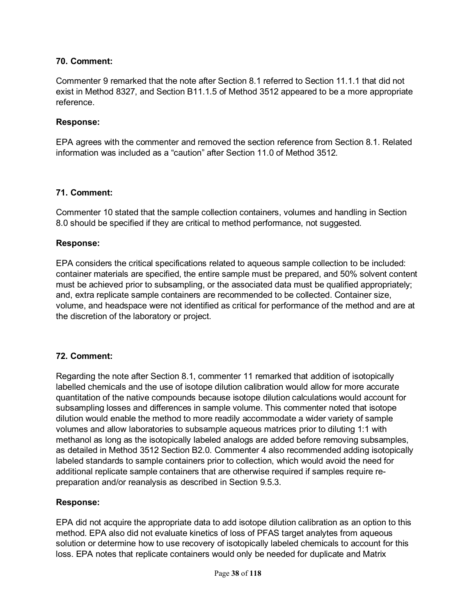Commenter 9 remarked that the note after Section 8.1 referred to Section 11.1.1 that did not exist in Method 8327, and Section B11.1.5 of Method 3512 appeared to be a more appropriate reference.

#### **Response:**

EPA agrees with the commenter and removed the section reference from Section 8.1. Related information was included as a "caution" after Section 11.0 of Method 3512.

#### **71. Comment:**

Commenter 10 stated that the sample collection containers, volumes and handling in Section 8.0 should be specified if they are critical to method performance, not suggested.

#### **Response:**

EPA considers the critical specifications related to aqueous sample collection to be included: container materials are specified, the entire sample must be prepared, and 50% solvent content must be achieved prior to subsampling, or the associated data must be qualified appropriately; and, extra replicate sample containers are recommended to be collected. Container size, volume, and headspace were not identified as critical for performance of the method and are at the discretion of the laboratory or project.

#### **72. Comment:**

Regarding the note after Section 8.1, commenter 11 remarked that addition of isotopically labelled chemicals and the use of isotope dilution calibration would allow for more accurate quantitation of the native compounds because isotope dilution calculations would account for subsampling losses and differences in sample volume. This commenter noted that isotope dilution would enable the method to more readily accommodate a wider variety of sample volumes and allow laboratories to subsample aqueous matrices prior to diluting 1:1 with methanol as long as the isotopically labeled analogs are added before removing subsamples, as detailed in Method 3512 Section B2.0. Commenter 4 also recommended adding isotopically labeled standards to sample containers prior to collection, which would avoid the need for additional replicate sample containers that are otherwise required if samples require repreparation and/or reanalysis as described in Section 9.5.3.

#### **Response:**

EPA did not acquire the appropriate data to add isotope dilution calibration as an option to this method. EPA also did not evaluate kinetics of loss of PFAS target analytes from aqueous solution or determine how to use recovery of isotopically labeled chemicals to account for this loss. EPA notes that replicate containers would only be needed for duplicate and Matrix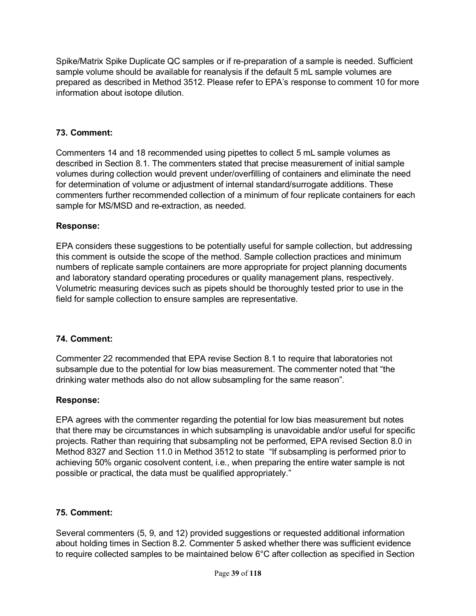Spike/Matrix Spike Duplicate QC samples or if re-preparation of a sample is needed. Sufficient sample volume should be available for reanalysis if the default 5 mL sample volumes are prepared as described in Method 3512. Please refer to EPA's response to comment 10 for more information about isotope dilution.

## **73. Comment:**

Commenters 14 and 18 recommended using pipettes to collect 5 mL sample volumes as described in Section 8.1. The commenters stated that precise measurement of initial sample volumes during collection would prevent under/overfilling of containers and eliminate the need for determination of volume or adjustment of internal standard/surrogate additions. These commenters further recommended collection of a minimum of four replicate containers for each sample for MS/MSD and re-extraction, as needed.

### **Response:**

EPA considers these suggestions to be potentially useful for sample collection, but addressing this comment is outside the scope of the method. Sample collection practices and minimum numbers of replicate sample containers are more appropriate for project planning documents and laboratory standard operating procedures or quality management plans, respectively. Volumetric measuring devices such as pipets should be thoroughly tested prior to use in the field for sample collection to ensure samples are representative.

### **74. Comment:**

Commenter 22 recommended that EPA revise Section 8.1 to require that laboratories not subsample due to the potential for low bias measurement. The commenter noted that "the drinking water methods also do not allow subsampling for the same reason".

### **Response:**

EPA agrees with the commenter regarding the potential for low bias measurement but notes that there may be circumstances in which subsampling is unavoidable and/or useful for specific projects. Rather than requiring that subsampling not be performed, EPA revised Section 8.0 in Method 8327 and Section 11.0 in Method 3512 to state "If subsampling is performed prior to achieving 50% organic cosolvent content, i.e., when preparing the entire water sample is not possible or practical, the data must be qualified appropriately."

## **75. Comment:**

Several commenters (5, 9, and 12) provided suggestions or requested additional information about holding times in Section 8.2. Commenter 5 asked whether there was sufficient evidence to require collected samples to be maintained below 6°C after collection as specified in Section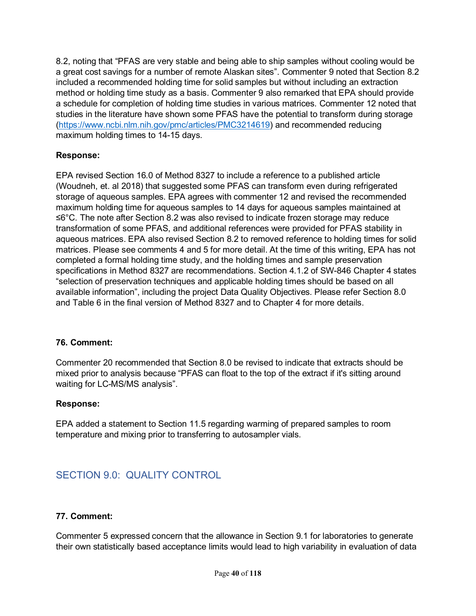8.2, noting that "PFAS are very stable and being able to ship samples without cooling would be a great cost savings for a number of remote Alaskan sites". Commenter 9 noted that Section 8.2 included a recommended holding time for solid samples but without including an extraction method or holding time study as a basis. Commenter 9 also remarked that EPA should provide a schedule for completion of holding time studies in various matrices. Commenter 12 noted that studies in the literature have shown some PFAS have the potential to transform during storage [\(https://www.ncbi.nlm.nih.gov/pmc/articles/PMC3214619\)](https://www.ncbi.nlm.nih.gov/pmc/articles/PMC3214619) and recommended reducing maximum holding times to 14-15 days.

### **Response:**

EPA revised Section 16.0 of Method 8327 to include a reference to a published article (Woudneh, et. al 2018) that suggested some PFAS can transform even during refrigerated storage of aqueous samples. EPA agrees with commenter 12 and revised the recommended maximum holding time for aqueous samples to 14 days for aqueous samples maintained at ≤6°C. The note after Section 8.2 was also revised to indicate frozen storage may reduce transformation of some PFAS, and additional references were provided for PFAS stability in aqueous matrices. EPA also revised Section 8.2 to removed reference to holding times for solid matrices. Please see comments 4 and 5 for more detail. At the time of this writing, EPA has not completed a formal holding time study, and the holding times and sample preservation specifications in Method 8327 are recommendations. Section 4.1.2 of SW-846 Chapter 4 states "selection of preservation techniques and applicable holding times should be based on all available information", including the project Data Quality Objectives. Please refer Section 8.0 and Table 6 in the final version of Method 8327 and to Chapter 4 for more details.

### **76. Comment:**

Commenter 20 recommended that Section 8.0 be revised to indicate that extracts should be mixed prior to analysis because "PFAS can float to the top of the extract if it's sitting around waiting for LC-MS/MS analysis".

### **Response:**

EPA added a statement to Section 11.5 regarding warming of prepared samples to room temperature and mixing prior to transferring to autosampler vials.

# SECTION 9.0: QUALITY CONTROL

## **77. Comment:**

Commenter 5 expressed concern that the allowance in Section 9.1 for laboratories to generate their own statistically based acceptance limits would lead to high variability in evaluation of data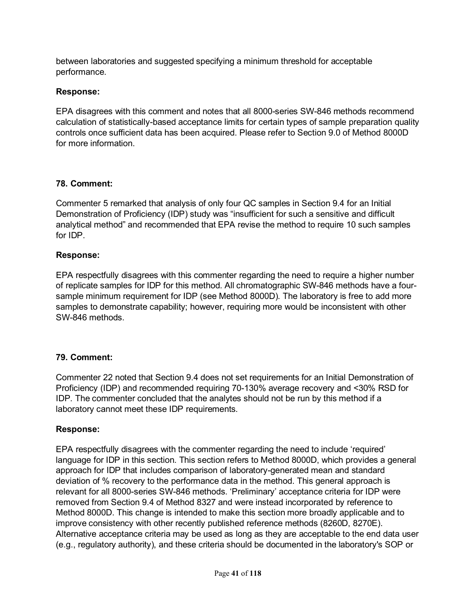between laboratories and suggested specifying a minimum threshold for acceptable performance.

#### **Response:**

EPA disagrees with this comment and notes that all 8000-series SW-846 methods recommend calculation of statistically-based acceptance limits for certain types of sample preparation quality controls once sufficient data has been acquired. Please refer to Section 9.0 of Method 8000D for more information.

#### **78. Comment:**

Commenter 5 remarked that analysis of only four QC samples in Section 9.4 for an Initial Demonstration of Proficiency (IDP) study was "insufficient for such a sensitive and difficult analytical method" and recommended that EPA revise the method to require 10 such samples for IDP.

#### **Response:**

EPA respectfully disagrees with this commenter regarding the need to require a higher number of replicate samples for IDP for this method. All chromatographic SW-846 methods have a foursample minimum requirement for IDP (see Method 8000D). The laboratory is free to add more samples to demonstrate capability; however, requiring more would be inconsistent with other SW-846 methods.

### **79. Comment:**

Commenter 22 noted that Section 9.4 does not set requirements for an Initial Demonstration of Proficiency (IDP) and recommended requiring 70-130% average recovery and <30% RSD for IDP. The commenter concluded that the analytes should not be run by this method if a laboratory cannot meet these IDP requirements.

#### **Response:**

EPA respectfully disagrees with the commenter regarding the need to include 'required' language for IDP in this section. This section refers to Method 8000D, which provides a general approach for IDP that includes comparison of laboratory-generated mean and standard deviation of % recovery to the performance data in the method. This general approach is relevant for all 8000-series SW-846 methods. 'Preliminary' acceptance criteria for IDP were removed from Section 9.4 of Method 8327 and were instead incorporated by reference to Method 8000D. This change is intended to make this section more broadly applicable and to improve consistency with other recently published reference methods (8260D, 8270E). Alternative acceptance criteria may be used as long as they are acceptable to the end data user (e.g., regulatory authority), and these criteria should be documented in the laboratory's SOP or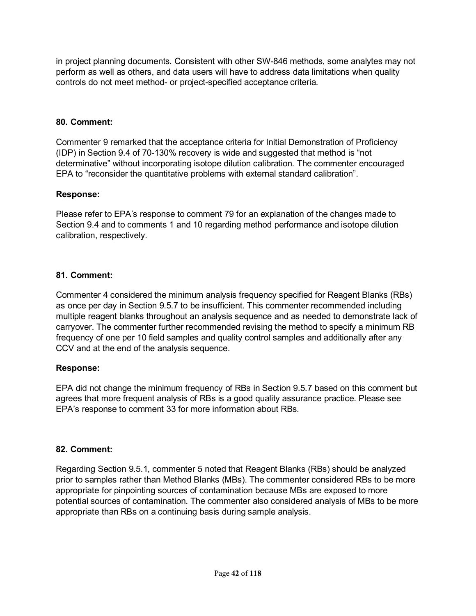in project planning documents. Consistent with other SW-846 methods, some analytes may not perform as well as others, and data users will have to address data limitations when quality controls do not meet method- or project-specified acceptance criteria.

### **80. Comment:**

Commenter 9 remarked that the acceptance criteria for Initial Demonstration of Proficiency (IDP) in Section 9.4 of 70-130% recovery is wide and suggested that method is "not determinative" without incorporating isotope dilution calibration. The commenter encouraged EPA to "reconsider the quantitative problems with external standard calibration".

### **Response:**

Please refer to EPA's response to comment 79 for an explanation of the changes made to Section 9.4 and to comments 1 and 10 regarding method performance and isotope dilution calibration, respectively.

## **81. Comment:**

Commenter 4 considered the minimum analysis frequency specified for Reagent Blanks (RBs) as once per day in Section 9.5.7 to be insufficient. This commenter recommended including multiple reagent blanks throughout an analysis sequence and as needed to demonstrate lack of carryover. The commenter further recommended revising the method to specify a minimum RB frequency of one per 10 field samples and quality control samples and additionally after any CCV and at the end of the analysis sequence.

## **Response:**

EPA did not change the minimum frequency of RBs in Section 9.5.7 based on this comment but agrees that more frequent analysis of RBs is a good quality assurance practice. Please see EPA's response to comment 33 for more information about RBs.

## **82. Comment:**

Regarding Section 9.5.1, commenter 5 noted that Reagent Blanks (RBs) should be analyzed prior to samples rather than Method Blanks (MBs). The commenter considered RBs to be more appropriate for pinpointing sources of contamination because MBs are exposed to more potential sources of contamination. The commenter also considered analysis of MBs to be more appropriate than RBs on a continuing basis during sample analysis.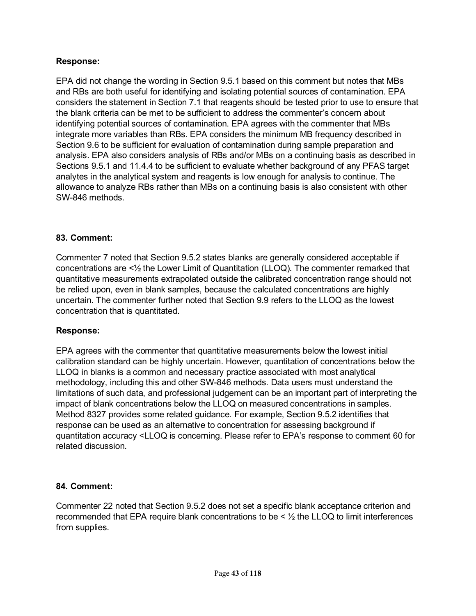EPA did not change the wording in Section 9.5.1 based on this comment but notes that MBs and RBs are both useful for identifying and isolating potential sources of contamination. EPA considers the statement in Section 7.1 that reagents should be tested prior to use to ensure that the blank criteria can be met to be sufficient to address the commenter's concern about identifying potential sources of contamination. EPA agrees with the commenter that MBs integrate more variables than RBs. EPA considers the minimum MB frequency described in Section 9.6 to be sufficient for evaluation of contamination during sample preparation and analysis. EPA also considers analysis of RBs and/or MBs on a continuing basis as described in Sections 9.5.1 and 11.4.4 to be sufficient to evaluate whether background of any PFAS target analytes in the analytical system and reagents is low enough for analysis to continue. The allowance to analyze RBs rather than MBs on a continuing basis is also consistent with other SW-846 methods.

### **83. Comment:**

Commenter 7 noted that Section 9.5.2 states blanks are generally considered acceptable if concentrations are <½ the Lower Limit of Quantitation (LLOQ). The commenter remarked that quantitative measurements extrapolated outside the calibrated concentration range should not be relied upon, even in blank samples, because the calculated concentrations are highly uncertain. The commenter further noted that Section 9.9 refers to the LLOQ as the lowest concentration that is quantitated.

### **Response:**

EPA agrees with the commenter that quantitative measurements below the lowest initial calibration standard can be highly uncertain. However, quantitation of concentrations below the LLOQ in blanks is a common and necessary practice associated with most analytical methodology, including this and other SW-846 methods. Data users must understand the limitations of such data, and professional judgement can be an important part of interpreting the impact of blank concentrations below the LLOQ on measured concentrations in samples. Method 8327 provides some related guidance. For example, Section 9.5.2 identifies that response can be used as an alternative to concentration for assessing background if quantitation accuracy <LLOQ is concerning. Please refer to EPA's response to comment 60 for related discussion.

### **84. Comment:**

Commenter 22 noted that Section 9.5.2 does not set a specific blank acceptance criterion and recommended that EPA require blank concentrations to be  $\leq \frac{1}{2}$  the LLOQ to limit interferences from supplies.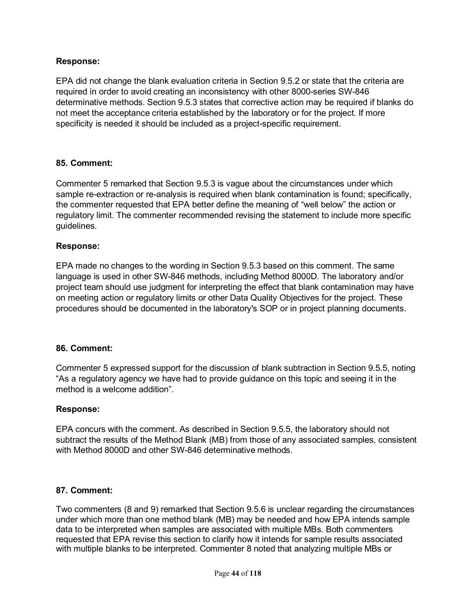EPA did not change the blank evaluation criteria in Section 9.5.2 or state that the criteria are required in order to avoid creating an inconsistency with other 8000-series SW-846 determinative methods. Section 9.5.3 states that corrective action may be required if blanks do not meet the acceptance criteria established by the laboratory or for the project. If more specificity is needed it should be included as a project-specific requirement.

#### **85. Comment:**

Commenter 5 remarked that Section 9.5.3 is vague about the circumstances under which sample re-extraction or re-analysis is required when blank contamination is found; specifically, the commenter requested that EPA better define the meaning of "well below" the action or regulatory limit. The commenter recommended revising the statement to include more specific guidelines.

#### **Response:**

EPA made no changes to the wording in Section 9.5.3 based on this comment. The same language is used in other SW-846 methods, including Method 8000D. The laboratory and/or project team should use judgment for interpreting the effect that blank contamination may have on meeting action or regulatory limits or other Data Quality Objectives for the project. These procedures should be documented in the laboratory's SOP or in project planning documents.

#### **86. Comment:**

Commenter 5 expressed support for the discussion of blank subtraction in Section 9.5.5, noting "As a regulatory agency we have had to provide guidance on this topic and seeing it in the method is a welcome addition".

#### **Response:**

EPA concurs with the comment. As described in Section 9.5.5, the laboratory should not subtract the results of the Method Blank (MB) from those of any associated samples, consistent with Method 8000D and other SW-846 determinative methods.

#### **87. Comment:**

Two commenters (8 and 9) remarked that Section 9.5.6 is unclear regarding the circumstances under which more than one method blank (MB) may be needed and how EPA intends sample data to be interpreted when samples are associated with multiple MBs. Both commenters requested that EPA revise this section to clarify how it intends for sample results associated with multiple blanks to be interpreted. Commenter 8 noted that analyzing multiple MBs or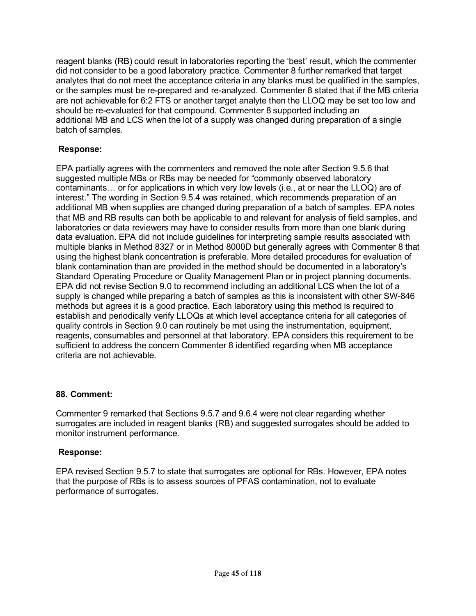reagent blanks (RB) could result in laboratories reporting the 'best' result, which the commenter did not consider to be a good laboratory practice. Commenter 8 further remarked that target analytes that do not meet the acceptance criteria in any blanks must be qualified in the samples, or the samples must be re-prepared and re-analyzed. Commenter 8 stated that if the MB criteria are not achievable for 6:2 FTS or another target analyte then the LLOQ may be set too low and should be re-evaluated for that compound. Commenter 8 supported including an additional MB and LCS when the lot of a supply was changed during preparation of a single batch of samples.

### **Response:**

EPA partially agrees with the commenters and removed the note after Section 9.5.6 that suggested multiple MBs or RBs may be needed for "commonly observed laboratory contaminants… or for applications in which very low levels (i.e., at or near the LLOQ) are of interest." The wording in Section 9.5.4 was retained, which recommends preparation of an additional MB when supplies are changed during preparation of a batch of samples. EPA notes that MB and RB results can both be applicable to and relevant for analysis of field samples, and laboratories or data reviewers may have to consider results from more than one blank during data evaluation. EPA did not include guidelines for interpreting sample results associated with multiple blanks in Method 8327 or in Method 8000D but generally agrees with Commenter 8 that using the highest blank concentration is preferable. More detailed procedures for evaluation of blank contamination than are provided in the method should be documented in a laboratory's Standard Operating Procedure or Quality Management Plan or in project planning documents. EPA did not revise Section 9.0 to recommend including an additional LCS when the lot of a supply is changed while preparing a batch of samples as this is inconsistent with other SW-846 methods but agrees it is a good practice. Each laboratory using this method is required to establish and periodically verify LLOQs at which level acceptance criteria for all categories of quality controls in Section 9.0 can routinely be met using the instrumentation, equipment, reagents, consumables and personnel at that laboratory. EPA considers this requirement to be sufficient to address the concern Commenter 8 identified regarding when MB acceptance criteria are not achievable.

### **88. Comment:**

Commenter 9 remarked that Sections 9.5.7 and 9.6.4 were not clear regarding whether surrogates are included in reagent blanks (RB) and suggested surrogates should be added to monitor instrument performance.

### **Response:**

EPA revised Section 9.5.7 to state that surrogates are optional for RBs. However, EPA notes that the purpose of RBs is to assess sources of PFAS contamination, not to evaluate performance of surrogates.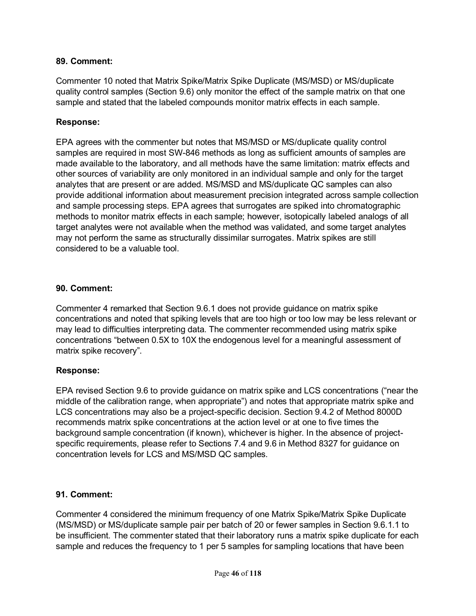Commenter 10 noted that Matrix Spike/Matrix Spike Duplicate (MS/MSD) or MS/duplicate quality control samples (Section 9.6) only monitor the effect of the sample matrix on that one sample and stated that the labeled compounds monitor matrix effects in each sample.

## **Response:**

EPA agrees with the commenter but notes that MS/MSD or MS/duplicate quality control samples are required in most SW-846 methods as long as sufficient amounts of samples are made available to the laboratory, and all methods have the same limitation: matrix effects and other sources of variability are only monitored in an individual sample and only for the target analytes that are present or are added. MS/MSD and MS/duplicate QC samples can also provide additional information about measurement precision integrated across sample collection and sample processing steps. EPA agrees that surrogates are spiked into chromatographic methods to monitor matrix effects in each sample; however, isotopically labeled analogs of all target analytes were not available when the method was validated, and some target analytes may not perform the same as structurally dissimilar surrogates. Matrix spikes are still considered to be a valuable tool.

### **90. Comment:**

Commenter 4 remarked that Section 9.6.1 does not provide guidance on matrix spike concentrations and noted that spiking levels that are too high or too low may be less relevant or may lead to difficulties interpreting data. The commenter recommended using matrix spike concentrations "between 0.5X to 10X the endogenous level for a meaningful assessment of matrix spike recovery".

### **Response:**

EPA revised Section 9.6 to provide guidance on matrix spike and LCS concentrations ("near the middle of the calibration range, when appropriate") and notes that appropriate matrix spike and LCS concentrations may also be a project-specific decision. Section 9.4.2 of Method 8000D recommends matrix spike concentrations at the action level or at one to five times the background sample concentration (if known), whichever is higher. In the absence of projectspecific requirements, please refer to Sections 7.4 and 9.6 in Method 8327 for guidance on concentration levels for LCS and MS/MSD QC samples.

### **91. Comment:**

Commenter 4 considered the minimum frequency of one Matrix Spike/Matrix Spike Duplicate (MS/MSD) or MS/duplicate sample pair per batch of 20 or fewer samples in Section 9.6.1.1 to be insufficient. The commenter stated that their laboratory runs a matrix spike duplicate for each sample and reduces the frequency to 1 per 5 samples for sampling locations that have been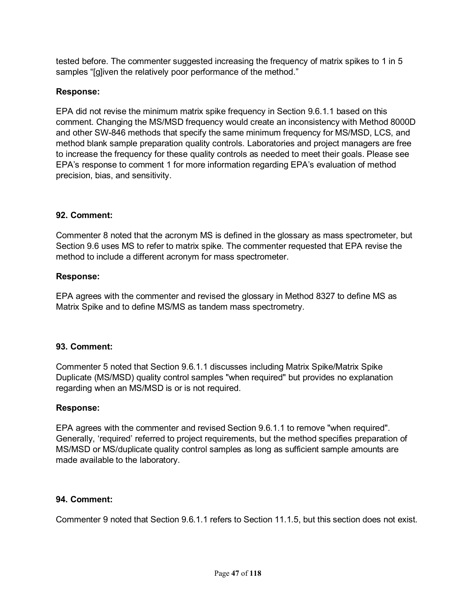tested before. The commenter suggested increasing the frequency of matrix spikes to 1 in 5 samples "[g]iven the relatively poor performance of the method."

### **Response:**

EPA did not revise the minimum matrix spike frequency in Section 9.6.1.1 based on this comment. Changing the MS/MSD frequency would create an inconsistency with Method 8000D and other SW-846 methods that specify the same minimum frequency for MS/MSD, LCS, and method blank sample preparation quality controls. Laboratories and project managers are free to increase the frequency for these quality controls as needed to meet their goals. Please see EPA's response to comment 1 for more information regarding EPA's evaluation of method precision, bias, and sensitivity.

### **92. Comment:**

Commenter 8 noted that the acronym MS is defined in the glossary as mass spectrometer, but Section 9.6 uses MS to refer to matrix spike. The commenter requested that EPA revise the method to include a different acronym for mass spectrometer.

### **Response:**

EPA agrees with the commenter and revised the glossary in Method 8327 to define MS as Matrix Spike and to define MS/MS as tandem mass spectrometry.

### **93. Comment:**

Commenter 5 noted that Section 9.6.1.1 discusses including Matrix Spike/Matrix Spike Duplicate (MS/MSD) quality control samples "when required" but provides no explanation regarding when an MS/MSD is or is not required.

### **Response:**

EPA agrees with the commenter and revised Section 9.6.1.1 to remove "when required". Generally, 'required' referred to project requirements, but the method specifies preparation of MS/MSD or MS/duplicate quality control samples as long as sufficient sample amounts are made available to the laboratory.

## **94. Comment:**

Commenter 9 noted that Section 9.6.1.1 refers to Section 11.1.5, but this section does not exist.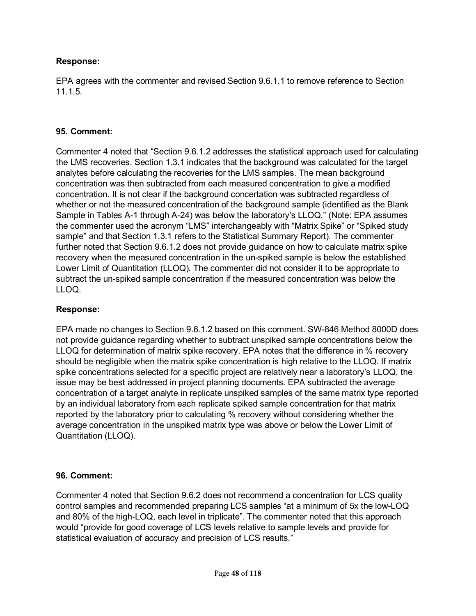EPA agrees with the commenter and revised Section 9.6.1.1 to remove reference to Section 11.1.5.

### **95. Comment:**

Commenter 4 noted that "Section 9.6.1.2 addresses the statistical approach used for calculating the LMS recoveries. Section 1.3.1 indicates that the background was calculated for the target analytes before calculating the recoveries for the LMS samples. The mean background concentration was then subtracted from each measured concentration to give a modified concentration. It is not clear if the background concertation was subtracted regardless of whether or not the measured concentration of the background sample (identified as the Blank Sample in Tables A-1 through A-24) was below the laboratory's LLOQ." (Note: EPA assumes the commenter used the acronym "LMS" interchangeably with "Matrix Spike" or "Spiked study sample" and that Section 1.3.1 refers to the Statistical Summary Report). The commenter further noted that Section 9.6.1.2 does not provide guidance on how to calculate matrix spike recovery when the measured concentration in the un-spiked sample is below the established Lower Limit of Quantitation (LLOQ). The commenter did not consider it to be appropriate to subtract the un-spiked sample concentration if the measured concentration was below the LLOQ.

### **Response:**

EPA made no changes to Section 9.6.1.2 based on this comment. SW-846 Method 8000D does not provide guidance regarding whether to subtract unspiked sample concentrations below the LLOQ for determination of matrix spike recovery. EPA notes that the difference in % recovery should be negligible when the matrix spike concentration is high relative to the LLOQ. If matrix spike concentrations selected for a specific project are relatively near a laboratory's LLOQ, the issue may be best addressed in project planning documents. EPA subtracted the average concentration of a target analyte in replicate unspiked samples of the same matrix type reported by an individual laboratory from each replicate spiked sample concentration for that matrix reported by the laboratory prior to calculating % recovery without considering whether the average concentration in the unspiked matrix type was above or below the Lower Limit of Quantitation (LLOQ).

### **96. Comment:**

Commenter 4 noted that Section 9.6.2 does not recommend a concentration for LCS quality control samples and recommended preparing LCS samples "at a minimum of 5x the low-LOQ and 80% of the high-LOQ, each level in triplicate". The commenter noted that this approach would "provide for good coverage of LCS levels relative to sample levels and provide for statistical evaluation of accuracy and precision of LCS results."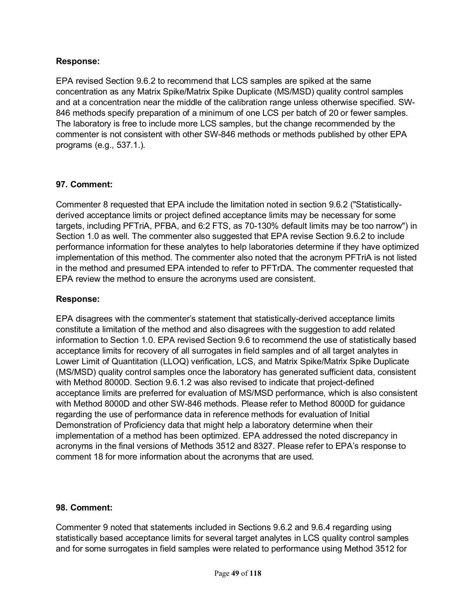EPA revised Section 9.6.2 to recommend that LCS samples are spiked at the same concentration as any Matrix Spike/Matrix Spike Duplicate (MS/MSD) quality control samples and at a concentration near the middle of the calibration range unless otherwise specified. SW-846 methods specify preparation of a minimum of one LCS per batch of 20 or fewer samples. The laboratory is free to include more LCS samples, but the change recommended by the commenter is not consistent with other SW-846 methods or methods published by other EPA programs (e.g., 537.1.).

### **97. Comment:**

Commenter 8 requested that EPA include the limitation noted in section 9.6.2 ("Statisticallyderived acceptance limits or project defined acceptance limits may be necessary for some targets, including PFTriA, PFBA, and 6:2 FTS, as 70-130% default limits may be too narrow") in Section 1.0 as well. The commenter also suggested that EPA revise Section 9.6.2 to include performance information for these analytes to help laboratories determine if they have optimized implementation of this method. The commenter also noted that the acronym PFTriA is not listed in the method and presumed EPA intended to refer to PFTrDA. The commenter requested that EPA review the method to ensure the acronyms used are consistent.

### **Response:**

EPA disagrees with the commenter's statement that statistically-derived acceptance limits constitute a limitation of the method and also disagrees with the suggestion to add related information to Section 1.0. EPA revised Section 9.6 to recommend the use of statistically based acceptance limits for recovery of all surrogates in field samples and of all target analytes in Lower Limit of Quantitation (LLOQ) verification, LCS, and Matrix Spike/Matrix Spike Duplicate (MS/MSD) quality control samples once the laboratory has generated sufficient data, consistent with Method 8000D. Section 9.6.1.2 was also revised to indicate that project-defined acceptance limits are preferred for evaluation of MS/MSD performance, which is also consistent with Method 8000D and other SW-846 methods. Please refer to Method 8000D for guidance regarding the use of performance data in reference methods for evaluation of Initial Demonstration of Proficiency data that might help a laboratory determine when their implementation of a method has been optimized. EPA addressed the noted discrepancy in acronyms in the final versions of Methods 3512 and 8327. Please refer to EPA's response to comment 18 for more information about the acronyms that are used.

### **98. Comment:**

Commenter 9 noted that statements included in Sections 9.6.2 and 9.6.4 regarding using statistically based acceptance limits for several target analytes in LCS quality control samples and for some surrogates in field samples were related to performance using Method 3512 for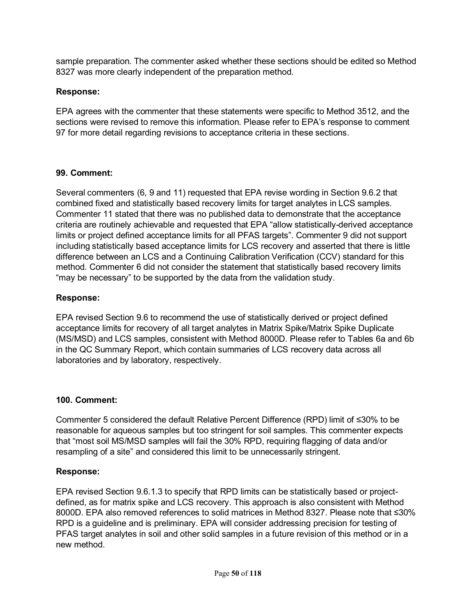sample preparation. The commenter asked whether these sections should be edited so Method 8327 was more clearly independent of the preparation method.

### **Response:**

EPA agrees with the commenter that these statements were specific to Method 3512, and the sections were revised to remove this information. Please refer to EPA's response to comment 97 for more detail regarding revisions to acceptance criteria in these sections.

### **99. Comment:**

Several commenters (6, 9 and 11) requested that EPA revise wording in Section 9.6.2 that combined fixed and statistically based recovery limits for target analytes in LCS samples. Commenter 11 stated that there was no published data to demonstrate that the acceptance criteria are routinely achievable and requested that EPA "allow statistically-derived acceptance limits or project defined acceptance limits for all PFAS targets". Commenter 9 did not support including statistically based acceptance limits for LCS recovery and asserted that there is little difference between an LCS and a Continuing Calibration Verification (CCV) standard for this method. Commenter 6 did not consider the statement that statistically based recovery limits "may be necessary" to be supported by the data from the validation study.

### **Response:**

EPA revised Section 9.6 to recommend the use of statistically derived or project defined acceptance limits for recovery of all target analytes in Matrix Spike/Matrix Spike Duplicate (MS/MSD) and LCS samples, consistent with Method 8000D. Please refer to Tables 6a and 6b in the QC Summary Report, which contain summaries of LCS recovery data across all laboratories and by laboratory, respectively.

### **100. Comment:**

Commenter 5 considered the default Relative Percent Difference (RPD) limit of ≤30% to be reasonable for aqueous samples but too stringent for soil samples. This commenter expects that "most soil MS/MSD samples will fail the 30% RPD, requiring flagging of data and/or resampling of a site" and considered this limit to be unnecessarily stringent.

### **Response:**

EPA revised Section 9.6.1.3 to specify that RPD limits can be statistically based or projectdefined, as for matrix spike and LCS recovery. This approach is also consistent with Method 8000D. EPA also removed references to solid matrices in Method 8327. Please note that ≤30% RPD is a guideline and is preliminary. EPA will consider addressing precision for testing of PFAS target analytes in soil and other solid samples in a future revision of this method or in a new method.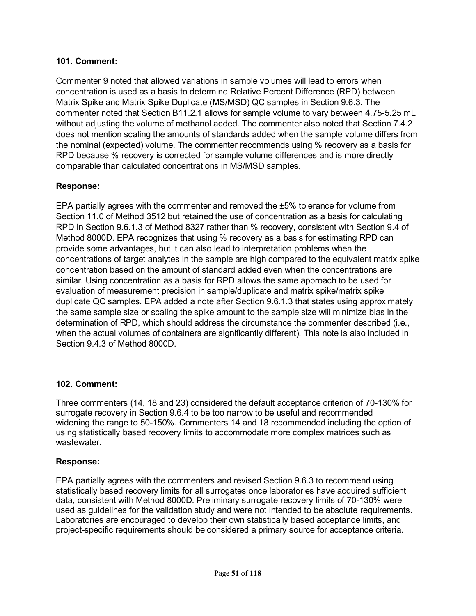Commenter 9 noted that allowed variations in sample volumes will lead to errors when concentration is used as a basis to determine Relative Percent Difference (RPD) between Matrix Spike and Matrix Spike Duplicate (MS/MSD) QC samples in Section 9.6.3. The commenter noted that Section B11.2.1 allows for sample volume to vary between 4.75-5.25 mL without adjusting the volume of methanol added. The commenter also noted that Section 7.4.2 does not mention scaling the amounts of standards added when the sample volume differs from the nominal (expected) volume. The commenter recommends using % recovery as a basis for RPD because % recovery is corrected for sample volume differences and is more directly comparable than calculated concentrations in MS/MSD samples.

### **Response:**

EPA partially agrees with the commenter and removed the ±5% tolerance for volume from Section 11.0 of Method 3512 but retained the use of concentration as a basis for calculating RPD in Section 9.6.1.3 of Method 8327 rather than % recovery, consistent with Section 9.4 of Method 8000D. EPA recognizes that using % recovery as a basis for estimating RPD can provide some advantages, but it can also lead to interpretation problems when the concentrations of target analytes in the sample are high compared to the equivalent matrix spike concentration based on the amount of standard added even when the concentrations are similar. Using concentration as a basis for RPD allows the same approach to be used for evaluation of measurement precision in sample/duplicate and matrix spike/matrix spike duplicate QC samples. EPA added a note after Section 9.6.1.3 that states using approximately the same sample size or scaling the spike amount to the sample size will minimize bias in the determination of RPD, which should address the circumstance the commenter described (i.e., when the actual volumes of containers are significantly different). This note is also included in Section 9.4.3 of Method 8000D.

#### **102. Comment:**

Three commenters (14, 18 and 23) considered the default acceptance criterion of 70-130% for surrogate recovery in Section 9.6.4 to be too narrow to be useful and recommended widening the range to 50-150%. Commenters 14 and 18 recommended including the option of using statistically based recovery limits to accommodate more complex matrices such as wastewater.

#### **Response:**

EPA partially agrees with the commenters and revised Section 9.6.3 to recommend using statistically based recovery limits for all surrogates once laboratories have acquired sufficient data, consistent with Method 8000D. Preliminary surrogate recovery limits of 70-130% were used as guidelines for the validation study and were not intended to be absolute requirements. Laboratories are encouraged to develop their own statistically based acceptance limits, and project-specific requirements should be considered a primary source for acceptance criteria.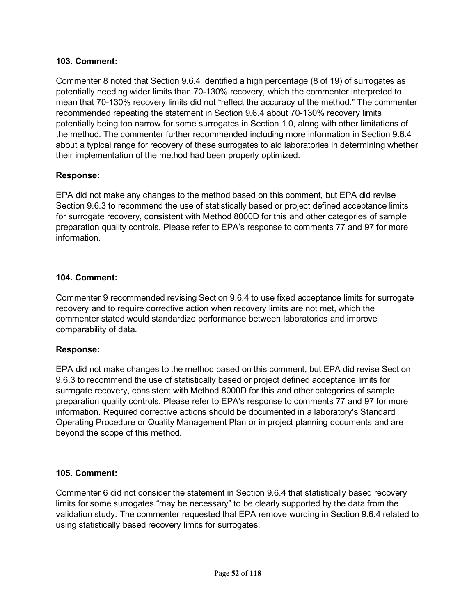Commenter 8 noted that Section 9.6.4 identified a high percentage (8 of 19) of surrogates as potentially needing wider limits than 70-130% recovery, which the commenter interpreted to mean that 70-130% recovery limits did not "reflect the accuracy of the method." The commenter recommended repeating the statement in Section 9.6.4 about 70-130% recovery limits potentially being too narrow for some surrogates in Section 1.0, along with other limitations of the method. The commenter further recommended including more information in Section 9.6.4 about a typical range for recovery of these surrogates to aid laboratories in determining whether their implementation of the method had been properly optimized.

#### **Response:**

EPA did not make any changes to the method based on this comment, but EPA did revise Section 9.6.3 to recommend the use of statistically based or project defined acceptance limits for surrogate recovery, consistent with Method 8000D for this and other categories of sample preparation quality controls. Please refer to EPA's response to comments 77 and 97 for more information.

#### **104. Comment:**

Commenter 9 recommended revising Section 9.6.4 to use fixed acceptance limits for surrogate recovery and to require corrective action when recovery limits are not met, which the commenter stated would standardize performance between laboratories and improve comparability of data.

### **Response:**

EPA did not make changes to the method based on this comment, but EPA did revise Section 9.6.3 to recommend the use of statistically based or project defined acceptance limits for surrogate recovery, consistent with Method 8000D for this and other categories of sample preparation quality controls. Please refer to EPA's response to comments 77 and 97 for more information. Required corrective actions should be documented in a laboratory's Standard Operating Procedure or Quality Management Plan or in project planning documents and are beyond the scope of this method.

#### **105. Comment:**

Commenter 6 did not consider the statement in Section 9.6.4 that statistically based recovery limits for some surrogates "may be necessary" to be clearly supported by the data from the validation study. The commenter requested that EPA remove wording in Section 9.6.4 related to using statistically based recovery limits for surrogates.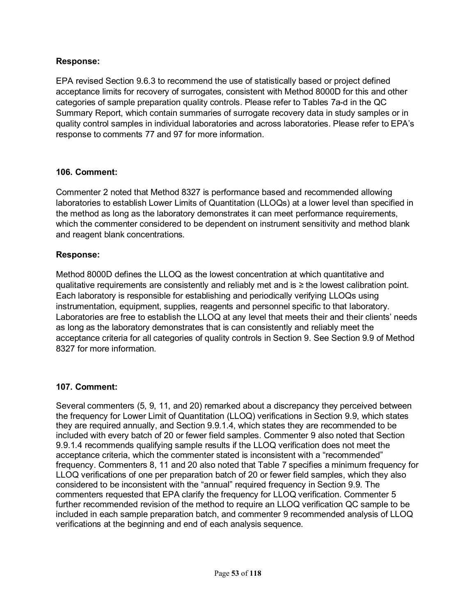EPA revised Section 9.6.3 to recommend the use of statistically based or project defined acceptance limits for recovery of surrogates, consistent with Method 8000D for this and other categories of sample preparation quality controls. Please refer to Tables 7a-d in the QC Summary Report, which contain summaries of surrogate recovery data in study samples or in quality control samples in individual laboratories and across laboratories. Please refer to EPA's response to comments 77 and 97 for more information.

#### **106. Comment:**

Commenter 2 noted that Method 8327 is performance based and recommended allowing laboratories to establish Lower Limits of Quantitation (LLOQs) at a lower level than specified in the method as long as the laboratory demonstrates it can meet performance requirements, which the commenter considered to be dependent on instrument sensitivity and method blank and reagent blank concentrations.

#### **Response:**

Method 8000D defines the LLOQ as the lowest concentration at which quantitative and qualitative requirements are consistently and reliably met and is ≥ the lowest calibration point. Each laboratory is responsible for establishing and periodically verifying LLOQs using instrumentation, equipment, supplies, reagents and personnel specific to that laboratory. Laboratories are free to establish the LLOQ at any level that meets their and their clients' needs as long as the laboratory demonstrates that is can consistently and reliably meet the acceptance criteria for all categories of quality controls in Section 9. See Section 9.9 of Method 8327 for more information.

#### **107. Comment:**

Several commenters (5, 9, 11, and 20) remarked about a discrepancy they perceived between the frequency for Lower Limit of Quantitation (LLOQ) verifications in Section 9.9, which states they are required annually, and Section 9.9.1.4, which states they are recommended to be included with every batch of 20 or fewer field samples. Commenter 9 also noted that Section 9.9.1.4 recommends qualifying sample results if the LLOQ verification does not meet the acceptance criteria, which the commenter stated is inconsistent with a "recommended" frequency. Commenters 8, 11 and 20 also noted that Table 7 specifies a minimum frequency for LLOQ verifications of one per preparation batch of 20 or fewer field samples, which they also considered to be inconsistent with the "annual" required frequency in Section 9.9. The commenters requested that EPA clarify the frequency for LLOQ verification. Commenter 5 further recommended revision of the method to require an LLOQ verification QC sample to be included in each sample preparation batch, and commenter 9 recommended analysis of LLOQ verifications at the beginning and end of each analysis sequence.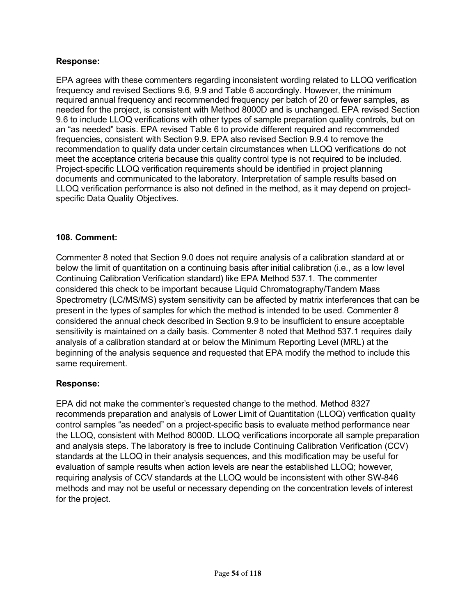EPA agrees with these commenters regarding inconsistent wording related to LLOQ verification frequency and revised Sections 9.6, 9.9 and Table 6 accordingly. However, the minimum required annual frequency and recommended frequency per batch of 20 or fewer samples, as needed for the project, is consistent with Method 8000D and is unchanged. EPA revised Section 9.6 to include LLOQ verifications with other types of sample preparation quality controls, but on an "as needed" basis. EPA revised Table 6 to provide different required and recommended frequencies, consistent with Section 9.9. EPA also revised Section 9.9.4 to remove the recommendation to qualify data under certain circumstances when LLOQ verifications do not meet the acceptance criteria because this quality control type is not required to be included. Project-specific LLOQ verification requirements should be identified in project planning documents and communicated to the laboratory. Interpretation of sample results based on LLOQ verification performance is also not defined in the method, as it may depend on projectspecific Data Quality Objectives.

#### **108. Comment:**

Commenter 8 noted that Section 9.0 does not require analysis of a calibration standard at or below the limit of quantitation on a continuing basis after initial calibration (i.e., as a low level Continuing Calibration Verification standard) like EPA Method 537.1. The commenter considered this check to be important because Liquid Chromatography/Tandem Mass Spectrometry (LC/MS/MS) system sensitivity can be affected by matrix interferences that can be present in the types of samples for which the method is intended to be used. Commenter 8 considered the annual check described in Section 9.9 to be insufficient to ensure acceptable sensitivity is maintained on a daily basis. Commenter 8 noted that Method 537.1 requires daily analysis of a calibration standard at or below the Minimum Reporting Level (MRL) at the beginning of the analysis sequence and requested that EPA modify the method to include this same requirement.

### **Response:**

EPA did not make the commenter's requested change to the method. Method 8327 recommends preparation and analysis of Lower Limit of Quantitation (LLOQ) verification quality control samples "as needed" on a project-specific basis to evaluate method performance near the LLOQ, consistent with Method 8000D. LLOQ verifications incorporate all sample preparation and analysis steps. The laboratory is free to include Continuing Calibration Verification (CCV) standards at the LLOQ in their analysis sequences, and this modification may be useful for evaluation of sample results when action levels are near the established LLOQ; however, requiring analysis of CCV standards at the LLOQ would be inconsistent with other SW-846 methods and may not be useful or necessary depending on the concentration levels of interest for the project.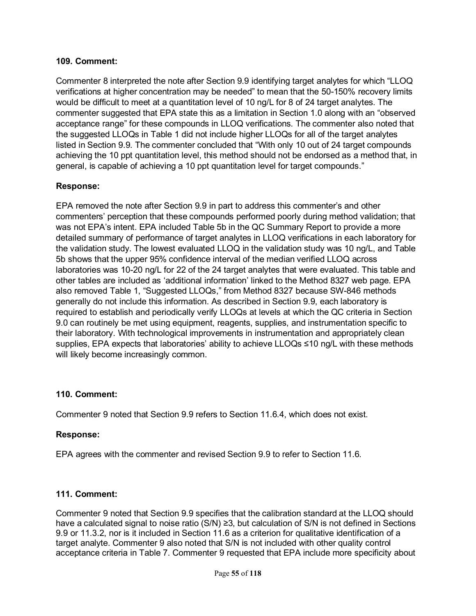Commenter 8 interpreted the note after Section 9.9 identifying target analytes for which "LLOQ verifications at higher concentration may be needed" to mean that the 50-150% recovery limits would be difficult to meet at a quantitation level of 10 ng/L for 8 of 24 target analytes. The commenter suggested that EPA state this as a limitation in Section 1.0 along with an "observed acceptance range" for these compounds in LLOQ verifications. The commenter also noted that the suggested LLOQs in Table 1 did not include higher LLOQs for all of the target analytes listed in Section 9.9. The commenter concluded that "With only 10 out of 24 target compounds achieving the 10 ppt quantitation level, this method should not be endorsed as a method that, in general, is capable of achieving a 10 ppt quantitation level for target compounds."

### **Response:**

EPA removed the note after Section 9.9 in part to address this commenter's and other commenters' perception that these compounds performed poorly during method validation; that was not EPA's intent. EPA included Table 5b in the QC Summary Report to provide a more detailed summary of performance of target analytes in LLOQ verifications in each laboratory for the validation study. The lowest evaluated LLOQ in the validation study was 10 ng/L, and Table 5b shows that the upper 95% confidence interval of the median verified LLOQ across laboratories was 10-20 ng/L for 22 of the 24 target analytes that were evaluated. This table and other tables are included as 'additional information' linked to the Method 8327 web page. EPA also removed Table 1, "Suggested LLOQs," from Method 8327 because SW-846 methods generally do not include this information. As described in Section 9.9, each laboratory is required to establish and periodically verify LLOQs at levels at which the QC criteria in Section 9.0 can routinely be met using equipment, reagents, supplies, and instrumentation specific to their laboratory. With technological improvements in instrumentation and appropriately clean supplies, EPA expects that laboratories' ability to achieve LLOQs ≤10 ng/L with these methods will likely become increasingly common.

### **110. Comment:**

Commenter 9 noted that Section 9.9 refers to Section 11.6.4, which does not exist.

### **Response:**

EPA agrees with the commenter and revised Section 9.9 to refer to Section 11.6.

#### **111. Comment:**

Commenter 9 noted that Section 9.9 specifies that the calibration standard at the LLOQ should have a calculated signal to noise ratio (S/N) ≥3, but calculation of S/N is not defined in Sections 9.9 or 11.3.2, nor is it included in Section 11.6 as a criterion for qualitative identification of a target analyte. Commenter 9 also noted that S/N is not included with other quality control acceptance criteria in Table 7. Commenter 9 requested that EPA include more specificity about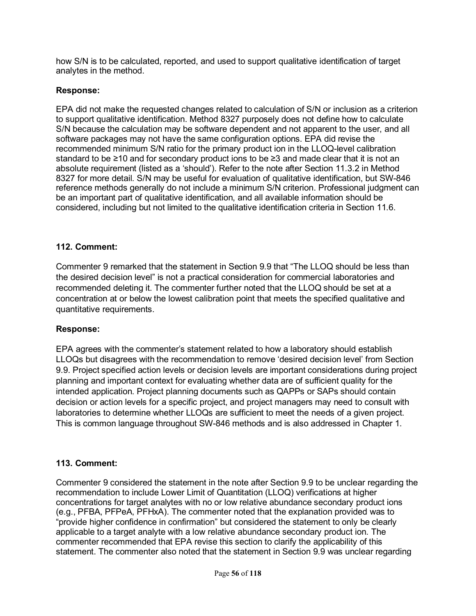how S/N is to be calculated, reported, and used to support qualitative identification of target analytes in the method.

### **Response:**

EPA did not make the requested changes related to calculation of S/N or inclusion as a criterion to support qualitative identification. Method 8327 purposely does not define how to calculate S/N because the calculation may be software dependent and not apparent to the user, and all software packages may not have the same configuration options. EPA did revise the recommended minimum S/N ratio for the primary product ion in the LLOQ-level calibration standard to be ≥10 and for secondary product ions to be ≥3 and made clear that it is not an absolute requirement (listed as a 'should'). Refer to the note after Section 11.3.2 in Method 8327 for more detail. S/N may be useful for evaluation of qualitative identification, but SW-846 reference methods generally do not include a minimum S/N criterion. Professional judgment can be an important part of qualitative identification, and all available information should be considered, including but not limited to the qualitative identification criteria in Section 11.6.

### **112. Comment:**

Commenter 9 remarked that the statement in Section 9.9 that "The LLOQ should be less than the desired decision level" is not a practical consideration for commercial laboratories and recommended deleting it. The commenter further noted that the LLOQ should be set at a concentration at or below the lowest calibration point that meets the specified qualitative and quantitative requirements.

### **Response:**

EPA agrees with the commenter's statement related to how a laboratory should establish LLOQs but disagrees with the recommendation to remove 'desired decision level' from Section 9.9. Project specified action levels or decision levels are important considerations during project planning and important context for evaluating whether data are of sufficient quality for the intended application. Project planning documents such as QAPPs or SAPs should contain decision or action levels for a specific project, and project managers may need to consult with laboratories to determine whether LLOQs are sufficient to meet the needs of a given project. This is common language throughout SW-846 methods and is also addressed in Chapter 1.

### **113. Comment:**

Commenter 9 considered the statement in the note after Section 9.9 to be unclear regarding the recommendation to include Lower Limit of Quantitation (LLOQ) verifications at higher concentrations for target analytes with no or low relative abundance secondary product ions (e.g., PFBA, PFPeA, PFHxA). The commenter noted that the explanation provided was to "provide higher confidence in confirmation" but considered the statement to only be clearly applicable to a target analyte with a low relative abundance secondary product ion. The commenter recommended that EPA revise this section to clarify the applicability of this statement. The commenter also noted that the statement in Section 9.9 was unclear regarding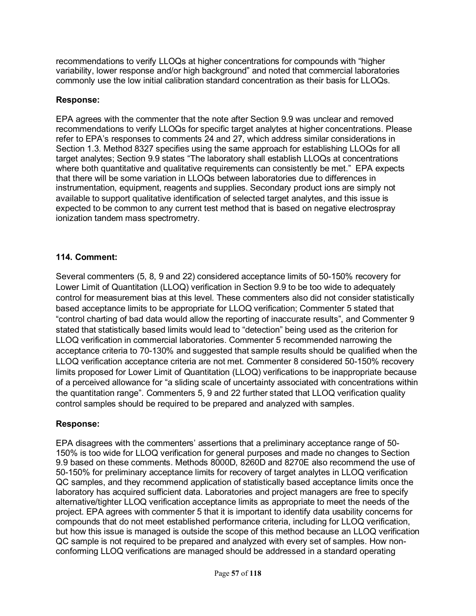recommendations to verify LLOQs at higher concentrations for compounds with "higher variability, lower response and/or high background" and noted that commercial laboratories commonly use the low initial calibration standard concentration as their basis for LLOQs.

#### **Response:**

EPA agrees with the commenter that the note after Section 9.9 was unclear and removed recommendations to verify LLOQs for specific target analytes at higher concentrations. Please refer to EPA's responses to comments 24 and 27, which address similar considerations in Section 1.3. Method 8327 specifies using the same approach for establishing LLOQs for all target analytes; Section 9.9 states "The laboratory shall establish LLOQs at concentrations where both quantitative and qualitative requirements can consistently be met." EPA expects that there will be some variation in LLOQs between laboratories due to differences in instrumentation, equipment, reagents and supplies. Secondary product ions are simply not available to support qualitative identification of selected target analytes, and this issue is expected to be common to any current test method that is based on negative electrospray ionization tandem mass spectrometry.

### **114. Comment:**

Several commenters (5, 8, 9 and 22) considered acceptance limits of 50-150% recovery for Lower Limit of Quantitation (LLOQ) verification in Section 9.9 to be too wide to adequately control for measurement bias at this level. These commenters also did not consider statistically based acceptance limits to be appropriate for LLOQ verification; Commenter 5 stated that "control charting of bad data would allow the reporting of inaccurate results", and Commenter 9 stated that statistically based limits would lead to "detection" being used as the criterion for LLOQ verification in commercial laboratories. Commenter 5 recommended narrowing the acceptance criteria to 70-130% and suggested that sample results should be qualified when the LLOQ verification acceptance criteria are not met. Commenter 8 considered 50-150% recovery limits proposed for Lower Limit of Quantitation (LLOQ) verifications to be inappropriate because of a perceived allowance for "a sliding scale of uncertainty associated with concentrations within the quantitation range". Commenters 5, 9 and 22 further stated that LLOQ verification quality control samples should be required to be prepared and analyzed with samples.

### **Response:**

EPA disagrees with the commenters' assertions that a preliminary acceptance range of 50- 150% is too wide for LLOQ verification for general purposes and made no changes to Section 9.9 based on these comments. Methods 8000D, 8260D and 8270E also recommend the use of 50-150% for preliminary acceptance limits for recovery of target analytes in LLOQ verification QC samples, and they recommend application of statistically based acceptance limits once the laboratory has acquired sufficient data. Laboratories and project managers are free to specify alternative/tighter LLOQ verification acceptance limits as appropriate to meet the needs of the project. EPA agrees with commenter 5 that it is important to identify data usability concerns for compounds that do not meet established performance criteria, including for LLOQ verification, but how this issue is managed is outside the scope of this method because an LLOQ verification QC sample is not required to be prepared and analyzed with every set of samples. How nonconforming LLOQ verifications are managed should be addressed in a standard operating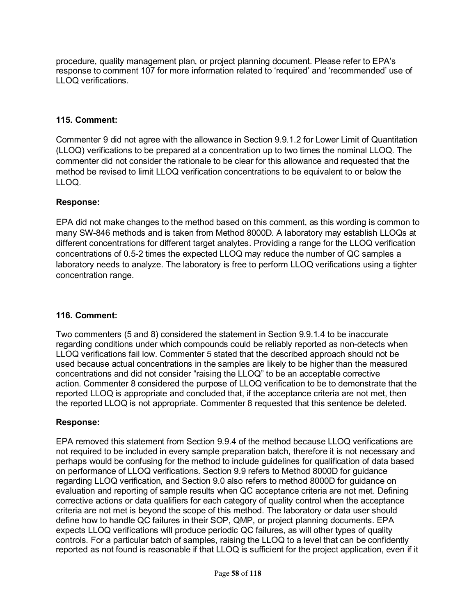procedure, quality management plan, or project planning document. Please refer to EPA's response to comment 107 for more information related to 'required' and 'recommended' use of LLOQ verifications.

### **115. Comment:**

Commenter 9 did not agree with the allowance in Section 9.9.1.2 for Lower Limit of Quantitation (LLOQ) verifications to be prepared at a concentration up to two times the nominal LLOQ. The commenter did not consider the rationale to be clear for this allowance and requested that the method be revised to limit LLOQ verification concentrations to be equivalent to or below the LLOQ.

### **Response:**

EPA did not make changes to the method based on this comment, as this wording is common to many SW-846 methods and is taken from Method 8000D. A laboratory may establish LLOQs at different concentrations for different target analytes. Providing a range for the LLOQ verification concentrations of 0.5-2 times the expected LLOQ may reduce the number of QC samples a laboratory needs to analyze. The laboratory is free to perform LLOQ verifications using a tighter concentration range.

### **116. Comment:**

Two commenters (5 and 8) considered the statement in Section 9.9.1.4 to be inaccurate regarding conditions under which compounds could be reliably reported as non-detects when LLOQ verifications fail low. Commenter 5 stated that the described approach should not be used because actual concentrations in the samples are likely to be higher than the measured concentrations and did not consider "raising the LLOQ" to be an acceptable corrective action. Commenter 8 considered the purpose of LLOQ verification to be to demonstrate that the reported LLOQ is appropriate and concluded that, if the acceptance criteria are not met, then the reported LLOQ is not appropriate. Commenter 8 requested that this sentence be deleted.

## **Response:**

EPA removed this statement from Section 9.9.4 of the method because LLOQ verifications are not required to be included in every sample preparation batch, therefore it is not necessary and perhaps would be confusing for the method to include guidelines for qualification of data based on performance of LLOQ verifications. Section 9.9 refers to Method 8000D for guidance regarding LLOQ verification, and Section 9.0 also refers to method 8000D for guidance on evaluation and reporting of sample results when QC acceptance criteria are not met. Defining corrective actions or data qualifiers for each category of quality control when the acceptance criteria are not met is beyond the scope of this method. The laboratory or data user should define how to handle QC failures in their SOP, QMP, or project planning documents. EPA expects LLOQ verifications will produce periodic QC failures, as will other types of quality controls. For a particular batch of samples, raising the LLOQ to a level that can be confidently reported as not found is reasonable if that LLOQ is sufficient for the project application, even if it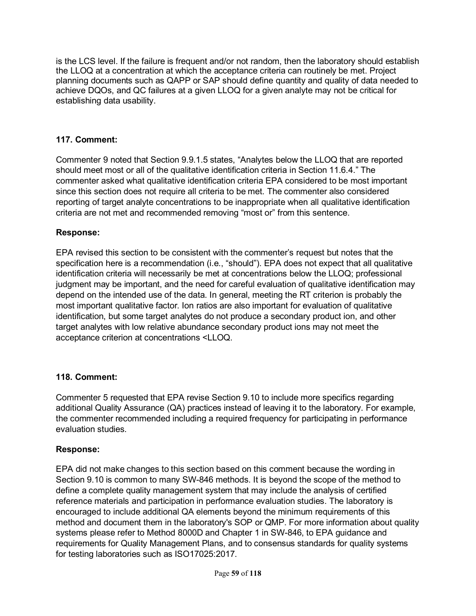is the LCS level. If the failure is frequent and/or not random, then the laboratory should establish the LLOQ at a concentration at which the acceptance criteria can routinely be met. Project planning documents such as QAPP or SAP should define quantity and quality of data needed to achieve DQOs, and QC failures at a given LLOQ for a given analyte may not be critical for establishing data usability.

### **117. Comment:**

Commenter 9 noted that Section 9.9.1.5 states, "Analytes below the LLOQ that are reported should meet most or all of the qualitative identification criteria in Section 11.6.4." The commenter asked what qualitative identification criteria EPA considered to be most important since this section does not require all criteria to be met. The commenter also considered reporting of target analyte concentrations to be inappropriate when all qualitative identification criteria are not met and recommended removing "most or" from this sentence.

### **Response:**

EPA revised this section to be consistent with the commenter's request but notes that the specification here is a recommendation (i.e., "should"). EPA does not expect that all qualitative identification criteria will necessarily be met at concentrations below the LLOQ; professional judgment may be important, and the need for careful evaluation of qualitative identification may depend on the intended use of the data. In general, meeting the RT criterion is probably the most important qualitative factor. Ion ratios are also important for evaluation of qualitative identification, but some target analytes do not produce a secondary product ion, and other target analytes with low relative abundance secondary product ions may not meet the acceptance criterion at concentrations <LLOQ.

## **118. Comment:**

Commenter 5 requested that EPA revise Section 9.10 to include more specifics regarding additional Quality Assurance (QA) practices instead of leaving it to the laboratory. For example, the commenter recommended including a required frequency for participating in performance evaluation studies.

### **Response:**

EPA did not make changes to this section based on this comment because the wording in Section 9.10 is common to many SW-846 methods. It is beyond the scope of the method to define a complete quality management system that may include the analysis of certified reference materials and participation in performance evaluation studies. The laboratory is encouraged to include additional QA elements beyond the minimum requirements of this method and document them in the laboratory's SOP or QMP. For more information about quality systems please refer to Method 8000D and Chapter 1 in SW-846, to EPA guidance and requirements for Quality Management Plans, and to consensus standards for quality systems for testing laboratories such as ISO17025:2017.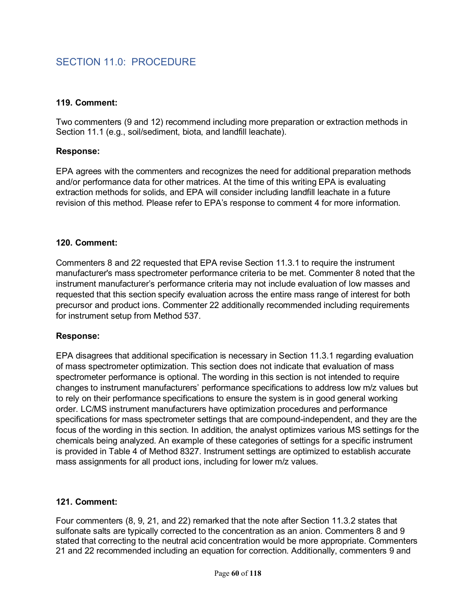# SECTION 11.0: PROCEDURE

#### **119. Comment:**

Two commenters (9 and 12) recommend including more preparation or extraction methods in Section 11.1 (e.g., soil/sediment, biota, and landfill leachate).

#### **Response:**

EPA agrees with the commenters and recognizes the need for additional preparation methods and/or performance data for other matrices. At the time of this writing EPA is evaluating extraction methods for solids, and EPA will consider including landfill leachate in a future revision of this method. Please refer to EPA's response to comment 4 for more information.

#### **120. Comment:**

Commenters 8 and 22 requested that EPA revise Section 11.3.1 to require the instrument manufacturer's mass spectrometer performance criteria to be met. Commenter 8 noted that the instrument manufacturer's performance criteria may not include evaluation of low masses and requested that this section specify evaluation across the entire mass range of interest for both precursor and product ions. Commenter 22 additionally recommended including requirements for instrument setup from Method 537.

#### **Response:**

EPA disagrees that additional specification is necessary in Section 11.3.1 regarding evaluation of mass spectrometer optimization. This section does not indicate that evaluation of mass spectrometer performance is optional. The wording in this section is not intended to require changes to instrument manufacturers' performance specifications to address low m/z values but to rely on their performance specifications to ensure the system is in good general working order. LC/MS instrument manufacturers have optimization procedures and performance specifications for mass spectrometer settings that are compound-independent, and they are the focus of the wording in this section. In addition, the analyst optimizes various MS settings for the chemicals being analyzed. An example of these categories of settings for a specific instrument is provided in Table 4 of Method 8327. Instrument settings are optimized to establish accurate mass assignments for all product ions, including for lower m/z values.

#### **121. Comment:**

Four commenters (8, 9, 21, and 22) remarked that the note after Section 11.3.2 states that sulfonate salts are typically corrected to the concentration as an anion. Commenters 8 and 9 stated that correcting to the neutral acid concentration would be more appropriate. Commenters 21 and 22 recommended including an equation for correction. Additionally, commenters 9 and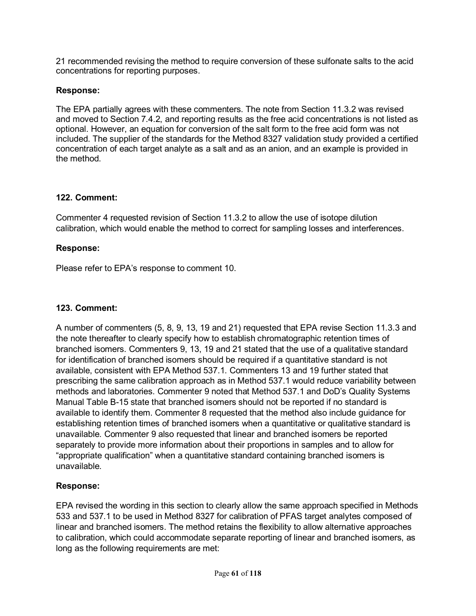21 recommended revising the method to require conversion of these sulfonate salts to the acid concentrations for reporting purposes.

## **Response:**

The EPA partially agrees with these commenters. The note from Section 11.3.2 was revised and moved to Section 7.4.2, and reporting results as the free acid concentrations is not listed as optional. However, an equation for conversion of the salt form to the free acid form was not included. The supplier of the standards for the Method 8327 validation study provided a certified concentration of each target analyte as a salt and as an anion, and an example is provided in the method.

### **122. Comment:**

Commenter 4 requested revision of Section 11.3.2 to allow the use of isotope dilution calibration, which would enable the method to correct for sampling losses and interferences.

### **Response:**

Please refer to EPA's response to comment 10.

## **123. Comment:**

A number of commenters (5, 8, 9, 13, 19 and 21) requested that EPA revise Section 11.3.3 and the note thereafter to clearly specify how to establish chromatographic retention times of branched isomers. Commenters 9, 13, 19 and 21 stated that the use of a qualitative standard for identification of branched isomers should be required if a quantitative standard is not available, consistent with EPA Method 537.1. Commenters 13 and 19 further stated that prescribing the same calibration approach as in Method 537.1 would reduce variability between methods and laboratories. Commenter 9 noted that Method 537.1 and DoD's Quality Systems Manual Table B-15 state that branched isomers should not be reported if no standard is available to identify them. Commenter 8 requested that the method also include guidance for establishing retention times of branched isomers when a quantitative or qualitative standard is unavailable. Commenter 9 also requested that linear and branched isomers be reported separately to provide more information about their proportions in samples and to allow for "appropriate qualification" when a quantitative standard containing branched isomers is unavailable.

## **Response:**

EPA revised the wording in this section to clearly allow the same approach specified in Methods 533 and 537.1 to be used in Method 8327 for calibration of PFAS target analytes composed of linear and branched isomers. The method retains the flexibility to allow alternative approaches to calibration, which could accommodate separate reporting of linear and branched isomers, as long as the following requirements are met: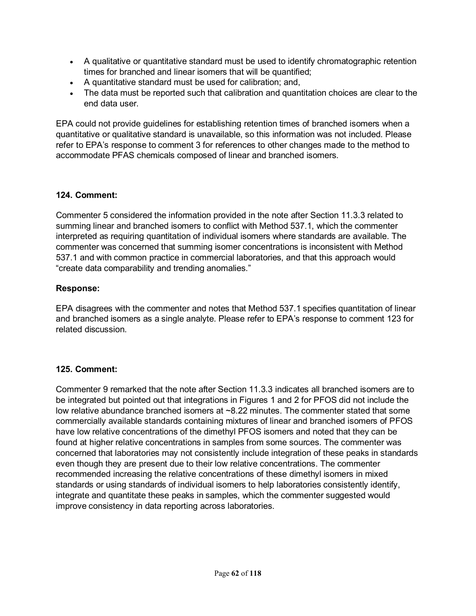- A qualitative or quantitative standard must be used to identify chromatographic retention times for branched and linear isomers that will be quantified;
- A quantitative standard must be used for calibration; and,
- The data must be reported such that calibration and quantitation choices are clear to the end data user.

EPA could not provide guidelines for establishing retention times of branched isomers when a quantitative or qualitative standard is unavailable, so this information was not included. Please refer to EPA's response to comment 3 for references to other changes made to the method to accommodate PFAS chemicals composed of linear and branched isomers.

#### **124. Comment:**

Commenter 5 considered the information provided in the note after Section 11.3.3 related to summing linear and branched isomers to conflict with Method 537.1, which the commenter interpreted as requiring quantitation of individual isomers where standards are available. The commenter was concerned that summing isomer concentrations is inconsistent with Method 537.1 and with common practice in commercial laboratories, and that this approach would "create data comparability and trending anomalies."

#### **Response:**

EPA disagrees with the commenter and notes that Method 537.1 specifies quantitation of linear and branched isomers as a single analyte. Please refer to EPA's response to comment 123 for related discussion.

#### **125. Comment:**

Commenter 9 remarked that the note after Section 11.3.3 indicates all branched isomers are to be integrated but pointed out that integrations in Figures 1 and 2 for PFOS did not include the low relative abundance branched isomers at ~8.22 minutes. The commenter stated that some commercially available standards containing mixtures of linear and branched isomers of PFOS have low relative concentrations of the dimethyl PFOS isomers and noted that they can be found at higher relative concentrations in samples from some sources. The commenter was concerned that laboratories may not consistently include integration of these peaks in standards even though they are present due to their low relative concentrations. The commenter recommended increasing the relative concentrations of these dimethyl isomers in mixed standards or using standards of individual isomers to help laboratories consistently identify, integrate and quantitate these peaks in samples, which the commenter suggested would improve consistency in data reporting across laboratories.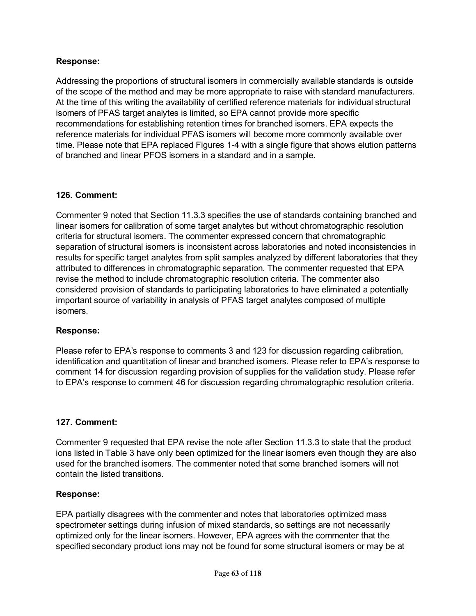Addressing the proportions of structural isomers in commercially available standards is outside of the scope of the method and may be more appropriate to raise with standard manufacturers. At the time of this writing the availability of certified reference materials for individual structural isomers of PFAS target analytes is limited, so EPA cannot provide more specific recommendations for establishing retention times for branched isomers. EPA expects the reference materials for individual PFAS isomers will become more commonly available over time. Please note that EPA replaced Figures 1-4 with a single figure that shows elution patterns of branched and linear PFOS isomers in a standard and in a sample.

### **126. Comment:**

Commenter 9 noted that Section 11.3.3 specifies the use of standards containing branched and linear isomers for calibration of some target analytes but without chromatographic resolution criteria for structural isomers. The commenter expressed concern that chromatographic separation of structural isomers is inconsistent across laboratories and noted inconsistencies in results for specific target analytes from split samples analyzed by different laboratories that they attributed to differences in chromatographic separation. The commenter requested that EPA revise the method to include chromatographic resolution criteria. The commenter also considered provision of standards to participating laboratories to have eliminated a potentially important source of variability in analysis of PFAS target analytes composed of multiple isomers.

### **Response:**

Please refer to EPA's response to comments 3 and 123 for discussion regarding calibration, identification and quantitation of linear and branched isomers. Please refer to EPA's response to comment 14 for discussion regarding provision of supplies for the validation study. Please refer to EPA's response to comment 46 for discussion regarding chromatographic resolution criteria.

### **127. Comment:**

Commenter 9 requested that EPA revise the note after Section 11.3.3 to state that the product ions listed in Table 3 have only been optimized for the linear isomers even though they are also used for the branched isomers. The commenter noted that some branched isomers will not contain the listed transitions.

### **Response:**

EPA partially disagrees with the commenter and notes that laboratories optimized mass spectrometer settings during infusion of mixed standards, so settings are not necessarily optimized only for the linear isomers. However, EPA agrees with the commenter that the specified secondary product ions may not be found for some structural isomers or may be at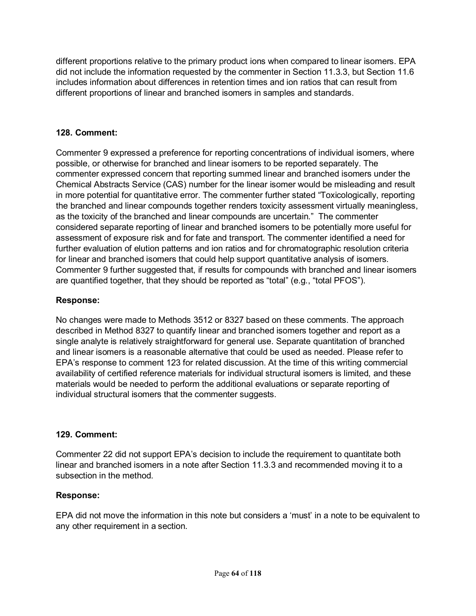different proportions relative to the primary product ions when compared to linear isomers. EPA did not include the information requested by the commenter in Section 11.3.3, but Section 11.6 includes information about differences in retention times and ion ratios that can result from different proportions of linear and branched isomers in samples and standards.

### **128. Comment:**

Commenter 9 expressed a preference for reporting concentrations of individual isomers, where possible, or otherwise for branched and linear isomers to be reported separately. The commenter expressed concern that reporting summed linear and branched isomers under the Chemical Abstracts Service (CAS) number for the linear isomer would be misleading and result in more potential for quantitative error. The commenter further stated "Toxicologically, reporting the branched and linear compounds together renders toxicity assessment virtually meaningless, as the toxicity of the branched and linear compounds are uncertain." The commenter considered separate reporting of linear and branched isomers to be potentially more useful for assessment of exposure risk and for fate and transport. The commenter identified a need for further evaluation of elution patterns and ion ratios and for chromatographic resolution criteria for linear and branched isomers that could help support quantitative analysis of isomers. Commenter 9 further suggested that, if results for compounds with branched and linear isomers are quantified together, that they should be reported as "total" (e.g., "total PFOS").

### **Response:**

No changes were made to Methods 3512 or 8327 based on these comments. The approach described in Method 8327 to quantify linear and branched isomers together and report as a single analyte is relatively straightforward for general use. Separate quantitation of branched and linear isomers is a reasonable alternative that could be used as needed. Please refer to EPA's response to comment 123 for related discussion. At the time of this writing commercial availability of certified reference materials for individual structural isomers is limited, and these materials would be needed to perform the additional evaluations or separate reporting of individual structural isomers that the commenter suggests.

### **129. Comment:**

Commenter 22 did not support EPA's decision to include the requirement to quantitate both linear and branched isomers in a note after Section 11.3.3 and recommended moving it to a subsection in the method.

### **Response:**

EPA did not move the information in this note but considers a 'must' in a note to be equivalent to any other requirement in a section.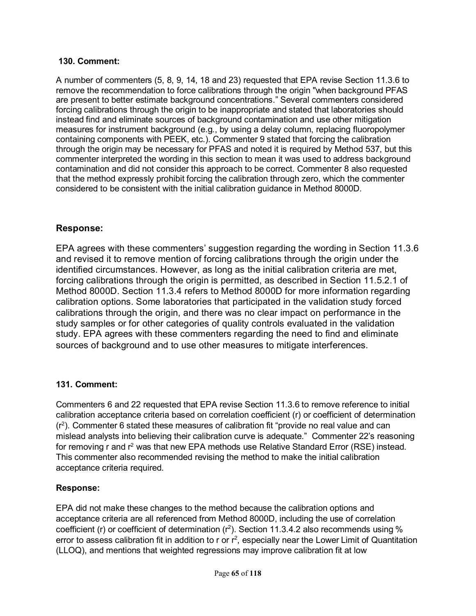A number of commenters (5, 8, 9, 14, 18 and 23) requested that EPA revise Section 11.3.6 to remove the recommendation to force calibrations through the origin "when background PFAS are present to better estimate background concentrations." Several commenters considered forcing calibrations through the origin to be inappropriate and stated that laboratories should instead find and eliminate sources of background contamination and use other mitigation measures for instrument background (e.g., by using a delay column, replacing fluoropolymer containing components with PEEK, etc.). Commenter 9 stated that forcing the calibration through the origin may be necessary for PFAS and noted it is required by Method 537, but this commenter interpreted the wording in this section to mean it was used to address background contamination and did not consider this approach to be correct. Commenter 8 also requested that the method expressly prohibit forcing the calibration through zero, which the commenter considered to be consistent with the initial calibration guidance in Method 8000D.

### **Response:**

EPA agrees with these commenters' suggestion regarding the wording in Section 11.3.6 and revised it to remove mention of forcing calibrations through the origin under the identified circumstances. However, as long as the initial calibration criteria are met, forcing calibrations through the origin is permitted, as described in Section 11.5.2.1 of Method 8000D. Section 11.3.4 refers to Method 8000D for more information regarding calibration options. Some laboratories that participated in the validation study forced calibrations through the origin, and there was no clear impact on performance in the study samples or for other categories of quality controls evaluated in the validation study. EPA agrees with these commenters regarding the need to find and eliminate sources of background and to use other measures to mitigate interferences.

### **131. Comment:**

Commenters 6 and 22 requested that EPA revise Section 11.3.6 to remove reference to initial calibration acceptance criteria based on correlation coefficient (r) or coefficient of determination  $(r<sup>2</sup>)$ . Commenter 6 stated these measures of calibration fit "provide no real value and can mislead analysts into believing their calibration curve is adequate." Commenter 22's reasoning for removing r and  $r^2$  was that new EPA methods use Relative Standard Error (RSE) instead. This commenter also recommended revising the method to make the initial calibration acceptance criteria required.

### **Response:**

EPA did not make these changes to the method because the calibration options and acceptance criteria are all referenced from Method 8000D, including the use of correlation coefficient (r) or coefficient of determination ( $r^2$ ). Section 11.3.4.2 also recommends using % error to assess calibration fit in addition to  $r$  or  $r^2$ , especially near the Lower Limit of Quantitation (LLOQ), and mentions that weighted regressions may improve calibration fit at low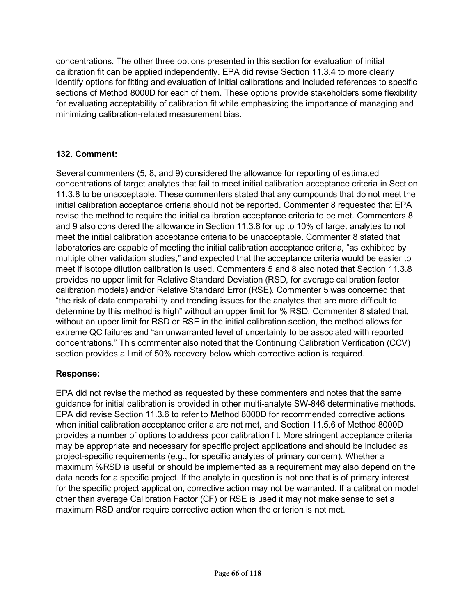concentrations. The other three options presented in this section for evaluation of initial calibration fit can be applied independently. EPA did revise Section 11.3.4 to more clearly identify options for fitting and evaluation of initial calibrations and included references to specific sections of Method 8000D for each of them. These options provide stakeholders some flexibility for evaluating acceptability of calibration fit while emphasizing the importance of managing and minimizing calibration-related measurement bias.

## **132. Comment:**

Several commenters (5, 8, and 9) considered the allowance for reporting of estimated concentrations of target analytes that fail to meet initial calibration acceptance criteria in Section 11.3.8 to be unacceptable. These commenters stated that any compounds that do not meet the initial calibration acceptance criteria should not be reported. Commenter 8 requested that EPA revise the method to require the initial calibration acceptance criteria to be met. Commenters 8 and 9 also considered the allowance in Section 11.3.8 for up to 10% of target analytes to not meet the initial calibration acceptance criteria to be unacceptable. Commenter 8 stated that laboratories are capable of meeting the initial calibration acceptance criteria, "as exhibited by multiple other validation studies," and expected that the acceptance criteria would be easier to meet if isotope dilution calibration is used. Commenters 5 and 8 also noted that Section 11.3.8 provides no upper limit for Relative Standard Deviation (RSD, for average calibration factor calibration models) and/or Relative Standard Error (RSE). Commenter 5 was concerned that "the risk of data comparability and trending issues for the analytes that are more difficult to determine by this method is high" without an upper limit for % RSD. Commenter 8 stated that, without an upper limit for RSD or RSE in the initial calibration section, the method allows for extreme QC failures and "an unwarranted level of uncertainty to be associated with reported concentrations." This commenter also noted that the Continuing Calibration Verification (CCV) section provides a limit of 50% recovery below which corrective action is required.

## **Response:**

EPA did not revise the method as requested by these commenters and notes that the same guidance for initial calibration is provided in other multi-analyte SW-846 determinative methods. EPA did revise Section 11.3.6 to refer to Method 8000D for recommended corrective actions when initial calibration acceptance criteria are not met, and Section 11.5.6 of Method 8000D provides a number of options to address poor calibration fit. More stringent acceptance criteria may be appropriate and necessary for specific project applications and should be included as project-specific requirements (e.g., for specific analytes of primary concern). Whether a maximum %RSD is useful or should be implemented as a requirement may also depend on the data needs for a specific project. If the analyte in question is not one that is of primary interest for the specific project application, corrective action may not be warranted. If a calibration model other than average Calibration Factor (CF) or RSE is used it may not make sense to set a maximum RSD and/or require corrective action when the criterion is not met.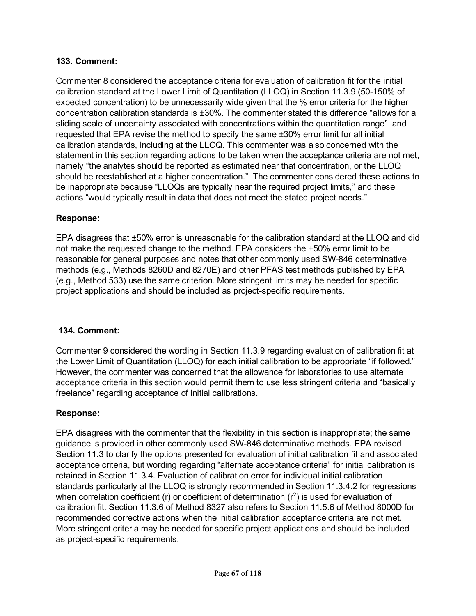Commenter 8 considered the acceptance criteria for evaluation of calibration fit for the initial calibration standard at the Lower Limit of Quantitation (LLOQ) in Section 11.3.9 (50-150% of expected concentration) to be unnecessarily wide given that the % error criteria for the higher concentration calibration standards is ±30%. The commenter stated this difference "allows for a sliding scale of uncertainty associated with concentrations within the quantitation range" and requested that EPA revise the method to specify the same ±30% error limit for all initial calibration standards, including at the LLOQ. This commenter was also concerned with the statement in this section regarding actions to be taken when the acceptance criteria are not met, namely "the analytes should be reported as estimated near that concentration, or the LLOQ should be reestablished at a higher concentration." The commenter considered these actions to be inappropriate because "LLOQs are typically near the required project limits," and these actions "would typically result in data that does not meet the stated project needs."

### **Response:**

EPA disagrees that ±50% error is unreasonable for the calibration standard at the LLOQ and did not make the requested change to the method. EPA considers the ±50% error limit to be reasonable for general purposes and notes that other commonly used SW-846 determinative methods (e.g., Methods 8260D and 8270E) and other PFAS test methods published by EPA (e.g., Method 533) use the same criterion. More stringent limits may be needed for specific project applications and should be included as project-specific requirements.

### **134. Comment:**

Commenter 9 considered the wording in Section 11.3.9 regarding evaluation of calibration fit at the Lower Limit of Quantitation (LLOQ) for each initial calibration to be appropriate "if followed." However, the commenter was concerned that the allowance for laboratories to use alternate acceptance criteria in this section would permit them to use less stringent criteria and "basically freelance" regarding acceptance of initial calibrations.

## **Response:**

EPA disagrees with the commenter that the flexibility in this section is inappropriate; the same guidance is provided in other commonly used SW-846 determinative methods. EPA revised Section 11.3 to clarify the options presented for evaluation of initial calibration fit and associated acceptance criteria, but wording regarding "alternate acceptance criteria" for initial calibration is retained in Section 11.3.4. Evaluation of calibration error for individual initial calibration standards particularly at the LLOQ is strongly recommended in Section 11.3.4.2 for regressions when correlation coefficient (r) or coefficient of determination  $(r^2)$  is used for evaluation of calibration fit. Section 11.3.6 of Method 8327 also refers to Section 11.5.6 of Method 8000D for recommended corrective actions when the initial calibration acceptance criteria are not met. More stringent criteria may be needed for specific project applications and should be included as project-specific requirements.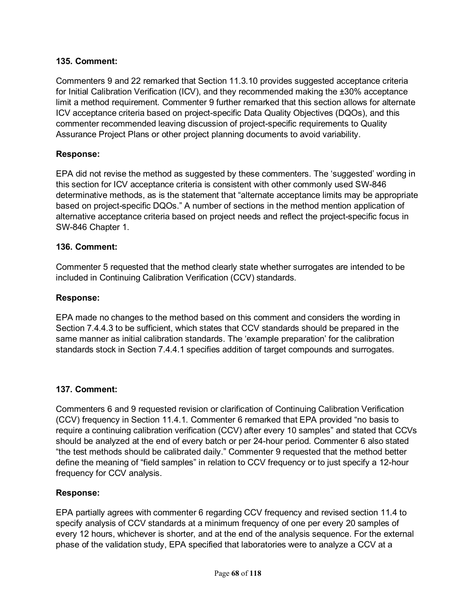Commenters 9 and 22 remarked that Section 11.3.10 provides suggested acceptance criteria for Initial Calibration Verification (ICV), and they recommended making the ±30% acceptance limit a method requirement. Commenter 9 further remarked that this section allows for alternate ICV acceptance criteria based on project-specific Data Quality Objectives (DQOs), and this commenter recommended leaving discussion of project-specific requirements to Quality Assurance Project Plans or other project planning documents to avoid variability.

#### **Response:**

EPA did not revise the method as suggested by these commenters. The 'suggested' wording in this section for ICV acceptance criteria is consistent with other commonly used SW-846 determinative methods, as is the statement that "alternate acceptance limits may be appropriate based on project-specific DQOs." A number of sections in the method mention application of alternative acceptance criteria based on project needs and reflect the project-specific focus in SW-846 Chapter 1.

#### **136. Comment:**

Commenter 5 requested that the method clearly state whether surrogates are intended to be included in Continuing Calibration Verification (CCV) standards.

#### **Response:**

EPA made no changes to the method based on this comment and considers the wording in Section 7.4.4.3 to be sufficient, which states that CCV standards should be prepared in the same manner as initial calibration standards. The 'example preparation' for the calibration standards stock in Section 7.4.4.1 specifies addition of target compounds and surrogates.

#### **137. Comment:**

Commenters 6 and 9 requested revision or clarification of Continuing Calibration Verification (CCV) frequency in Section 11.4.1. Commenter 6 remarked that EPA provided "no basis to require a continuing calibration verification (CCV) after every 10 samples" and stated that CCVs should be analyzed at the end of every batch or per 24-hour period. Commenter 6 also stated "the test methods should be calibrated daily." Commenter 9 requested that the method better define the meaning of "field samples" in relation to CCV frequency or to just specify a 12-hour frequency for CCV analysis.

#### **Response:**

EPA partially agrees with commenter 6 regarding CCV frequency and revised section 11.4 to specify analysis of CCV standards at a minimum frequency of one per every 20 samples of every 12 hours, whichever is shorter, and at the end of the analysis sequence. For the external phase of the validation study, EPA specified that laboratories were to analyze a CCV at a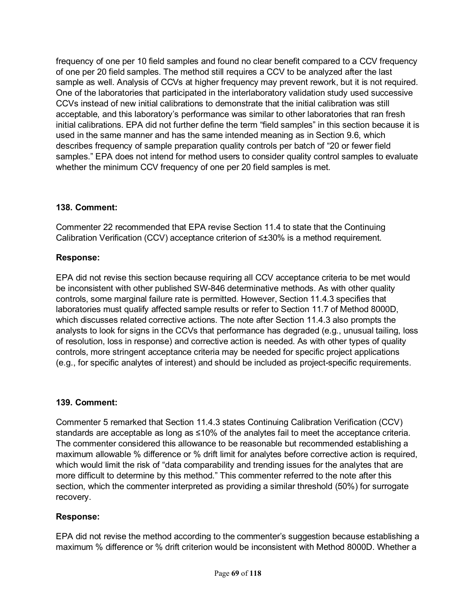frequency of one per 10 field samples and found no clear benefit compared to a CCV frequency of one per 20 field samples. The method still requires a CCV to be analyzed after the last sample as well. Analysis of CCVs at higher frequency may prevent rework, but it is not required. One of the laboratories that participated in the interlaboratory validation study used successive CCVs instead of new initial calibrations to demonstrate that the initial calibration was still acceptable, and this laboratory's performance was similar to other laboratories that ran fresh initial calibrations. EPA did not further define the term "field samples" in this section because it is used in the same manner and has the same intended meaning as in Section 9.6, which describes frequency of sample preparation quality controls per batch of "20 or fewer field samples." EPA does not intend for method users to consider quality control samples to evaluate whether the minimum CCV frequency of one per 20 field samples is met.

## **138. Comment:**

Commenter 22 recommended that EPA revise Section 11.4 to state that the Continuing Calibration Verification (CCV) acceptance criterion of  $\leq \pm 30\%$  is a method requirement.

### **Response:**

EPA did not revise this section because requiring all CCV acceptance criteria to be met would be inconsistent with other published SW-846 determinative methods. As with other quality controls, some marginal failure rate is permitted. However, Section 11.4.3 specifies that laboratories must qualify affected sample results or refer to Section 11.7 of Method 8000D, which discusses related corrective actions. The note after Section 11.4.3 also prompts the analysts to look for signs in the CCVs that performance has degraded (e.g., unusual tailing, loss of resolution, loss in response) and corrective action is needed. As with other types of quality controls, more stringent acceptance criteria may be needed for specific project applications (e.g., for specific analytes of interest) and should be included as project-specific requirements.

## **139. Comment:**

Commenter 5 remarked that Section 11.4.3 states Continuing Calibration Verification (CCV) standards are acceptable as long as ≤10% of the analytes fail to meet the acceptance criteria. The commenter considered this allowance to be reasonable but recommended establishing a maximum allowable % difference or % drift limit for analytes before corrective action is required, which would limit the risk of "data comparability and trending issues for the analytes that are more difficult to determine by this method." This commenter referred to the note after this section, which the commenter interpreted as providing a similar threshold (50%) for surrogate recovery.

### **Response:**

EPA did not revise the method according to the commenter's suggestion because establishing a maximum % difference or % drift criterion would be inconsistent with Method 8000D. Whether a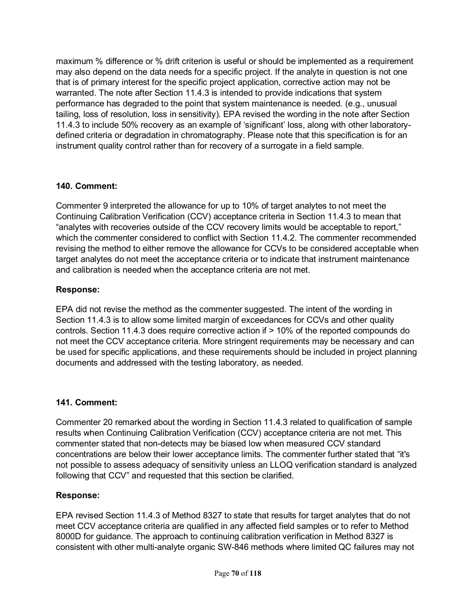maximum % difference or % drift criterion is useful or should be implemented as a requirement may also depend on the data needs for a specific project. If the analyte in question is not one that is of primary interest for the specific project application, corrective action may not be warranted. The note after Section 11.4.3 is intended to provide indications that system performance has degraded to the point that system maintenance is needed. (e.g., unusual tailing, loss of resolution, loss in sensitivity). EPA revised the wording in the note after Section 11.4.3 to include 50% recovery as an example of 'significant' loss, along with other laboratorydefined criteria or degradation in chromatography. Please note that this specification is for an instrument quality control rather than for recovery of a surrogate in a field sample.

### **140. Comment:**

Commenter 9 interpreted the allowance for up to 10% of target analytes to not meet the Continuing Calibration Verification (CCV) acceptance criteria in Section 11.4.3 to mean that "analytes with recoveries outside of the CCV recovery limits would be acceptable to report," which the commenter considered to conflict with Section 11.4.2. The commenter recommended revising the method to either remove the allowance for CCVs to be considered acceptable when target analytes do not meet the acceptance criteria or to indicate that instrument maintenance and calibration is needed when the acceptance criteria are not met.

### **Response:**

EPA did not revise the method as the commenter suggested. The intent of the wording in Section 11.4.3 is to allow some limited margin of exceedances for CCVs and other quality controls. Section 11.4.3 does require corrective action if > 10% of the reported compounds do not meet the CCV acceptance criteria. More stringent requirements may be necessary and can be used for specific applications, and these requirements should be included in project planning documents and addressed with the testing laboratory, as needed.

## **141. Comment:**

Commenter 20 remarked about the wording in Section 11.4.3 related to qualification of sample results when Continuing Calibration Verification (CCV) acceptance criteria are not met. This commenter stated that non-detects may be biased low when measured CCV standard concentrations are below their lower acceptance limits. The commenter further stated that "it's not possible to assess adequacy of sensitivity unless an LLOQ verification standard is analyzed following that CCV" and requested that this section be clarified.

### **Response:**

EPA revised Section 11.4.3 of Method 8327 to state that results for target analytes that do not meet CCV acceptance criteria are qualified in any affected field samples or to refer to Method 8000D for guidance. The approach to continuing calibration verification in Method 8327 is consistent with other multi-analyte organic SW-846 methods where limited QC failures may not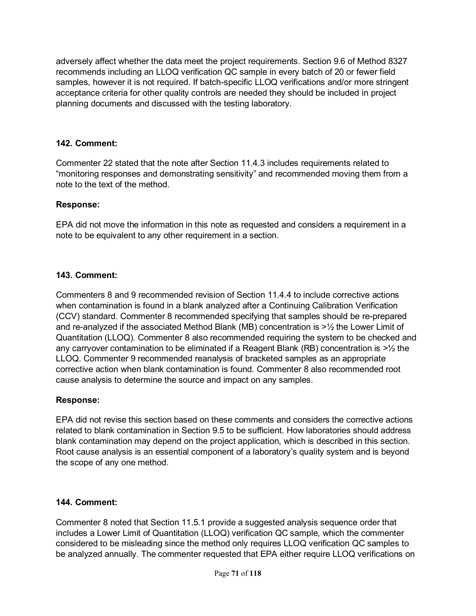adversely affect whether the data meet the project requirements. Section 9.6 of Method 8327 recommends including an LLOQ verification QC sample in every batch of 20 or fewer field samples, however it is not required. If batch-specific LLOQ verifications and/or more stringent acceptance criteria for other quality controls are needed they should be included in project planning documents and discussed with the testing laboratory.

### **142. Comment:**

Commenter 22 stated that the note after Section 11.4.3 includes requirements related to "monitoring responses and demonstrating sensitivity" and recommended moving them from a note to the text of the method.

### **Response:**

EPA did not move the information in this note as requested and considers a requirement in a note to be equivalent to any other requirement in a section.

### **143. Comment:**

Commenters 8 and 9 recommended revision of Section 11.4.4 to include corrective actions when contamination is found in a blank analyzed after a Continuing Calibration Verification (CCV) standard. Commenter 8 recommended specifying that samples should be re-prepared and re-analyzed if the associated Method Blank (MB) concentration is >½ the Lower Limit of Quantitation (LLOQ). Commenter 8 also recommended requiring the system to be checked and any carryover contamination to be eliminated if a Reagent Blank (RB) concentration is >½ the LLOQ. Commenter 9 recommended reanalysis of bracketed samples as an appropriate corrective action when blank contamination is found. Commenter 8 also recommended root cause analysis to determine the source and impact on any samples.

### **Response:**

EPA did not revise this section based on these comments and considers the corrective actions related to blank contamination in Section 9.5 to be sufficient. How laboratories should address blank contamination may depend on the project application, which is described in this section. Root cause analysis is an essential component of a laboratory's quality system and is beyond the scope of any one method.

### **144. Comment:**

Commenter 8 noted that Section 11.5.1 provide a suggested analysis sequence order that includes a Lower Limit of Quantitation (LLOQ) verification QC sample, which the commenter considered to be misleading since the method only requires LLOQ verification QC samples to be analyzed annually. The commenter requested that EPA either require LLOQ verifications on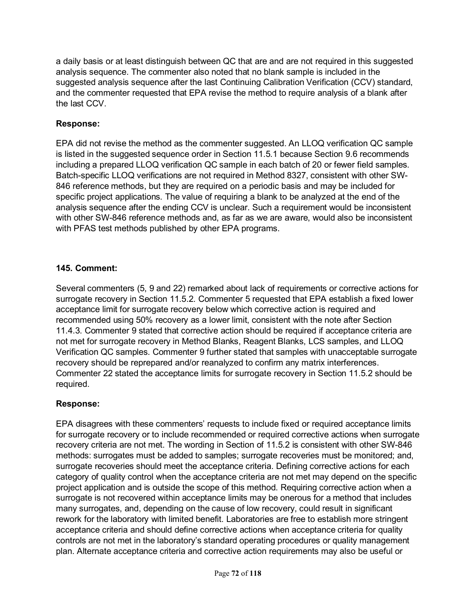a daily basis or at least distinguish between QC that are and are not required in this suggested analysis sequence. The commenter also noted that no blank sample is included in the suggested analysis sequence after the last Continuing Calibration Verification (CCV) standard, and the commenter requested that EPA revise the method to require analysis of a blank after the last CCV.

## **Response:**

EPA did not revise the method as the commenter suggested. An LLOQ verification QC sample is listed in the suggested sequence order in Section 11.5.1 because Section 9.6 recommends including a prepared LLOQ verification QC sample in each batch of 20 or fewer field samples. Batch-specific LLOQ verifications are not required in Method 8327, consistent with other SW-846 reference methods, but they are required on a periodic basis and may be included for specific project applications. The value of requiring a blank to be analyzed at the end of the analysis sequence after the ending CCV is unclear. Such a requirement would be inconsistent with other SW-846 reference methods and, as far as we are aware, would also be inconsistent with PFAS test methods published by other EPA programs.

### **145. Comment:**

Several commenters (5, 9 and 22) remarked about lack of requirements or corrective actions for surrogate recovery in Section 11.5.2. Commenter 5 requested that EPA establish a fixed lower acceptance limit for surrogate recovery below which corrective action is required and recommended using 50% recovery as a lower limit, consistent with the note after Section 11.4.3. Commenter 9 stated that corrective action should be required if acceptance criteria are not met for surrogate recovery in Method Blanks, Reagent Blanks, LCS samples, and LLOQ Verification QC samples. Commenter 9 further stated that samples with unacceptable surrogate recovery should be reprepared and/or reanalyzed to confirm any matrix interferences. Commenter 22 stated the acceptance limits for surrogate recovery in Section 11.5.2 should be required.

### **Response:**

EPA disagrees with these commenters' requests to include fixed or required acceptance limits for surrogate recovery or to include recommended or required corrective actions when surrogate recovery criteria are not met. The wording in Section of 11.5.2 is consistent with other SW-846 methods: surrogates must be added to samples; surrogate recoveries must be monitored; and, surrogate recoveries should meet the acceptance criteria. Defining corrective actions for each category of quality control when the acceptance criteria are not met may depend on the specific project application and is outside the scope of this method. Requiring corrective action when a surrogate is not recovered within acceptance limits may be onerous for a method that includes many surrogates, and, depending on the cause of low recovery, could result in significant rework for the laboratory with limited benefit. Laboratories are free to establish more stringent acceptance criteria and should define corrective actions when acceptance criteria for quality controls are not met in the laboratory's standard operating procedures or quality management plan. Alternate acceptance criteria and corrective action requirements may also be useful or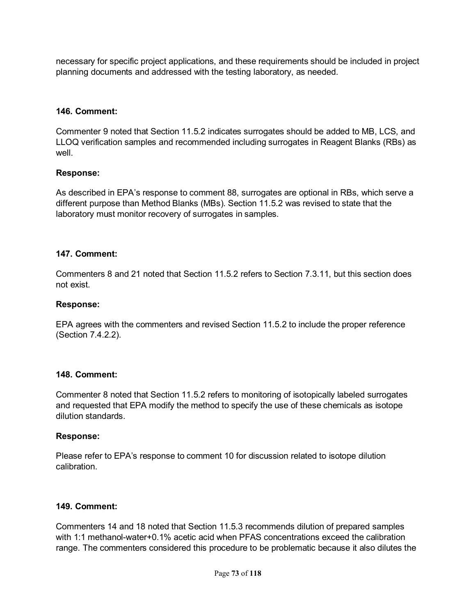necessary for specific project applications, and these requirements should be included in project planning documents and addressed with the testing laboratory, as needed.

#### **146. Comment:**

Commenter 9 noted that Section 11.5.2 indicates surrogates should be added to MB, LCS, and LLOQ verification samples and recommended including surrogates in Reagent Blanks (RBs) as well.

#### **Response:**

As described in EPA's response to comment 88, surrogates are optional in RBs, which serve a different purpose than Method Blanks (MBs). Section 11.5.2 was revised to state that the laboratory must monitor recovery of surrogates in samples.

#### **147. Comment:**

Commenters 8 and 21 noted that Section 11.5.2 refers to Section 7.3.11, but this section does not exist.

#### **Response:**

EPA agrees with the commenters and revised Section 11.5.2 to include the proper reference (Section 7.4.2.2).

#### **148. Comment:**

Commenter 8 noted that Section 11.5.2 refers to monitoring of isotopically labeled surrogates and requested that EPA modify the method to specify the use of these chemicals as isotope dilution standards.

#### **Response:**

Please refer to EPA's response to comment 10 for discussion related to isotope dilution calibration.

#### **149. Comment:**

Commenters 14 and 18 noted that Section 11.5.3 recommends dilution of prepared samples with 1:1 methanol-water+0.1% acetic acid when PFAS concentrations exceed the calibration range. The commenters considered this procedure to be problematic because it also dilutes the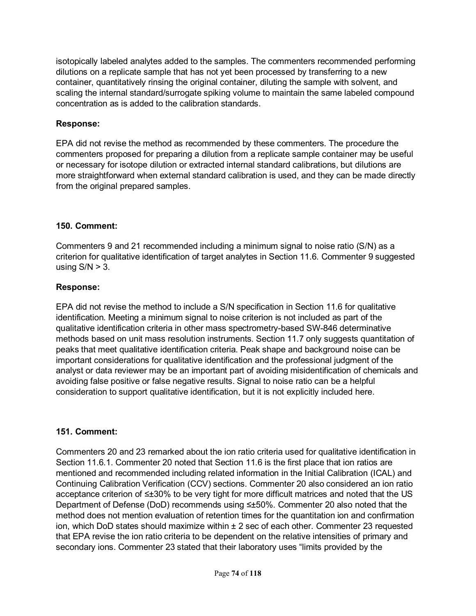isotopically labeled analytes added to the samples. The commenters recommended performing dilutions on a replicate sample that has not yet been processed by transferring to a new container, quantitatively rinsing the original container, diluting the sample with solvent, and scaling the internal standard/surrogate spiking volume to maintain the same labeled compound concentration as is added to the calibration standards.

### **Response:**

EPA did not revise the method as recommended by these commenters. The procedure the commenters proposed for preparing a dilution from a replicate sample container may be useful or necessary for isotope dilution or extracted internal standard calibrations, but dilutions are more straightforward when external standard calibration is used, and they can be made directly from the original prepared samples.

### **150. Comment:**

Commenters 9 and 21 recommended including a minimum signal to noise ratio (S/N) as a criterion for qualitative identification of target analytes in Section 11.6. Commenter 9 suggested using  $S/N > 3$ .

### **Response:**

EPA did not revise the method to include a S/N specification in Section 11.6 for qualitative identification. Meeting a minimum signal to noise criterion is not included as part of the qualitative identification criteria in other mass spectrometry-based SW-846 determinative methods based on unit mass resolution instruments. Section 11.7 only suggests quantitation of peaks that meet qualitative identification criteria. Peak shape and background noise can be important considerations for qualitative identification and the professional judgment of the analyst or data reviewer may be an important part of avoiding misidentification of chemicals and avoiding false positive or false negative results. Signal to noise ratio can be a helpful consideration to support qualitative identification, but it is not explicitly included here.

### **151. Comment:**

Commenters 20 and 23 remarked about the ion ratio criteria used for qualitative identification in Section 11.6.1. Commenter 20 noted that Section 11.6 is the first place that ion ratios are mentioned and recommended including related information in the Initial Calibration (ICAL) and Continuing Calibration Verification (CCV) sections. Commenter 20 also considered an ion ratio acceptance criterion of ≤±30% to be very tight for more difficult matrices and noted that the US Department of Defense (DoD) recommends using ≤±50%. Commenter 20 also noted that the method does not mention evaluation of retention times for the quantitation ion and confirmation ion, which DoD states should maximize within ± 2 sec of each other. Commenter 23 requested that EPA revise the ion ratio criteria to be dependent on the relative intensities of primary and secondary ions. Commenter 23 stated that their laboratory uses "limits provided by the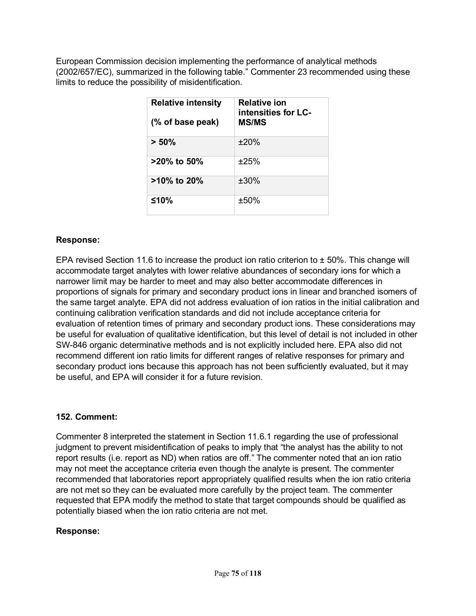European Commission decision implementing the performance of analytical methods (2002/657/EC), summarized in the following table." Commenter 23 recommended using these limits to reduce the possibility of misidentification.

| <b>Relative intensity</b><br>(% of base peak) | <b>Relative ion</b><br>intensities for LC-<br><b>MS/MS</b> |
|-----------------------------------------------|------------------------------------------------------------|
| > 50%                                         | ±20%                                                       |
| $>20\%$ to 50%                                | ±25%                                                       |
| $>10\%$ to 20%                                | $±30\%$                                                    |
| ≤10%                                          | ±50%                                                       |

### **Response:**

EPA revised Section 11.6 to increase the product ion ratio criterion to ± 50%. This change will accommodate target analytes with lower relative abundances of secondary ions for which a narrower limit may be harder to meet and may also better accommodate differences in proportions of signals for primary and secondary product ions in linear and branched isomers of the same target analyte. EPA did not address evaluation of ion ratios in the initial calibration and continuing calibration verification standards and did not include acceptance criteria for evaluation of retention times of primary and secondary product ions. These considerations may be useful for evaluation of qualitative identification, but this level of detail is not included in other SW-846 organic determinative methods and is not explicitly included here. EPA also did not recommend different ion ratio limits for different ranges of relative responses for primary and secondary product ions because this approach has not been sufficiently evaluated, but it may be useful, and EPA will consider it for a future revision.

### **152. Comment:**

Commenter 8 interpreted the statement in Section 11.6.1 regarding the use of professional judgment to prevent misidentification of peaks to imply that "the analyst has the ability to not report results (i.e. report as ND) when ratios are off." The commenter noted that an ion ratio may not meet the acceptance criteria even though the analyte is present. The commenter recommended that laboratories report appropriately qualified results when the ion ratio criteria are not met so they can be evaluated more carefully by the project team. The commenter requested that EPA modify the method to state that target compounds should be qualified as potentially biased when the ion ratio criteria are not met.

### **Response:**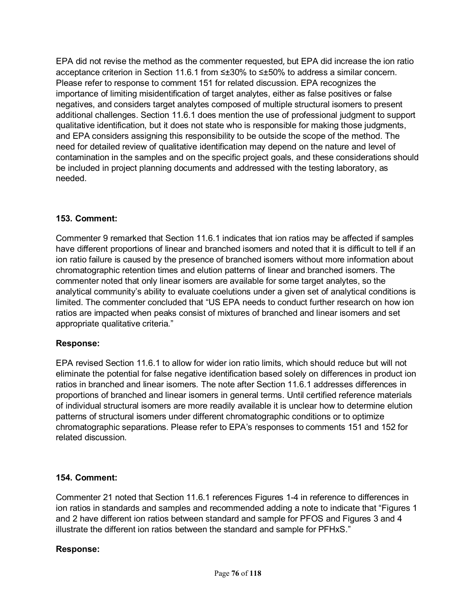EPA did not revise the method as the commenter requested, but EPA did increase the ion ratio acceptance criterion in Section 11.6.1 from ≤±30% to ≤±50% to address a similar concern. Please refer to response to comment 151 for related discussion. EPA recognizes the importance of limiting misidentification of target analytes, either as false positives or false negatives, and considers target analytes composed of multiple structural isomers to present additional challenges. Section 11.6.1 does mention the use of professional judgment to support qualitative identification, but it does not state who is responsible for making those judgments, and EPA considers assigning this responsibility to be outside the scope of the method. The need for detailed review of qualitative identification may depend on the nature and level of contamination in the samples and on the specific project goals, and these considerations should be included in project planning documents and addressed with the testing laboratory, as needed.

### **153. Comment:**

Commenter 9 remarked that Section 11.6.1 indicates that ion ratios may be affected if samples have different proportions of linear and branched isomers and noted that it is difficult to tell if an ion ratio failure is caused by the presence of branched isomers without more information about chromatographic retention times and elution patterns of linear and branched isomers. The commenter noted that only linear isomers are available for some target analytes, so the analytical community's ability to evaluate coelutions under a given set of analytical conditions is limited. The commenter concluded that "US EPA needs to conduct further research on how ion ratios are impacted when peaks consist of mixtures of branched and linear isomers and set appropriate qualitative criteria."

### **Response:**

EPA revised Section 11.6.1 to allow for wider ion ratio limits, which should reduce but will not eliminate the potential for false negative identification based solely on differences in product ion ratios in branched and linear isomers. The note after Section 11.6.1 addresses differences in proportions of branched and linear isomers in general terms. Until certified reference materials of individual structural isomers are more readily available it is unclear how to determine elution patterns of structural isomers under different chromatographic conditions or to optimize chromatographic separations. Please refer to EPA's responses to comments 151 and 152 for related discussion.

### **154. Comment:**

Commenter 21 noted that Section 11.6.1 references Figures 1-4 in reference to differences in ion ratios in standards and samples and recommended adding a note to indicate that "Figures 1 and 2 have different ion ratios between standard and sample for PFOS and Figures 3 and 4 illustrate the different ion ratios between the standard and sample for PFHxS."

### **Response:**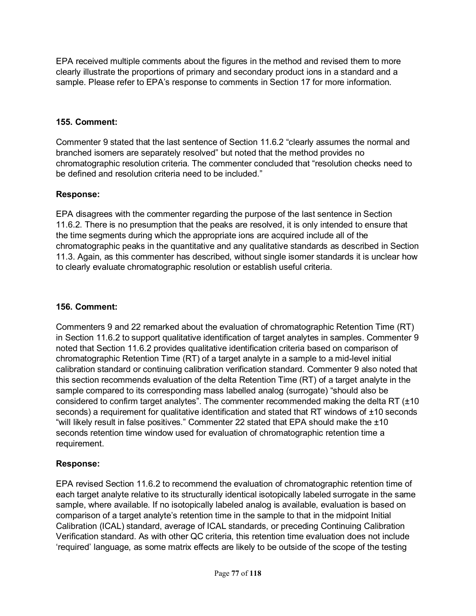EPA received multiple comments about the figures in the method and revised them to more clearly illustrate the proportions of primary and secondary product ions in a standard and a sample. Please refer to EPA's response to comments in Section 17 for more information.

### **155. Comment:**

Commenter 9 stated that the last sentence of Section 11.6.2 "clearly assumes the normal and branched isomers are separately resolved" but noted that the method provides no chromatographic resolution criteria. The commenter concluded that "resolution checks need to be defined and resolution criteria need to be included."

### **Response:**

EPA disagrees with the commenter regarding the purpose of the last sentence in Section 11.6.2. There is no presumption that the peaks are resolved, it is only intended to ensure that the time segments during which the appropriate ions are acquired include all of the chromatographic peaks in the quantitative and any qualitative standards as described in Section 11.3. Again, as this commenter has described, without single isomer standards it is unclear how to clearly evaluate chromatographic resolution or establish useful criteria.

### **156. Comment:**

Commenters 9 and 22 remarked about the evaluation of chromatographic Retention Time (RT) in Section 11.6.2 to support qualitative identification of target analytes in samples. Commenter 9 noted that Section 11.6.2 provides qualitative identification criteria based on comparison of chromatographic Retention Time (RT) of a target analyte in a sample to a mid-level initial calibration standard or continuing calibration verification standard. Commenter 9 also noted that this section recommends evaluation of the delta Retention Time (RT) of a target analyte in the sample compared to its corresponding mass labelled analog (surrogate) "should also be considered to confirm target analytes". The commenter recommended making the delta RT (±10 seconds) a requirement for qualitative identification and stated that RT windows of ±10 seconds "will likely result in false positives." Commenter 22 stated that EPA should make the ±10 seconds retention time window used for evaluation of chromatographic retention time a requirement.

### **Response:**

EPA revised Section 11.6.2 to recommend the evaluation of chromatographic retention time of each target analyte relative to its structurally identical isotopically labeled surrogate in the same sample, where available. If no isotopically labeled analog is available, evaluation is based on comparison of a target analyte's retention time in the sample to that in the midpoint Initial Calibration (ICAL) standard, average of ICAL standards, or preceding Continuing Calibration Verification standard. As with other QC criteria, this retention time evaluation does not include 'required' language, as some matrix effects are likely to be outside of the scope of the testing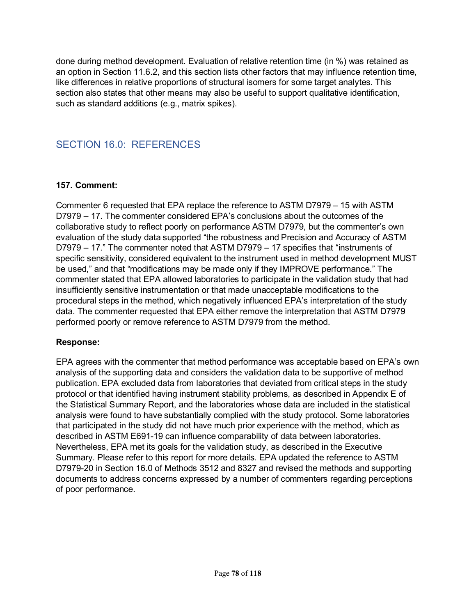done during method development. Evaluation of relative retention time (in %) was retained as an option in Section 11.6.2, and this section lists other factors that may influence retention time, like differences in relative proportions of structural isomers for some target analytes. This section also states that other means may also be useful to support qualitative identification, such as standard additions (e.g., matrix spikes).

## SECTION 16.0: REFERENCES

### **157. Comment:**

Commenter 6 requested that EPA replace the reference to ASTM D7979 – 15 with ASTM D7979 – 17. The commenter considered EPA's conclusions about the outcomes of the collaborative study to reflect poorly on performance ASTM D7979, but the commenter's own evaluation of the study data supported "the robustness and Precision and Accuracy of ASTM D7979 – 17." The commenter noted that ASTM D7979 – 17 specifies that "instruments of specific sensitivity, considered equivalent to the instrument used in method development MUST be used," and that "modifications may be made only if they IMPROVE performance." The commenter stated that EPA allowed laboratories to participate in the validation study that had insufficiently sensitive instrumentation or that made unacceptable modifications to the procedural steps in the method, which negatively influenced EPA's interpretation of the study data. The commenter requested that EPA either remove the interpretation that ASTM D7979 performed poorly or remove reference to ASTM D7979 from the method.

### **Response:**

EPA agrees with the commenter that method performance was acceptable based on EPA's own analysis of the supporting data and considers the validation data to be supportive of method publication. EPA excluded data from laboratories that deviated from critical steps in the study protocol or that identified having instrument stability problems, as described in Appendix E of the Statistical Summary Report, and the laboratories whose data are included in the statistical analysis were found to have substantially complied with the study protocol. Some laboratories that participated in the study did not have much prior experience with the method, which as described in ASTM E691-19 can influence comparability of data between laboratories. Nevertheless, EPA met its goals for the validation study, as described in the Executive Summary. Please refer to this report for more details. EPA updated the reference to ASTM D7979-20 in Section 16.0 of Methods 3512 and 8327 and revised the methods and supporting documents to address concerns expressed by a number of commenters regarding perceptions of poor performance.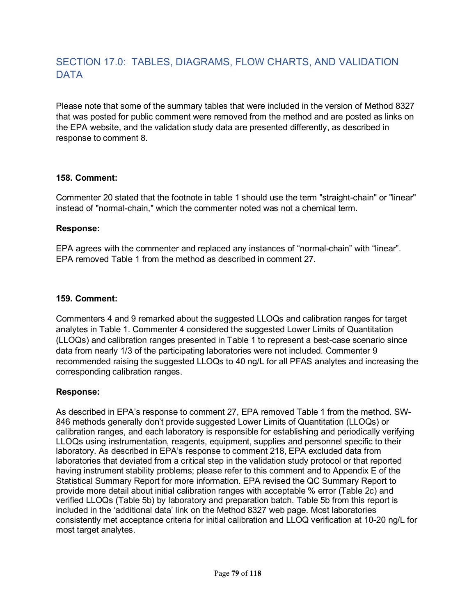## SECTION 17.0: TABLES, DIAGRAMS, FLOW CHARTS, AND VALIDATION **DATA**

Please note that some of the summary tables that were included in the version of Method 8327 that was posted for public comment were removed from the method and are posted as links on the EPA website, and the validation study data are presented differently, as described in response to comment 8.

#### **158. Comment:**

Commenter 20 stated that the footnote in table 1 should use the term "straight-chain" or "linear" instead of "normal-chain," which the commenter noted was not a chemical term.

#### **Response:**

EPA agrees with the commenter and replaced any instances of "normal-chain" with "linear". EPA removed Table 1 from the method as described in comment 27.

#### **159. Comment:**

Commenters 4 and 9 remarked about the suggested LLOQs and calibration ranges for target analytes in Table 1. Commenter 4 considered the suggested Lower Limits of Quantitation (LLOQs) and calibration ranges presented in Table 1 to represent a best-case scenario since data from nearly 1/3 of the participating laboratories were not included. Commenter 9 recommended raising the suggested LLOQs to 40 ng/L for all PFAS analytes and increasing the corresponding calibration ranges.

#### **Response:**

As described in EPA's response to comment 27, EPA removed Table 1 from the method. SW-846 methods generally don't provide suggested Lower Limits of Quantitation (LLOQs) or calibration ranges, and each laboratory is responsible for establishing and periodically verifying LLOQs using instrumentation, reagents, equipment, supplies and personnel specific to their laboratory. As described in EPA's response to comment 218, EPA excluded data from laboratories that deviated from a critical step in the validation study protocol or that reported having instrument stability problems; please refer to this comment and to Appendix E of the Statistical Summary Report for more information. EPA revised the QC Summary Report to provide more detail about initial calibration ranges with acceptable % error (Table 2c) and verified LLOQs (Table 5b) by laboratory and preparation batch. Table 5b from this report is included in the 'additional data' link on the Method 8327 web page. Most laboratories consistently met acceptance criteria for initial calibration and LLOQ verification at 10-20 ng/L for most target analytes.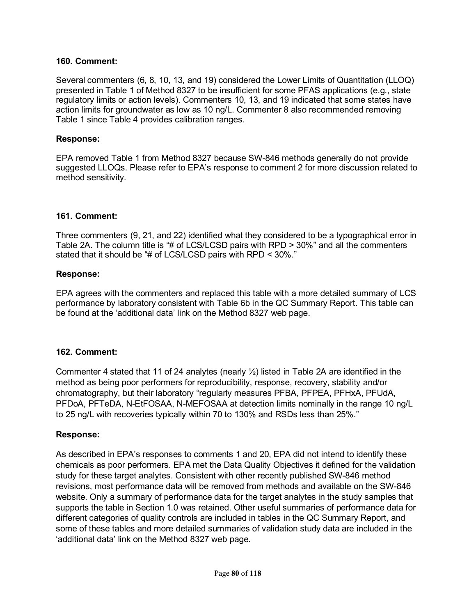Several commenters (6, 8, 10, 13, and 19) considered the Lower Limits of Quantitation (LLOQ) presented in Table 1 of Method 8327 to be insufficient for some PFAS applications (e.g., state regulatory limits or action levels). Commenters 10, 13, and 19 indicated that some states have action limits for groundwater as low as 10 ng/L. Commenter 8 also recommended removing Table 1 since Table 4 provides calibration ranges.

#### **Response:**

EPA removed Table 1 from Method 8327 because SW-846 methods generally do not provide suggested LLOQs. Please refer to EPA's response to comment 2 for more discussion related to method sensitivity.

#### **161. Comment:**

Three commenters (9, 21, and 22) identified what they considered to be a typographical error in Table 2A. The column title is "# of LCS/LCSD pairs with RPD > 30%" and all the commenters stated that it should be "# of LCS/LCSD pairs with RPD < 30%."

#### **Response:**

EPA agrees with the commenters and replaced this table with a more detailed summary of LCS performance by laboratory consistent with Table 6b in the QC Summary Report. This table can be found at the 'additional data' link on the Method 8327 web page.

#### **162. Comment:**

Commenter 4 stated that 11 of 24 analytes (nearly ½) listed in Table 2A are identified in the method as being poor performers for reproducibility, response, recovery, stability and/or chromatography, but their laboratory "regularly measures PFBA, PFPEA, PFHxA, PFUdA, PFDoA, PFTeDA, N-EtFOSAA, N-MEFOSAA at detection limits nominally in the range 10 ng/L to 25 ng/L with recoveries typically within 70 to 130% and RSDs less than 25%."

#### **Response:**

As described in EPA's responses to comments 1 and 20, EPA did not intend to identify these chemicals as poor performers. EPA met the Data Quality Objectives it defined for the validation study for these target analytes. Consistent with other recently published SW-846 method revisions, most performance data will be removed from methods and available on the SW-846 website. Only a summary of performance data for the target analytes in the study samples that supports the table in Section 1.0 was retained. Other useful summaries of performance data for different categories of quality controls are included in tables in the QC Summary Report, and some of these tables and more detailed summaries of validation study data are included in the 'additional data' link on the Method 8327 web page.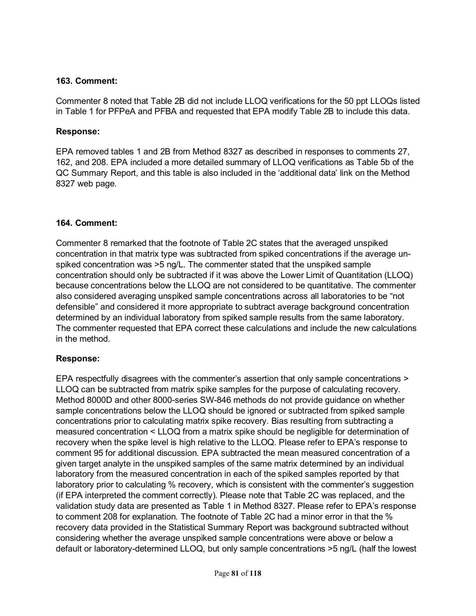Commenter 8 noted that Table 2B did not include LLOQ verifications for the 50 ppt LLOQs listed in Table 1 for PFPeA and PFBA and requested that EPA modify Table 2B to include this data.

#### **Response:**

EPA removed tables 1 and 2B from Method 8327 as described in responses to comments 27, 162, and 208. EPA included a more detailed summary of LLOQ verifications as Table 5b of the QC Summary Report, and this table is also included in the 'additional data' link on the Method 8327 web page.

### **164. Comment:**

Commenter 8 remarked that the footnote of Table 2C states that the averaged unspiked concentration in that matrix type was subtracted from spiked concentrations if the average unspiked concentration was >5 ng/L. The commenter stated that the unspiked sample concentration should only be subtracted if it was above the Lower Limit of Quantitation (LLOQ) because concentrations below the LLOQ are not considered to be quantitative. The commenter also considered averaging unspiked sample concentrations across all laboratories to be "not defensible" and considered it more appropriate to subtract average background concentration determined by an individual laboratory from spiked sample results from the same laboratory. The commenter requested that EPA correct these calculations and include the new calculations in the method.

### **Response:**

EPA respectfully disagrees with the commenter's assertion that only sample concentrations > LLOQ can be subtracted from matrix spike samples for the purpose of calculating recovery. Method 8000D and other 8000-series SW-846 methods do not provide guidance on whether sample concentrations below the LLOQ should be ignored or subtracted from spiked sample concentrations prior to calculating matrix spike recovery. Bias resulting from subtracting a measured concentration < LLOQ from a matrix spike should be negligible for determination of recovery when the spike level is high relative to the LLOQ. Please refer to EPA's response to comment 95 for additional discussion. EPA subtracted the mean measured concentration of a given target analyte in the unspiked samples of the same matrix determined by an individual laboratory from the measured concentration in each of the spiked samples reported by that laboratory prior to calculating % recovery, which is consistent with the commenter's suggestion (if EPA interpreted the comment correctly). Please note that Table 2C was replaced, and the validation study data are presented as Table 1 in Method 8327. Please refer to EPA's response to comment 208 for explanation. The footnote of Table 2C had a minor error in that the % recovery data provided in the Statistical Summary Report was background subtracted without considering whether the average unspiked sample concentrations were above or below a default or laboratory-determined LLOQ, but only sample concentrations >5 ng/L (half the lowest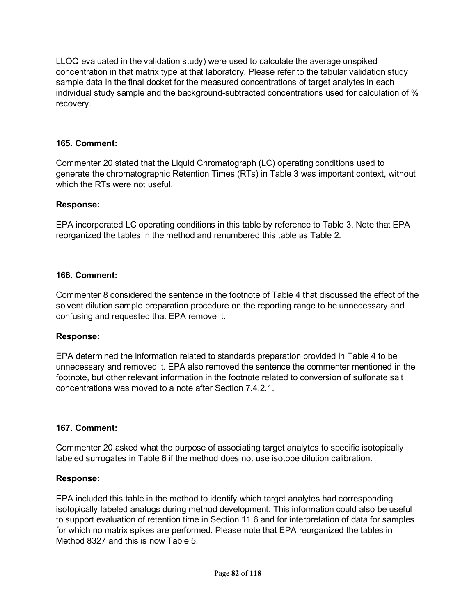LLOQ evaluated in the validation study) were used to calculate the average unspiked concentration in that matrix type at that laboratory. Please refer to the tabular validation study sample data in the final docket for the measured concentrations of target analytes in each individual study sample and the background-subtracted concentrations used for calculation of % recovery.

### **165. Comment:**

Commenter 20 stated that the Liquid Chromatograph (LC) operating conditions used to generate the chromatographic Retention Times (RTs) in Table 3 was important context, without which the RTs were not useful.

### **Response:**

EPA incorporated LC operating conditions in this table by reference to Table 3. Note that EPA reorganized the tables in the method and renumbered this table as Table 2.

### **166. Comment:**

Commenter 8 considered the sentence in the footnote of Table 4 that discussed the effect of the solvent dilution sample preparation procedure on the reporting range to be unnecessary and confusing and requested that EPA remove it.

### **Response:**

EPA determined the information related to standards preparation provided in Table 4 to be unnecessary and removed it. EPA also removed the sentence the commenter mentioned in the footnote, but other relevant information in the footnote related to conversion of sulfonate salt concentrations was moved to a note after Section 7.4.2.1.

### **167. Comment:**

Commenter 20 asked what the purpose of associating target analytes to specific isotopically labeled surrogates in Table 6 if the method does not use isotope dilution calibration.

### **Response:**

EPA included this table in the method to identify which target analytes had corresponding isotopically labeled analogs during method development. This information could also be useful to support evaluation of retention time in Section 11.6 and for interpretation of data for samples for which no matrix spikes are performed. Please note that EPA reorganized the tables in Method 8327 and this is now Table 5.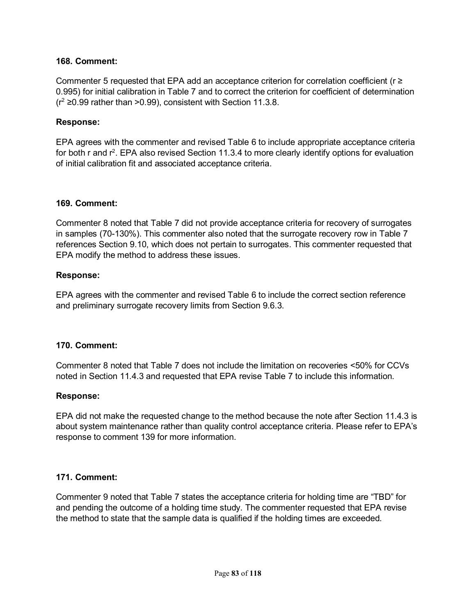Commenter 5 requested that EPA add an acceptance criterion for correlation coefficient (r ≥ 0.995) for initial calibration in Table 7 and to correct the criterion for coefficient of determination  $(r^2 \ge 0.99$  rather than > 0.99), consistent with Section 11.3.8.

### **Response:**

EPA agrees with the commenter and revised Table 6 to include appropriate acceptance criteria for both r and  $r^2$ . EPA also revised Section 11.3.4 to more clearly identify options for evaluation of initial calibration fit and associated acceptance criteria.

#### **169. Comment:**

Commenter 8 noted that Table 7 did not provide acceptance criteria for recovery of surrogates in samples (70-130%). This commenter also noted that the surrogate recovery row in Table 7 references Section 9.10, which does not pertain to surrogates. This commenter requested that EPA modify the method to address these issues.

### **Response:**

EPA agrees with the commenter and revised Table 6 to include the correct section reference and preliminary surrogate recovery limits from Section 9.6.3.

#### **170. Comment:**

Commenter 8 noted that Table 7 does not include the limitation on recoveries <50% for CCVs noted in Section 11.4.3 and requested that EPA revise Table 7 to include this information.

#### **Response:**

EPA did not make the requested change to the method because the note after Section 11.4.3 is about system maintenance rather than quality control acceptance criteria. Please refer to EPA's response to comment 139 for more information.

#### **171. Comment:**

Commenter 9 noted that Table 7 states the acceptance criteria for holding time are "TBD" for and pending the outcome of a holding time study. The commenter requested that EPA revise the method to state that the sample data is qualified if the holding times are exceeded.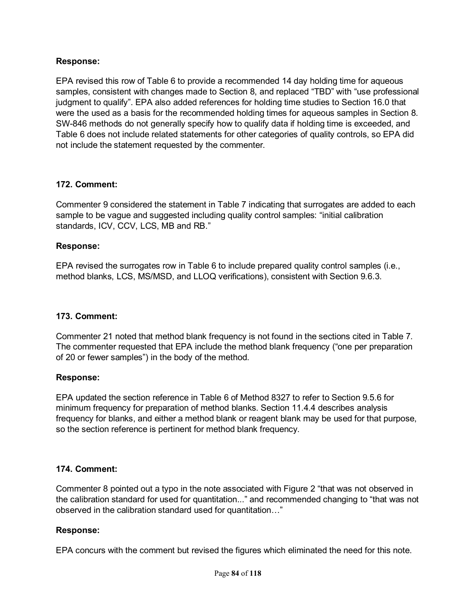### **Response:**

EPA revised this row of Table 6 to provide a recommended 14 day holding time for aqueous samples, consistent with changes made to Section 8, and replaced "TBD" with "use professional judgment to qualify". EPA also added references for holding time studies to Section 16.0 that were the used as a basis for the recommended holding times for aqueous samples in Section 8. SW-846 methods do not generally specify how to qualify data if holding time is exceeded, and Table 6 does not include related statements for other categories of quality controls, so EPA did not include the statement requested by the commenter.

### **172. Comment:**

Commenter 9 considered the statement in Table 7 indicating that surrogates are added to each sample to be vague and suggested including quality control samples: "initial calibration standards, ICV, CCV, LCS, MB and RB."

#### **Response:**

EPA revised the surrogates row in Table 6 to include prepared quality control samples (i.e., method blanks, LCS, MS/MSD, and LLOQ verifications), consistent with Section 9.6.3.

#### **173. Comment:**

Commenter 21 noted that method blank frequency is not found in the sections cited in Table 7. The commenter requested that EPA include the method blank frequency ("one per preparation of 20 or fewer samples") in the body of the method.

#### **Response:**

EPA updated the section reference in Table 6 of Method 8327 to refer to Section 9.5.6 for minimum frequency for preparation of method blanks. Section 11.4.4 describes analysis frequency for blanks, and either a method blank or reagent blank may be used for that purpose, so the section reference is pertinent for method blank frequency.

#### **174. Comment:**

Commenter 8 pointed out a typo in the note associated with Figure 2 "that was not observed in the calibration standard for used for quantitation..." and recommended changing to "that was not observed in the calibration standard used for quantitation…"

#### **Response:**

EPA concurs with the comment but revised the figures which eliminated the need for this note.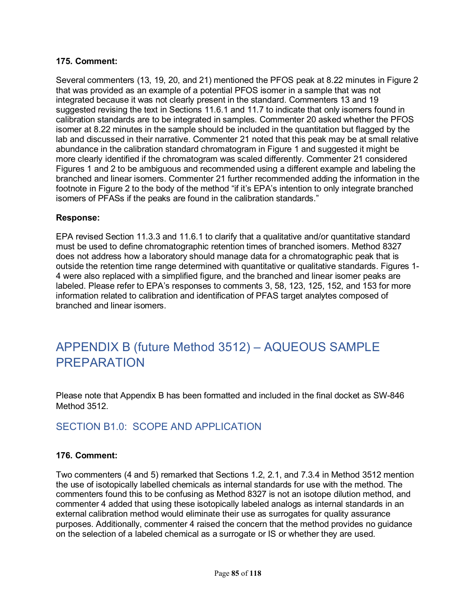Several commenters (13, 19, 20, and 21) mentioned the PFOS peak at 8.22 minutes in Figure 2 that was provided as an example of a potential PFOS isomer in a sample that was not integrated because it was not clearly present in the standard. Commenters 13 and 19 suggested revising the text in Sections 11.6.1 and 11.7 to indicate that only isomers found in calibration standards are to be integrated in samples. Commenter 20 asked whether the PFOS isomer at 8.22 minutes in the sample should be included in the quantitation but flagged by the lab and discussed in their narrative. Commenter 21 noted that this peak may be at small relative abundance in the calibration standard chromatogram in Figure 1 and suggested it might be more clearly identified if the chromatogram was scaled differently. Commenter 21 considered Figures 1 and 2 to be ambiguous and recommended using a different example and labeling the branched and linear isomers. Commenter 21 further recommended adding the information in the footnote in Figure 2 to the body of the method "if it's EPA's intention to only integrate branched isomers of PFASs if the peaks are found in the calibration standards."

### **Response:**

EPA revised Section 11.3.3 and 11.6.1 to clarify that a qualitative and/or quantitative standard must be used to define chromatographic retention times of branched isomers. Method 8327 does not address how a laboratory should manage data for a chromatographic peak that is outside the retention time range determined with quantitative or qualitative standards. Figures 1- 4 were also replaced with a simplified figure, and the branched and linear isomer peaks are labeled. Please refer to EPA's responses to comments 3, 58, 123, 125, 152, and 153 for more information related to calibration and identification of PFAS target analytes composed of branched and linear isomers.

# APPENDIX B (future Method 3512) – AQUEOUS SAMPLE PREPARATION

Please note that Appendix B has been formatted and included in the final docket as SW-846 Method 3512.

## SECTION B1.0: SCOPE AND APPLICATION

### **176. Comment:**

Two commenters (4 and 5) remarked that Sections 1.2, 2.1, and 7.3.4 in Method 3512 mention the use of isotopically labelled chemicals as internal standards for use with the method. The commenters found this to be confusing as Method 8327 is not an isotope dilution method, and commenter 4 added that using these isotopically labeled analogs as internal standards in an external calibration method would eliminate their use as surrogates for quality assurance purposes. Additionally, commenter 4 raised the concern that the method provides no guidance on the selection of a labeled chemical as a surrogate or IS or whether they are used.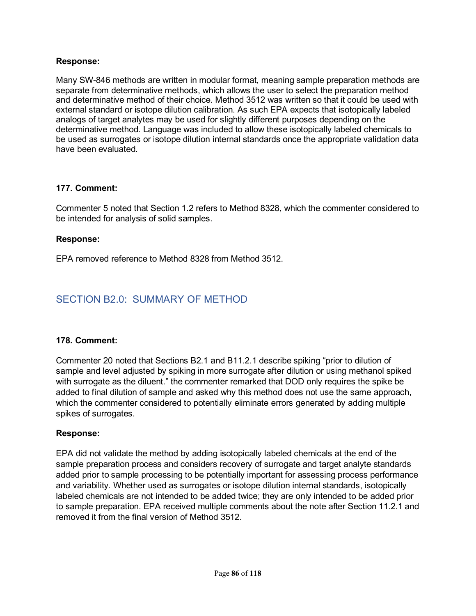### **Response:**

Many SW-846 methods are written in modular format, meaning sample preparation methods are separate from determinative methods, which allows the user to select the preparation method and determinative method of their choice. Method 3512 was written so that it could be used with external standard or isotope dilution calibration. As such EPA expects that isotopically labeled analogs of target analytes may be used for slightly different purposes depending on the determinative method. Language was included to allow these isotopically labeled chemicals to be used as surrogates or isotope dilution internal standards once the appropriate validation data have been evaluated.

#### **177. Comment:**

Commenter 5 noted that Section 1.2 refers to Method 8328, which the commenter considered to be intended for analysis of solid samples.

### **Response:**

EPA removed reference to Method 8328 from Method 3512.

## SECTION B2.0: SUMMARY OF METHOD

#### **178. Comment:**

Commenter 20 noted that Sections B2.1 and B11.2.1 describe spiking "prior to dilution of sample and level adjusted by spiking in more surrogate after dilution or using methanol spiked with surrogate as the diluent." the commenter remarked that DOD only requires the spike be added to final dilution of sample and asked why this method does not use the same approach, which the commenter considered to potentially eliminate errors generated by adding multiple spikes of surrogates.

#### **Response:**

EPA did not validate the method by adding isotopically labeled chemicals at the end of the sample preparation process and considers recovery of surrogate and target analyte standards added prior to sample processing to be potentially important for assessing process performance and variability. Whether used as surrogates or isotope dilution internal standards, isotopically labeled chemicals are not intended to be added twice; they are only intended to be added prior to sample preparation. EPA received multiple comments about the note after Section 11.2.1 and removed it from the final version of Method 3512.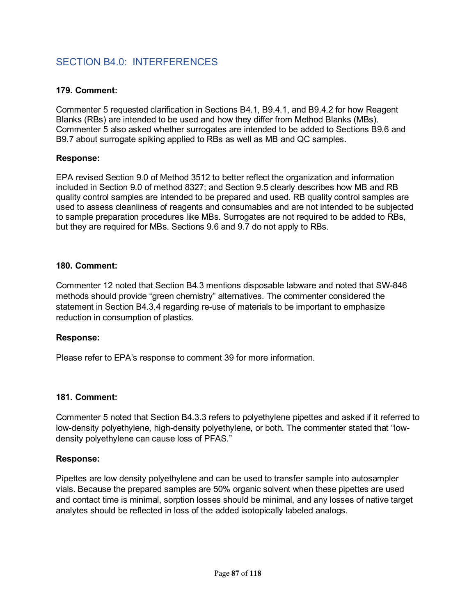## SECTION B4.0: INTERFERENCES

### **179. Comment:**

Commenter 5 requested clarification in Sections B4.1, B9.4.1, and B9.4.2 for how Reagent Blanks (RBs) are intended to be used and how they differ from Method Blanks (MBs). Commenter 5 also asked whether surrogates are intended to be added to Sections B9.6 and B9.7 about surrogate spiking applied to RBs as well as MB and QC samples.

### **Response:**

EPA revised Section 9.0 of Method 3512 to better reflect the organization and information included in Section 9.0 of method 8327; and Section 9.5 clearly describes how MB and RB quality control samples are intended to be prepared and used. RB quality control samples are used to assess cleanliness of reagents and consumables and are not intended to be subjected to sample preparation procedures like MBs. Surrogates are not required to be added to RBs, but they are required for MBs. Sections 9.6 and 9.7 do not apply to RBs.

### **180. Comment:**

Commenter 12 noted that Section B4.3 mentions disposable labware and noted that SW-846 methods should provide "green chemistry" alternatives. The commenter considered the statement in Section B4.3.4 regarding re-use of materials to be important to emphasize reduction in consumption of plastics.

#### **Response:**

Please refer to EPA's response to comment 39 for more information.

### **181. Comment:**

Commenter 5 noted that Section B4.3.3 refers to polyethylene pipettes and asked if it referred to low-density polyethylene, high-density polyethylene, or both. The commenter stated that "lowdensity polyethylene can cause loss of PFAS."

#### **Response:**

Pipettes are low density polyethylene and can be used to transfer sample into autosampler vials. Because the prepared samples are 50% organic solvent when these pipettes are used and contact time is minimal, sorption losses should be minimal, and any losses of native target analytes should be reflected in loss of the added isotopically labeled analogs.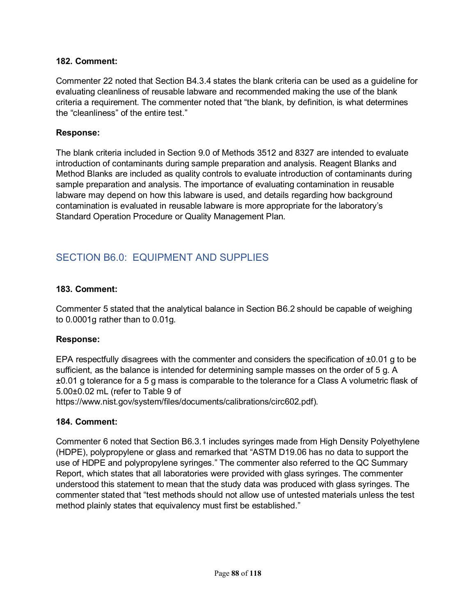Commenter 22 noted that Section B4.3.4 states the blank criteria can be used as a guideline for evaluating cleanliness of reusable labware and recommended making the use of the blank criteria a requirement. The commenter noted that "the blank, by definition, is what determines the "cleanliness" of the entire test."

#### **Response:**

The blank criteria included in Section 9.0 of Methods 3512 and 8327 are intended to evaluate introduction of contaminants during sample preparation and analysis. Reagent Blanks and Method Blanks are included as quality controls to evaluate introduction of contaminants during sample preparation and analysis. The importance of evaluating contamination in reusable labware may depend on how this labware is used, and details regarding how background contamination is evaluated in reusable labware is more appropriate for the laboratory's Standard Operation Procedure or Quality Management Plan.

## SECTION B6.0: EQUIPMENT AND SUPPLIES

### **183. Comment:**

Commenter 5 stated that the analytical balance in Section B6.2 should be capable of weighing to 0.0001g rather than to 0.01g.

#### **Response:**

EPA respectfully disagrees with the commenter and considers the specification of ±0.01 g to be sufficient, as the balance is intended for determining sample masses on the order of 5 g. A ±0.01 g tolerance for a 5 g mass is comparable to the tolerance for a Class A volumetric flask of 5.00±0.02 mL (refer to Table 9 of

https://www.nist.gov/system/files/documents/calibrations/circ602.pdf).

#### **184. Comment:**

Commenter 6 noted that Section B6.3.1 includes syringes made from High Density Polyethylene (HDPE), polypropylene or glass and remarked that "ASTM D19.06 has no data to support the use of HDPE and polypropylene syringes." The commenter also referred to the QC Summary Report, which states that all laboratories were provided with glass syringes. The commenter understood this statement to mean that the study data was produced with glass syringes. The commenter stated that "test methods should not allow use of untested materials unless the test method plainly states that equivalency must first be established."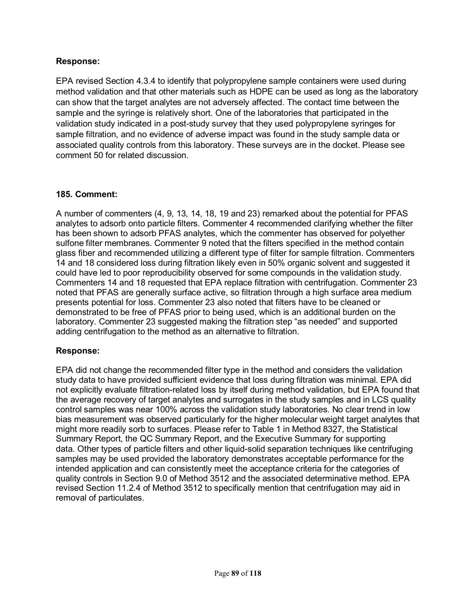### **Response:**

EPA revised Section 4.3.4 to identify that polypropylene sample containers were used during method validation and that other materials such as HDPE can be used as long as the laboratory can show that the target analytes are not adversely affected. The contact time between the sample and the syringe is relatively short. One of the laboratories that participated in the validation study indicated in a post-study survey that they used polypropylene syringes for sample filtration, and no evidence of adverse impact was found in the study sample data or associated quality controls from this laboratory. These surveys are in the docket. Please see comment 50 for related discussion.

### **185. Comment:**

A number of commenters (4, 9, 13, 14, 18, 19 and 23) remarked about the potential for PFAS analytes to adsorb onto particle filters. Commenter 4 recommended clarifying whether the filter has been shown to adsorb PFAS analytes, which the commenter has observed for polyether sulfone filter membranes. Commenter 9 noted that the filters specified in the method contain glass fiber and recommended utilizing a different type of filter for sample filtration. Commenters 14 and 18 considered loss during filtration likely even in 50% organic solvent and suggested it could have led to poor reproducibility observed for some compounds in the validation study. Commenters 14 and 18 requested that EPA replace filtration with centrifugation. Commenter 23 noted that PFAS are generally surface active, so filtration through a high surface area medium presents potential for loss. Commenter 23 also noted that filters have to be cleaned or demonstrated to be free of PFAS prior to being used, which is an additional burden on the laboratory. Commenter 23 suggested making the filtration step "as needed" and supported adding centrifugation to the method as an alternative to filtration.

#### **Response:**

EPA did not change the recommended filter type in the method and considers the validation study data to have provided sufficient evidence that loss during filtration was minimal. EPA did not explicitly evaluate filtration-related loss by itself during method validation, but EPA found that the average recovery of target analytes and surrogates in the study samples and in LCS quality control samples was near 100% across the validation study laboratories. No clear trend in low bias measurement was observed particularly for the higher molecular weight target analytes that might more readily sorb to surfaces. Please refer to Table 1 in Method 8327, the Statistical Summary Report, the QC Summary Report, and the Executive Summary for supporting data. Other types of particle filters and other liquid-solid separation techniques like centrifuging samples may be used provided the laboratory demonstrates acceptable performance for the intended application and can consistently meet the acceptance criteria for the categories of quality controls in Section 9.0 of Method 3512 and the associated determinative method. EPA revised Section 11.2.4 of Method 3512 to specifically mention that centrifugation may aid in removal of particulates.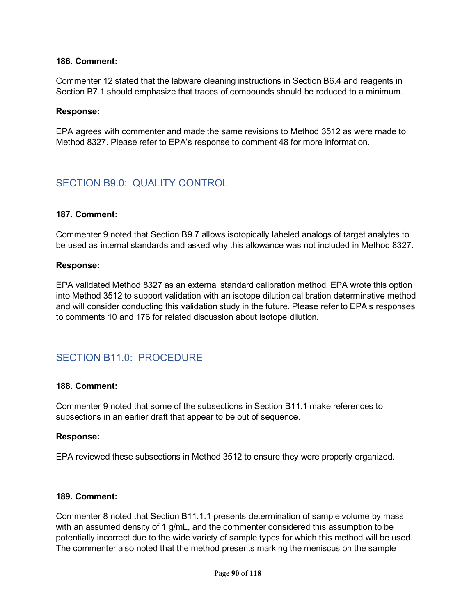Commenter 12 stated that the labware cleaning instructions in Section B6.4 and reagents in Section B7.1 should emphasize that traces of compounds should be reduced to a minimum.

#### **Response:**

EPA agrees with commenter and made the same revisions to Method 3512 as were made to Method 8327. Please refer to EPA's response to comment 48 for more information.

## SECTION B9.0: QUALITY CONTROL

#### **187. Comment:**

Commenter 9 noted that Section B9.7 allows isotopically labeled analogs of target analytes to be used as internal standards and asked why this allowance was not included in Method 8327.

#### **Response:**

EPA validated Method 8327 as an external standard calibration method. EPA wrote this option into Method 3512 to support validation with an isotope dilution calibration determinative method and will consider conducting this validation study in the future. Please refer to EPA's responses to comments 10 and 176 for related discussion about isotope dilution.

### SECTION B11.0: PROCEDURE

#### **188. Comment:**

Commenter 9 noted that some of the subsections in Section B11.1 make references to subsections in an earlier draft that appear to be out of sequence.

#### **Response:**

EPA reviewed these subsections in Method 3512 to ensure they were properly organized.

#### **189. Comment:**

Commenter 8 noted that Section B11.1.1 presents determination of sample volume by mass with an assumed density of 1 g/mL, and the commenter considered this assumption to be potentially incorrect due to the wide variety of sample types for which this method will be used. The commenter also noted that the method presents marking the meniscus on the sample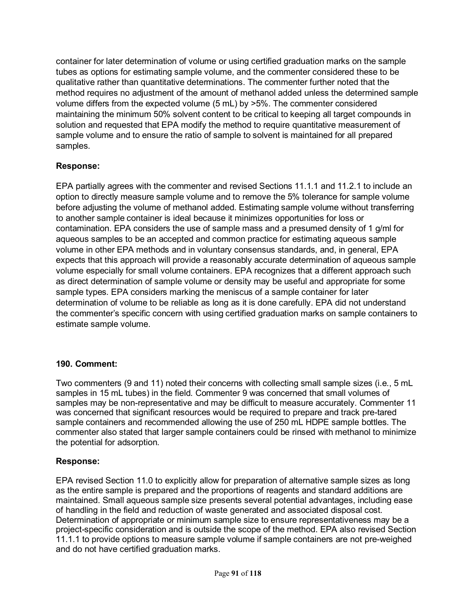container for later determination of volume or using certified graduation marks on the sample tubes as options for estimating sample volume, and the commenter considered these to be qualitative rather than quantitative determinations. The commenter further noted that the method requires no adjustment of the amount of methanol added unless the determined sample volume differs from the expected volume (5 mL) by >5%. The commenter considered maintaining the minimum 50% solvent content to be critical to keeping all target compounds in solution and requested that EPA modify the method to require quantitative measurement of sample volume and to ensure the ratio of sample to solvent is maintained for all prepared samples.

### **Response:**

EPA partially agrees with the commenter and revised Sections 11.1.1 and 11.2.1 to include an option to directly measure sample volume and to remove the 5% tolerance for sample volume before adjusting the volume of methanol added. Estimating sample volume without transferring to another sample container is ideal because it minimizes opportunities for loss or contamination. EPA considers the use of sample mass and a presumed density of 1 g/ml for aqueous samples to be an accepted and common practice for estimating aqueous sample volume in other EPA methods and in voluntary consensus standards, and, in general, EPA expects that this approach will provide a reasonably accurate determination of aqueous sample volume especially for small volume containers. EPA recognizes that a different approach such as direct determination of sample volume or density may be useful and appropriate for some sample types. EPA considers marking the meniscus of a sample container for later determination of volume to be reliable as long as it is done carefully. EPA did not understand the commenter's specific concern with using certified graduation marks on sample containers to estimate sample volume.

### **190. Comment:**

Two commenters (9 and 11) noted their concerns with collecting small sample sizes (i.e., 5 mL samples in 15 mL tubes) in the field. Commenter 9 was concerned that small volumes of samples may be non-representative and may be difficult to measure accurately. Commenter 11 was concerned that significant resources would be required to prepare and track pre-tared sample containers and recommended allowing the use of 250 mL HDPE sample bottles. The commenter also stated that larger sample containers could be rinsed with methanol to minimize the potential for adsorption.

### **Response:**

EPA revised Section 11.0 to explicitly allow for preparation of alternative sample sizes as long as the entire sample is prepared and the proportions of reagents and standard additions are maintained. Small aqueous sample size presents several potential advantages, including ease of handling in the field and reduction of waste generated and associated disposal cost. Determination of appropriate or minimum sample size to ensure representativeness may be a project-specific consideration and is outside the scope of the method. EPA also revised Section 11.1.1 to provide options to measure sample volume if sample containers are not pre-weighed and do not have certified graduation marks.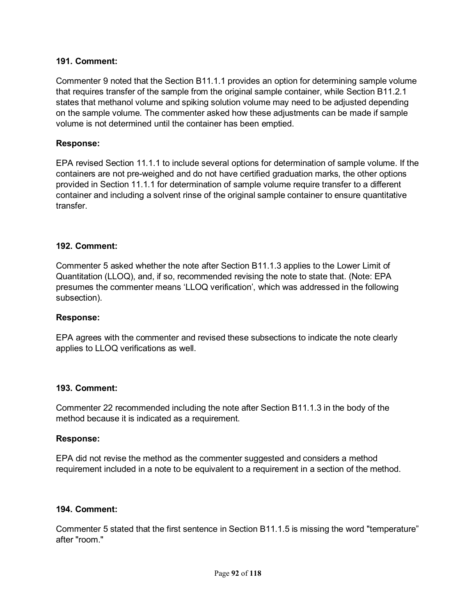Commenter 9 noted that the Section B11.1.1 provides an option for determining sample volume that requires transfer of the sample from the original sample container, while Section B11.2.1 states that methanol volume and spiking solution volume may need to be adjusted depending on the sample volume. The commenter asked how these adjustments can be made if sample volume is not determined until the container has been emptied.

#### **Response:**

EPA revised Section 11.1.1 to include several options for determination of sample volume. If the containers are not pre-weighed and do not have certified graduation marks, the other options provided in Section 11.1.1 for determination of sample volume require transfer to a different container and including a solvent rinse of the original sample container to ensure quantitative transfer.

#### **192. Comment:**

Commenter 5 asked whether the note after Section B11.1.3 applies to the Lower Limit of Quantitation (LLOQ), and, if so, recommended revising the note to state that. (Note: EPA presumes the commenter means 'LLOQ verification', which was addressed in the following subsection).

#### **Response:**

EPA agrees with the commenter and revised these subsections to indicate the note clearly applies to LLOQ verifications as well.

#### **193. Comment:**

Commenter 22 recommended including the note after Section B11.1.3 in the body of the method because it is indicated as a requirement.

#### **Response:**

EPA did not revise the method as the commenter suggested and considers a method requirement included in a note to be equivalent to a requirement in a section of the method.

#### **194. Comment:**

Commenter 5 stated that the first sentence in Section B11.1.5 is missing the word "temperature" after "room."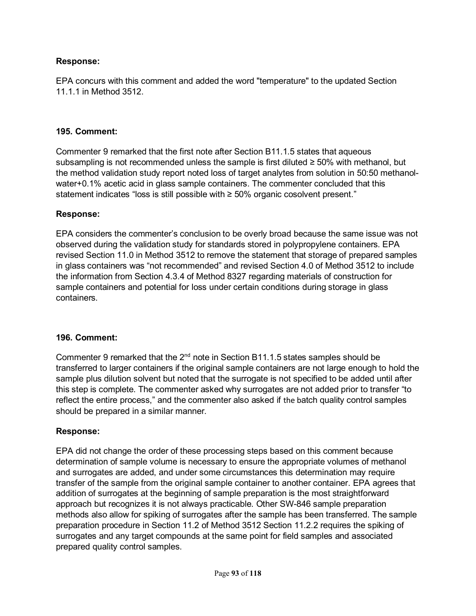### **Response:**

EPA concurs with this comment and added the word "temperature" to the updated Section 11.1.1 in Method 3512.

#### **195. Comment:**

Commenter 9 remarked that the first note after Section B11.1.5 states that aqueous subsampling is not recommended unless the sample is first diluted  $\geq$  50% with methanol, but the method validation study report noted loss of target analytes from solution in 50:50 methanolwater+0.1% acetic acid in glass sample containers. The commenter concluded that this statement indicates "loss is still possible with ≥ 50% organic cosolvent present."

#### **Response:**

EPA considers the commenter's conclusion to be overly broad because the same issue was not observed during the validation study for standards stored in polypropylene containers. EPA revised Section 11.0 in Method 3512 to remove the statement that storage of prepared samples in glass containers was "not recommended" and revised Section 4.0 of Method 3512 to include the information from Section 4.3.4 of Method 8327 regarding materials of construction for sample containers and potential for loss under certain conditions during storage in glass containers.

#### **196. Comment:**

Commenter 9 remarked that the  $2^{nd}$  note in Section B11.1.5 states samples should be transferred to larger containers if the original sample containers are not large enough to hold the sample plus dilution solvent but noted that the surrogate is not specified to be added until after this step is complete. The commenter asked why surrogates are not added prior to transfer "to reflect the entire process," and the commenter also asked if the batch quality control samples should be prepared in a similar manner.

#### **Response:**

EPA did not change the order of these processing steps based on this comment because determination of sample volume is necessary to ensure the appropriate volumes of methanol and surrogates are added, and under some circumstances this determination may require transfer of the sample from the original sample container to another container. EPA agrees that addition of surrogates at the beginning of sample preparation is the most straightforward approach but recognizes it is not always practicable. Other SW-846 sample preparation methods also allow for spiking of surrogates after the sample has been transferred. The sample preparation procedure in Section 11.2 of Method 3512 Section 11.2.2 requires the spiking of surrogates and any target compounds at the same point for field samples and associated prepared quality control samples.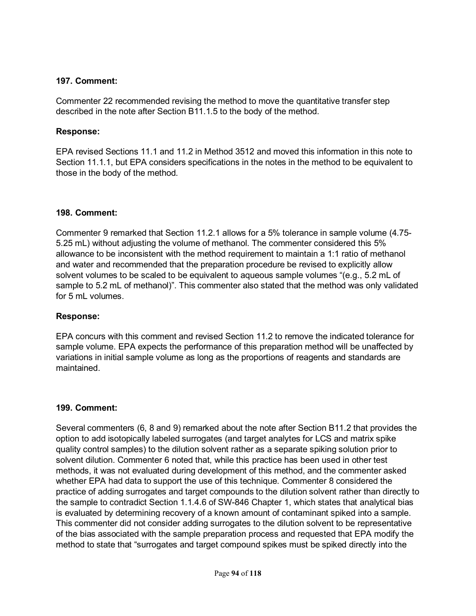Commenter 22 recommended revising the method to move the quantitative transfer step described in the note after Section B11.1.5 to the body of the method.

#### **Response:**

EPA revised Sections 11.1 and 11.2 in Method 3512 and moved this information in this note to Section 11.1.1, but EPA considers specifications in the notes in the method to be equivalent to those in the body of the method.

#### **198. Comment:**

Commenter 9 remarked that Section 11.2.1 allows for a 5% tolerance in sample volume (4.75- 5.25 mL) without adjusting the volume of methanol. The commenter considered this 5% allowance to be inconsistent with the method requirement to maintain a 1:1 ratio of methanol and water and recommended that the preparation procedure be revised to explicitly allow solvent volumes to be scaled to be equivalent to aqueous sample volumes "(e.g., 5.2 mL of sample to 5.2 mL of methanol)". This commenter also stated that the method was only validated for 5 mL volumes.

#### **Response:**

EPA concurs with this comment and revised Section 11.2 to remove the indicated tolerance for sample volume. EPA expects the performance of this preparation method will be unaffected by variations in initial sample volume as long as the proportions of reagents and standards are maintained.

#### **199. Comment:**

Several commenters (6, 8 and 9) remarked about the note after Section B11.2 that provides the option to add isotopically labeled surrogates (and target analytes for LCS and matrix spike quality control samples) to the dilution solvent rather as a separate spiking solution prior to solvent dilution. Commenter 6 noted that, while this practice has been used in other test methods, it was not evaluated during development of this method, and the commenter asked whether EPA had data to support the use of this technique. Commenter 8 considered the practice of adding surrogates and target compounds to the dilution solvent rather than directly to the sample to contradict Section 1.1.4.6 of SW-846 Chapter 1, which states that analytical bias is evaluated by determining recovery of a known amount of contaminant spiked into a sample. This commenter did not consider adding surrogates to the dilution solvent to be representative of the bias associated with the sample preparation process and requested that EPA modify the method to state that "surrogates and target compound spikes must be spiked directly into the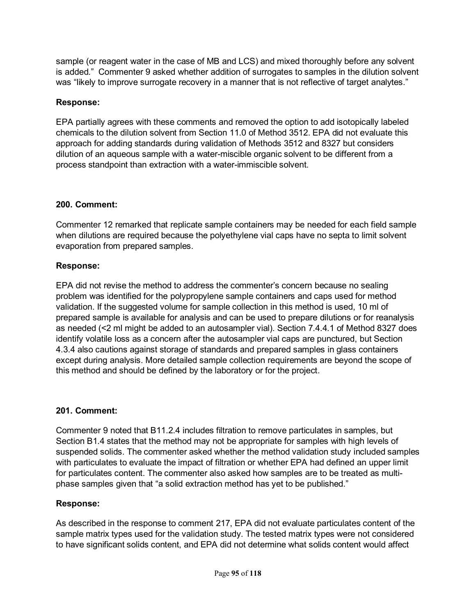sample (or reagent water in the case of MB and LCS) and mixed thoroughly before any solvent is added." Commenter 9 asked whether addition of surrogates to samples in the dilution solvent was "likely to improve surrogate recovery in a manner that is not reflective of target analytes."

### **Response:**

EPA partially agrees with these comments and removed the option to add isotopically labeled chemicals to the dilution solvent from Section 11.0 of Method 3512. EPA did not evaluate this approach for adding standards during validation of Methods 3512 and 8327 but considers dilution of an aqueous sample with a water-miscible organic solvent to be different from a process standpoint than extraction with a water-immiscible solvent.

### **200. Comment:**

Commenter 12 remarked that replicate sample containers may be needed for each field sample when dilutions are required because the polyethylene vial caps have no septa to limit solvent evaporation from prepared samples.

### **Response:**

EPA did not revise the method to address the commenter's concern because no sealing problem was identified for the polypropylene sample containers and caps used for method validation. If the suggested volume for sample collection in this method is used, 10 ml of prepared sample is available for analysis and can be used to prepare dilutions or for reanalysis as needed (<2 ml might be added to an autosampler vial). Section 7.4.4.1 of Method 8327 does identify volatile loss as a concern after the autosampler vial caps are punctured, but Section 4.3.4 also cautions against storage of standards and prepared samples in glass containers except during analysis. More detailed sample collection requirements are beyond the scope of this method and should be defined by the laboratory or for the project.

### **201. Comment:**

Commenter 9 noted that B11.2.4 includes filtration to remove particulates in samples, but Section B1.4 states that the method may not be appropriate for samples with high levels of suspended solids. The commenter asked whether the method validation study included samples with particulates to evaluate the impact of filtration or whether EPA had defined an upper limit for particulates content. The commenter also asked how samples are to be treated as multiphase samples given that "a solid extraction method has yet to be published."

### **Response:**

As described in the response to comment 217, EPA did not evaluate particulates content of the sample matrix types used for the validation study. The tested matrix types were not considered to have significant solids content, and EPA did not determine what solids content would affect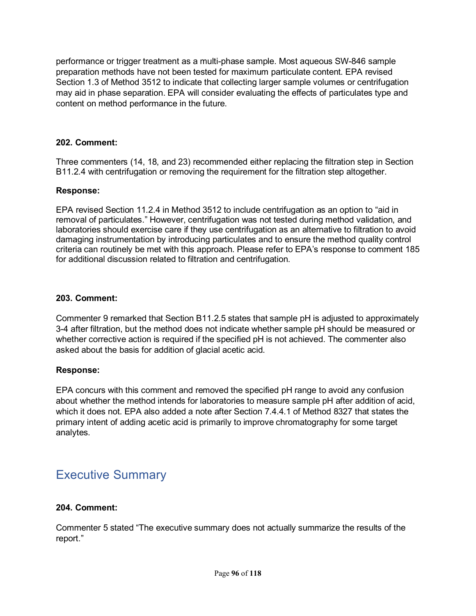performance or trigger treatment as a multi-phase sample. Most aqueous SW-846 sample preparation methods have not been tested for maximum particulate content. EPA revised Section 1.3 of Method 3512 to indicate that collecting larger sample volumes or centrifugation may aid in phase separation. EPA will consider evaluating the effects of particulates type and content on method performance in the future.

### **202. Comment:**

Three commenters (14, 18, and 23) recommended either replacing the filtration step in Section B11.2.4 with centrifugation or removing the requirement for the filtration step altogether.

### **Response:**

EPA revised Section 11.2.4 in Method 3512 to include centrifugation as an option to "aid in removal of particulates." However, centrifugation was not tested during method validation, and laboratories should exercise care if they use centrifugation as an alternative to filtration to avoid damaging instrumentation by introducing particulates and to ensure the method quality control criteria can routinely be met with this approach. Please refer to EPA's response to comment 185 for additional discussion related to filtration and centrifugation.

### **203. Comment:**

Commenter 9 remarked that Section B11.2.5 states that sample pH is adjusted to approximately 3-4 after filtration, but the method does not indicate whether sample pH should be measured or whether corrective action is required if the specified pH is not achieved. The commenter also asked about the basis for addition of glacial acetic acid.

### **Response:**

EPA concurs with this comment and removed the specified pH range to avoid any confusion about whether the method intends for laboratories to measure sample pH after addition of acid, which it does not. EPA also added a note after Section 7.4.4.1 of Method 8327 that states the primary intent of adding acetic acid is primarily to improve chromatography for some target analytes.

# Executive Summary

### **204. Comment:**

Commenter 5 stated "The executive summary does not actually summarize the results of the report."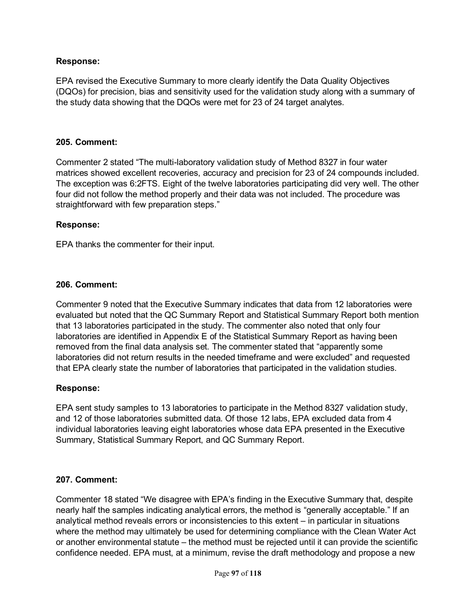### **Response:**

EPA revised the Executive Summary to more clearly identify the Data Quality Objectives (DQOs) for precision, bias and sensitivity used for the validation study along with a summary of the study data showing that the DQOs were met for 23 of 24 target analytes.

#### **205. Comment:**

Commenter 2 stated "The multi-laboratory validation study of Method 8327 in four water matrices showed excellent recoveries, accuracy and precision for 23 of 24 compounds included. The exception was 6:2FTS. Eight of the twelve laboratories participating did very well. The other four did not follow the method properly and their data was not included. The procedure was straightforward with few preparation steps."

#### **Response:**

EPA thanks the commenter for their input.

#### **206. Comment:**

Commenter 9 noted that the Executive Summary indicates that data from 12 laboratories were evaluated but noted that the QC Summary Report and Statistical Summary Report both mention that 13 laboratories participated in the study. The commenter also noted that only four laboratories are identified in Appendix E of the Statistical Summary Report as having been removed from the final data analysis set. The commenter stated that "apparently some laboratories did not return results in the needed timeframe and were excluded" and requested that EPA clearly state the number of laboratories that participated in the validation studies.

#### **Response:**

EPA sent study samples to 13 laboratories to participate in the Method 8327 validation study, and 12 of those laboratories submitted data. Of those 12 labs, EPA excluded data from 4 individual laboratories leaving eight laboratories whose data EPA presented in the Executive Summary, Statistical Summary Report, and QC Summary Report.

#### **207. Comment:**

Commenter 18 stated "We disagree with EPA's finding in the Executive Summary that, despite nearly half the samples indicating analytical errors, the method is "generally acceptable." If an analytical method reveals errors or inconsistencies to this extent – in particular in situations where the method may ultimately be used for determining compliance with the Clean Water Act or another environmental statute – the method must be rejected until it can provide the scientific confidence needed. EPA must, at a minimum, revise the draft methodology and propose a new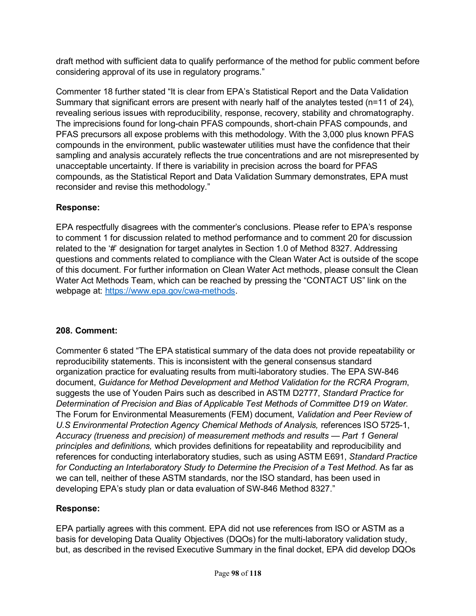draft method with sufficient data to qualify performance of the method for public comment before considering approval of its use in regulatory programs."

Commenter 18 further stated "It is clear from EPA's Statistical Report and the Data Validation Summary that significant errors are present with nearly half of the analytes tested (n=11 of 24), revealing serious issues with reproducibility, response, recovery, stability and chromatography. The imprecisions found for long-chain PFAS compounds, short-chain PFAS compounds, and PFAS precursors all expose problems with this methodology. With the 3,000 plus known PFAS compounds in the environment, public wastewater utilities must have the confidence that their sampling and analysis accurately reflects the true concentrations and are not misrepresented by unacceptable uncertainty. If there is variability in precision across the board for PFAS compounds, as the Statistical Report and Data Validation Summary demonstrates, EPA must reconsider and revise this methodology."

### **Response:**

EPA respectfully disagrees with the commenter's conclusions. Please refer to EPA's response to comment 1 for discussion related to method performance and to comment 20 for discussion related to the '#' designation for target analytes in Section 1.0 of Method 8327. Addressing questions and comments related to compliance with the Clean Water Act is outside of the scope of this document. For further information on Clean Water Act methods, please consult the Clean Water Act Methods Team, which can be reached by pressing the "CONTACT US" link on the webpage at: [https://www.epa.gov/cwa-methods.](https://www.epa.gov/cwa-methods)

### **208. Comment:**

Commenter 6 stated "The EPA statistical summary of the data does not provide repeatability or reproducibility statements. This is inconsistent with the general consensus standard organization practice for evaluating results from multi-laboratory studies. The EPA SW-846 document, *Guidance for Method Development and Method Validation for the RCRA Program*, suggests the use of Youden Pairs such as described in ASTM D2777, *Standard Practice for Determination of Precision and Bias of Applicable Test Methods of Committee D19 on Water*. The Forum for Environmental Measurements (FEM) document, *Validation and Peer Review of*  U.S Environmental Protection Agency Chemical Methods of Analysis, references ISO 5725-1, *Accuracy (trueness and precision) of measurement methods and results — Part 1 General principles and definitions,* which provides definitions for repeatability and reproducibility and references for conducting interlaboratory studies, such as using ASTM E691, *Standard Practice for Conducting an Interlaboratory Study to Determine the Precision of a Test Method*. As far as we can tell, neither of these ASTM standards, nor the ISO standard, has been used in developing EPA's study plan or data evaluation of SW-846 Method 8327."

### **Response:**

EPA partially agrees with this comment. EPA did not use references from ISO or ASTM as a basis for developing Data Quality Objectives (DQOs) for the multi-laboratory validation study, but, as described in the revised Executive Summary in the final docket, EPA did develop DQOs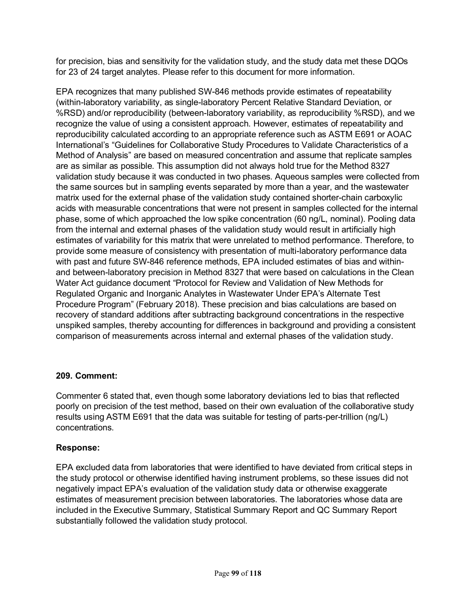for precision, bias and sensitivity for the validation study, and the study data met these DQOs for 23 of 24 target analytes. Please refer to this document for more information.

EPA recognizes that many published SW-846 methods provide estimates of repeatability (within-laboratory variability, as single-laboratory Percent Relative Standard Deviation, or %RSD) and/or reproducibility (between-laboratory variability, as reproducibility %RSD), and we recognize the value of using a consistent approach. However, estimates of repeatability and reproducibility calculated according to an appropriate reference such as ASTM E691 or AOAC International's "Guidelines for Collaborative Study Procedures to Validate Characteristics of a Method of Analysis" are based on measured concentration and assume that replicate samples are as similar as possible. This assumption did not always hold true for the Method 8327 validation study because it was conducted in two phases. Aqueous samples were collected from the same sources but in sampling events separated by more than a year, and the wastewater matrix used for the external phase of the validation study contained shorter-chain carboxylic acids with measurable concentrations that were not present in samples collected for the internal phase, some of which approached the low spike concentration (60 ng/L, nominal). Pooling data from the internal and external phases of the validation study would result in artificially high estimates of variability for this matrix that were unrelated to method performance. Therefore, to provide some measure of consistency with presentation of multi-laboratory performance data with past and future SW-846 reference methods, EPA included estimates of bias and withinand between-laboratory precision in Method 8327 that were based on calculations in the Clean Water Act guidance document "Protocol for Review and Validation of New Methods for Regulated Organic and Inorganic Analytes in Wastewater Under EPA's Alternate Test Procedure Program" (February 2018). These precision and bias calculations are based on recovery of standard additions after subtracting background concentrations in the respective unspiked samples, thereby accounting for differences in background and providing a consistent comparison of measurements across internal and external phases of the validation study.

### **209. Comment:**

Commenter 6 stated that, even though some laboratory deviations led to bias that reflected poorly on precision of the test method, based on their own evaluation of the collaborative study results using ASTM E691 that the data was suitable for testing of parts-per-trillion (ng/L) concentrations.

### **Response:**

EPA excluded data from laboratories that were identified to have deviated from critical steps in the study protocol or otherwise identified having instrument problems, so these issues did not negatively impact EPA's evaluation of the validation study data or otherwise exaggerate estimates of measurement precision between laboratories. The laboratories whose data are included in the Executive Summary, Statistical Summary Report and QC Summary Report substantially followed the validation study protocol.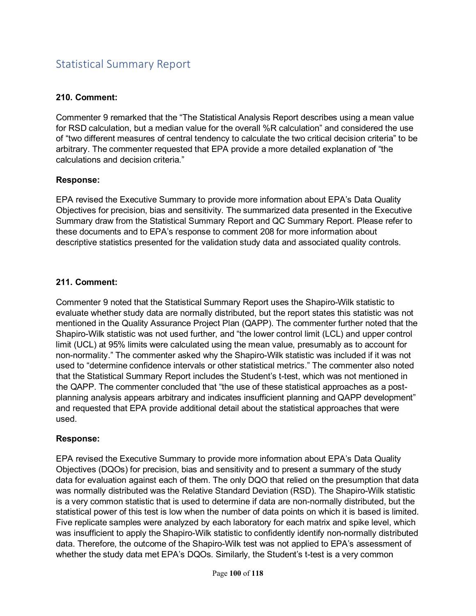# Statistical Summary Report

### **210. Comment:**

Commenter 9 remarked that the "The Statistical Analysis Report describes using a mean value for RSD calculation, but a median value for the overall %R calculation" and considered the use of "two different measures of central tendency to calculate the two critical decision criteria" to be arbitrary. The commenter requested that EPA provide a more detailed explanation of "the calculations and decision criteria."

#### **Response:**

EPA revised the Executive Summary to provide more information about EPA's Data Quality Objectives for precision, bias and sensitivity. The summarized data presented in the Executive Summary draw from the Statistical Summary Report and QC Summary Report. Please refer to these documents and to EPA's response to comment 208 for more information about descriptive statistics presented for the validation study data and associated quality controls.

### **211. Comment:**

Commenter 9 noted that the Statistical Summary Report uses the Shapiro-Wilk statistic to evaluate whether study data are normally distributed, but the report states this statistic was not mentioned in the Quality Assurance Project Plan (QAPP). The commenter further noted that the Shapiro-Wilk statistic was not used further, and "the lower control limit (LCL) and upper control limit (UCL) at 95% limits were calculated using the mean value, presumably as to account for non-normality." The commenter asked why the Shapiro-Wilk statistic was included if it was not used to "determine confidence intervals or other statistical metrics." The commenter also noted that the Statistical Summary Report includes the Student's t-test, which was not mentioned in the QAPP. The commenter concluded that "the use of these statistical approaches as a postplanning analysis appears arbitrary and indicates insufficient planning and QAPP development" and requested that EPA provide additional detail about the statistical approaches that were used.

#### **Response:**

EPA revised the Executive Summary to provide more information about EPA's Data Quality Objectives (DQOs) for precision, bias and sensitivity and to present a summary of the study data for evaluation against each of them. The only DQO that relied on the presumption that data was normally distributed was the Relative Standard Deviation (RSD). The Shapiro-Wilk statistic is a very common statistic that is used to determine if data are non-normally distributed, but the statistical power of this test is low when the number of data points on which it is based is limited. Five replicate samples were analyzed by each laboratory for each matrix and spike level, which was insufficient to apply the Shapiro-Wilk statistic to confidently identify non-normally distributed data. Therefore, the outcome of the Shapiro-Wilk test was not applied to EPA's assessment of whether the study data met EPA's DQOs. Similarly, the Student's t-test is a very common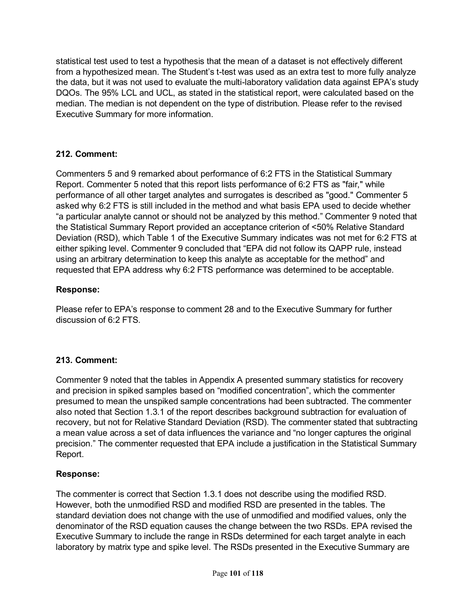statistical test used to test a hypothesis that the mean of a dataset is not effectively different from a hypothesized mean. The Student's t-test was used as an extra test to more fully analyze the data, but it was not used to evaluate the multi-laboratory validation data against EPA's study DQOs. The 95% LCL and UCL, as stated in the statistical report, were calculated based on the median. The median is not dependent on the type of distribution. Please refer to the revised Executive Summary for more information.

### **212. Comment:**

Commenters 5 and 9 remarked about performance of 6:2 FTS in the Statistical Summary Report. Commenter 5 noted that this report lists performance of 6:2 FTS as "fair," while performance of all other target analytes and surrogates is described as "good." Commenter 5 asked why 6:2 FTS is still included in the method and what basis EPA used to decide whether "a particular analyte cannot or should not be analyzed by this method." Commenter 9 noted that the Statistical Summary Report provided an acceptance criterion of <50% Relative Standard Deviation (RSD), which Table 1 of the Executive Summary indicates was not met for 6:2 FTS at either spiking level. Commenter 9 concluded that "EPA did not follow its QAPP rule, instead using an arbitrary determination to keep this analyte as acceptable for the method" and requested that EPA address why 6:2 FTS performance was determined to be acceptable.

### **Response:**

Please refer to EPA's response to comment 28 and to the Executive Summary for further discussion of 6:2 FTS.

### **213. Comment:**

Commenter 9 noted that the tables in Appendix A presented summary statistics for recovery and precision in spiked samples based on "modified concentration", which the commenter presumed to mean the unspiked sample concentrations had been subtracted. The commenter also noted that Section 1.3.1 of the report describes background subtraction for evaluation of recovery, but not for Relative Standard Deviation (RSD). The commenter stated that subtracting a mean value across a set of data influences the variance and "no longer captures the original precision." The commenter requested that EPA include a justification in the Statistical Summary Report.

### **Response:**

The commenter is correct that Section 1.3.1 does not describe using the modified RSD. However, both the unmodified RSD and modified RSD are presented in the tables. The standard deviation does not change with the use of unmodified and modified values, only the denominator of the RSD equation causes the change between the two RSDs. EPA revised the Executive Summary to include the range in RSDs determined for each target analyte in each laboratory by matrix type and spike level. The RSDs presented in the Executive Summary are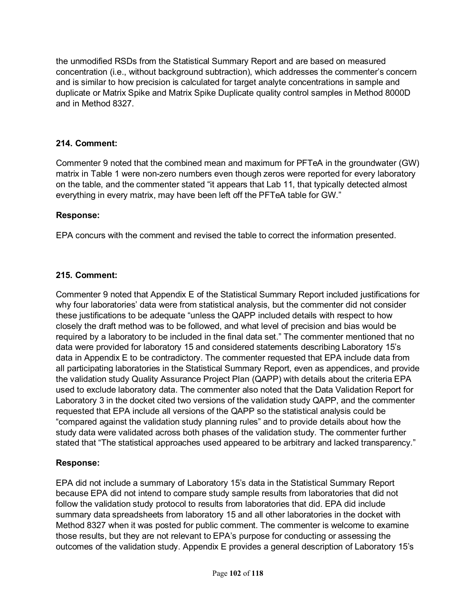the unmodified RSDs from the Statistical Summary Report and are based on measured concentration (i.e., without background subtraction), which addresses the commenter's concern and is similar to how precision is calculated for target analyte concentrations in sample and duplicate or Matrix Spike and Matrix Spike Duplicate quality control samples in Method 8000D and in Method 8327.

### **214. Comment:**

Commenter 9 noted that the combined mean and maximum for PFTeA in the groundwater (GW) matrix in Table 1 were non-zero numbers even though zeros were reported for every laboratory on the table, and the commenter stated "it appears that Lab 11, that typically detected almost everything in every matrix, may have been left off the PFTeA table for GW."

### **Response:**

EPA concurs with the comment and revised the table to correct the information presented.

### **215. Comment:**

Commenter 9 noted that Appendix E of the Statistical Summary Report included justifications for why four laboratories' data were from statistical analysis, but the commenter did not consider these justifications to be adequate "unless the QAPP included details with respect to how closely the draft method was to be followed, and what level of precision and bias would be required by a laboratory to be included in the final data set." The commenter mentioned that no data were provided for laboratory 15 and considered statements describing Laboratory 15's data in Appendix E to be contradictory. The commenter requested that EPA include data from all participating laboratories in the Statistical Summary Report, even as appendices, and provide the validation study Quality Assurance Project Plan (QAPP) with details about the criteria EPA used to exclude laboratory data. The commenter also noted that the Data Validation Report for Laboratory 3 in the docket cited two versions of the validation study QAPP, and the commenter requested that EPA include all versions of the QAPP so the statistical analysis could be "compared against the validation study planning rules" and to provide details about how the study data were validated across both phases of the validation study. The commenter further stated that "The statistical approaches used appeared to be arbitrary and lacked transparency."

### **Response:**

EPA did not include a summary of Laboratory 15's data in the Statistical Summary Report because EPA did not intend to compare study sample results from laboratories that did not follow the validation study protocol to results from laboratories that did. EPA did include summary data spreadsheets from laboratory 15 and all other laboratories in the docket with Method 8327 when it was posted for public comment. The commenter is welcome to examine those results, but they are not relevant to EPA's purpose for conducting or assessing the outcomes of the validation study. Appendix E provides a general description of Laboratory 15's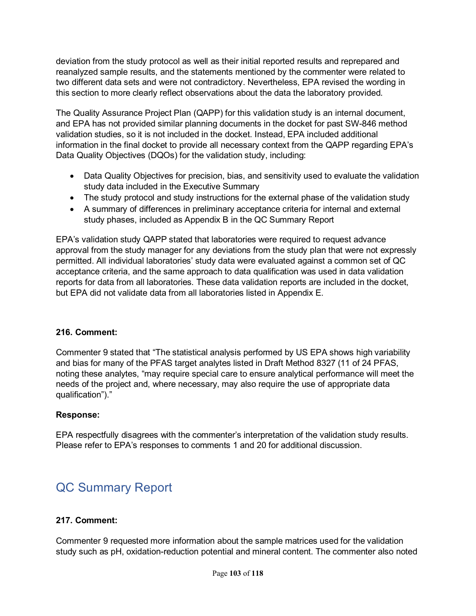deviation from the study protocol as well as their initial reported results and reprepared and reanalyzed sample results, and the statements mentioned by the commenter were related to two different data sets and were not contradictory. Nevertheless, EPA revised the wording in this section to more clearly reflect observations about the data the laboratory provided.

The Quality Assurance Project Plan (QAPP) for this validation study is an internal document, and EPA has not provided similar planning documents in the docket for past SW-846 method validation studies, so it is not included in the docket. Instead, EPA included additional information in the final docket to provide all necessary context from the QAPP regarding EPA's Data Quality Objectives (DQOs) for the validation study, including:

- Data Quality Objectives for precision, bias, and sensitivity used to evaluate the validation study data included in the Executive Summary
- The study protocol and study instructions for the external phase of the validation study
- A summary of differences in preliminary acceptance criteria for internal and external study phases, included as Appendix B in the QC Summary Report

EPA's validation study QAPP stated that laboratories were required to request advance approval from the study manager for any deviations from the study plan that were not expressly permitted. All individual laboratories' study data were evaluated against a common set of QC acceptance criteria, and the same approach to data qualification was used in data validation reports for data from all laboratories. These data validation reports are included in the docket, but EPA did not validate data from all laboratories listed in Appendix E.

### **216. Comment:**

Commenter 9 stated that "The statistical analysis performed by US EPA shows high variability and bias for many of the PFAS target analytes listed in Draft Method 8327 (11 of 24 PFAS, noting these analytes, "may require special care to ensure analytical performance will meet the needs of the project and, where necessary, may also require the use of appropriate data qualification")."

### **Response:**

EPA respectfully disagrees with the commenter's interpretation of the validation study results. Please refer to EPA's responses to comments 1 and 20 for additional discussion.

# QC Summary Report

### **217. Comment:**

Commenter 9 requested more information about the sample matrices used for the validation study such as pH, oxidation-reduction potential and mineral content. The commenter also noted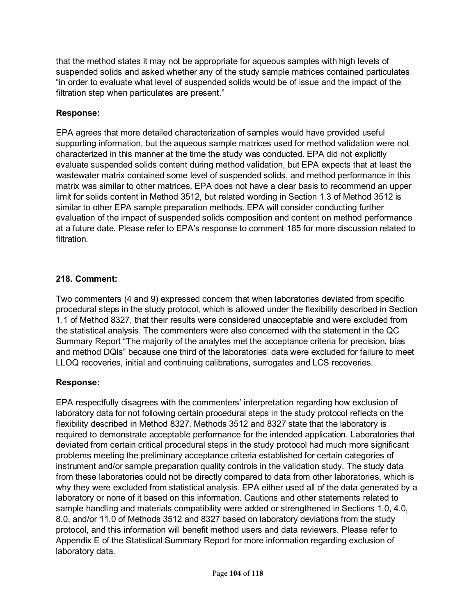that the method states it may not be appropriate for aqueous samples with high levels of suspended solids and asked whether any of the study sample matrices contained particulates "in order to evaluate what level of suspended solids would be of issue and the impact of the filtration step when particulates are present."

### **Response:**

EPA agrees that more detailed characterization of samples would have provided useful supporting information, but the aqueous sample matrices used for method validation were not characterized in this manner at the time the study was conducted. EPA did not explicitly evaluate suspended solids content during method validation, but EPA expects that at least the wastewater matrix contained some level of suspended solids, and method performance in this matrix was similar to other matrices. EPA does not have a clear basis to recommend an upper limit for solids content in Method 3512, but related wording in Section 1.3 of Method 3512 is similar to other EPA sample preparation methods. EPA will consider conducting further evaluation of the impact of suspended solids composition and content on method performance at a future date. Please refer to EPA's response to comment 185 for more discussion related to filtration.

### **218. Comment:**

Two commenters (4 and 9) expressed concern that when laboratories deviated from specific procedural steps in the study protocol, which is allowed under the flexibility described in Section 1.1 of Method 8327, that their results were considered unacceptable and were excluded from the statistical analysis. The commenters were also concerned with the statement in the QC Summary Report "The majority of the analytes met the acceptance criteria for precision, bias and method DQIs" because one third of the laboratories' data were excluded for failure to meet LLOQ recoveries, initial and continuing calibrations, surrogates and LCS recoveries.

### **Response:**

EPA respectfully disagrees with the commenters' interpretation regarding how exclusion of laboratory data for not following certain procedural steps in the study protocol reflects on the flexibility described in Method 8327. Methods 3512 and 8327 state that the laboratory is required to demonstrate acceptable performance for the intended application. Laboratories that deviated from certain critical procedural steps in the study protocol had much more significant problems meeting the preliminary acceptance criteria established for certain categories of instrument and/or sample preparation quality controls in the validation study. The study data from these laboratories could not be directly compared to data from other laboratories, which is why they were excluded from statistical analysis. EPA either used all of the data generated by a laboratory or none of it based on this information. Cautions and other statements related to sample handling and materials compatibility were added or strengthened in Sections 1.0, 4.0, 8.0, and/or 11.0 of Methods 3512 and 8327 based on laboratory deviations from the study protocol, and this information will benefit method users and data reviewers. Please refer to Appendix E of the Statistical Summary Report for more information regarding exclusion of laboratory data.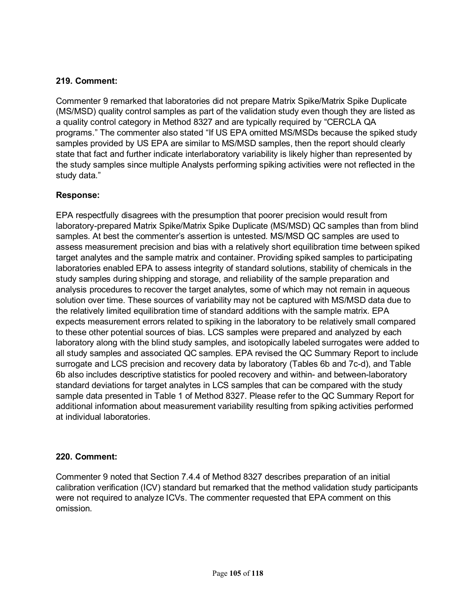Commenter 9 remarked that laboratories did not prepare Matrix Spike/Matrix Spike Duplicate (MS/MSD) quality control samples as part of the validation study even though they are listed as a quality control category in Method 8327 and are typically required by "CERCLA QA programs." The commenter also stated "If US EPA omitted MS/MSDs because the spiked study samples provided by US EPA are similar to MS/MSD samples, then the report should clearly state that fact and further indicate interlaboratory variability is likely higher than represented by the study samples since multiple Analysts performing spiking activities were not reflected in the study data."

### **Response:**

EPA respectfully disagrees with the presumption that poorer precision would result from laboratory-prepared Matrix Spike/Matrix Spike Duplicate (MS/MSD) QC samples than from blind samples. At best the commenter's assertion is untested. MS/MSD QC samples are used to assess measurement precision and bias with a relatively short equilibration time between spiked target analytes and the sample matrix and container. Providing spiked samples to participating laboratories enabled EPA to assess integrity of standard solutions, stability of chemicals in the study samples during shipping and storage, and reliability of the sample preparation and analysis procedures to recover the target analytes, some of which may not remain in aqueous solution over time. These sources of variability may not be captured with MS/MSD data due to the relatively limited equilibration time of standard additions with the sample matrix. EPA expects measurement errors related to spiking in the laboratory to be relatively small compared to these other potential sources of bias. LCS samples were prepared and analyzed by each laboratory along with the blind study samples, and isotopically labeled surrogates were added to all study samples and associated QC samples. EPA revised the QC Summary Report to include surrogate and LCS precision and recovery data by laboratory (Tables 6b and 7c-d), and Table 6b also includes descriptive statistics for pooled recovery and within- and between-laboratory standard deviations for target analytes in LCS samples that can be compared with the study sample data presented in Table 1 of Method 8327. Please refer to the QC Summary Report for additional information about measurement variability resulting from spiking activities performed at individual laboratories.

### **220. Comment:**

Commenter 9 noted that Section 7.4.4 of Method 8327 describes preparation of an initial calibration verification (ICV) standard but remarked that the method validation study participants were not required to analyze ICVs. The commenter requested that EPA comment on this omission.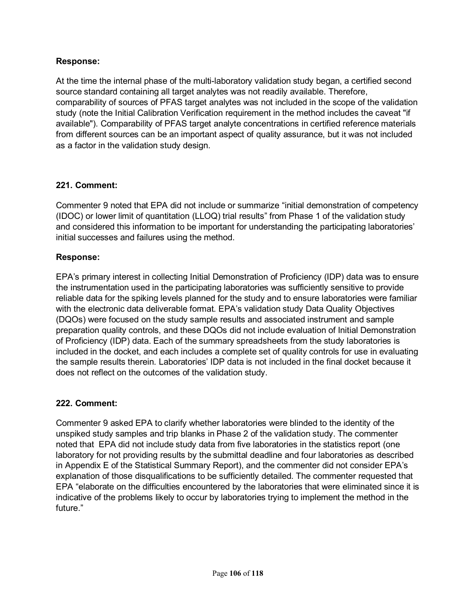### **Response:**

At the time the internal phase of the multi-laboratory validation study began, a certified second source standard containing all target analytes was not readily available. Therefore, comparability of sources of PFAS target analytes was not included in the scope of the validation study (note the Initial Calibration Verification requirement in the method includes the caveat "if available"). Comparability of PFAS target analyte concentrations in certified reference materials from different sources can be an important aspect of quality assurance, but it was not included as a factor in the validation study design.

### **221. Comment:**

Commenter 9 noted that EPA did not include or summarize "initial demonstration of competency (IDOC) or lower limit of quantitation (LLOQ) trial results" from Phase 1 of the validation study and considered this information to be important for understanding the participating laboratories' initial successes and failures using the method.

### **Response:**

EPA's primary interest in collecting Initial Demonstration of Proficiency (IDP) data was to ensure the instrumentation used in the participating laboratories was sufficiently sensitive to provide reliable data for the spiking levels planned for the study and to ensure laboratories were familiar with the electronic data deliverable format. EPA's validation study Data Quality Objectives (DQOs) were focused on the study sample results and associated instrument and sample preparation quality controls, and these DQOs did not include evaluation of Initial Demonstration of Proficiency (IDP) data. Each of the summary spreadsheets from the study laboratories is included in the docket, and each includes a complete set of quality controls for use in evaluating the sample results therein. Laboratories' IDP data is not included in the final docket because it does not reflect on the outcomes of the validation study.

### **222. Comment:**

Commenter 9 asked EPA to clarify whether laboratories were blinded to the identity of the unspiked study samples and trip blanks in Phase 2 of the validation study. The commenter noted that EPA did not include study data from five laboratories in the statistics report (one laboratory for not providing results by the submittal deadline and four laboratories as described in Appendix E of the Statistical Summary Report), and the commenter did not consider EPA's explanation of those disqualifications to be sufficiently detailed. The commenter requested that EPA "elaborate on the difficulties encountered by the laboratories that were eliminated since it is indicative of the problems likely to occur by laboratories trying to implement the method in the future."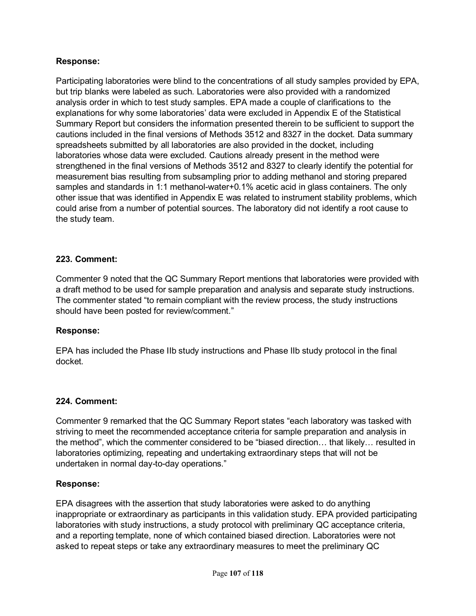### **Response:**

Participating laboratories were blind to the concentrations of all study samples provided by EPA, but trip blanks were labeled as such. Laboratories were also provided with a randomized analysis order in which to test study samples. EPA made a couple of clarifications to the explanations for why some laboratories' data were excluded in Appendix E of the Statistical Summary Report but considers the information presented therein to be sufficient to support the cautions included in the final versions of Methods 3512 and 8327 in the docket. Data summary spreadsheets submitted by all laboratories are also provided in the docket, including laboratories whose data were excluded. Cautions already present in the method were strengthened in the final versions of Methods 3512 and 8327 to clearly identify the potential for measurement bias resulting from subsampling prior to adding methanol and storing prepared samples and standards in 1:1 methanol-water+0.1% acetic acid in glass containers. The only other issue that was identified in Appendix E was related to instrument stability problems, which could arise from a number of potential sources. The laboratory did not identify a root cause to the study team.

#### **223. Comment:**

Commenter 9 noted that the QC Summary Report mentions that laboratories were provided with a draft method to be used for sample preparation and analysis and separate study instructions. The commenter stated "to remain compliant with the review process, the study instructions should have been posted for review/comment."

#### **Response:**

EPA has included the Phase IIb study instructions and Phase IIb study protocol in the final docket.

#### **224. Comment:**

Commenter 9 remarked that the QC Summary Report states "each laboratory was tasked with striving to meet the recommended acceptance criteria for sample preparation and analysis in the method", which the commenter considered to be "biased direction… that likely… resulted in laboratories optimizing, repeating and undertaking extraordinary steps that will not be undertaken in normal day-to-day operations."

#### **Response:**

EPA disagrees with the assertion that study laboratories were asked to do anything inappropriate or extraordinary as participants in this validation study. EPA provided participating laboratories with study instructions, a study protocol with preliminary QC acceptance criteria, and a reporting template, none of which contained biased direction. Laboratories were not asked to repeat steps or take any extraordinary measures to meet the preliminary QC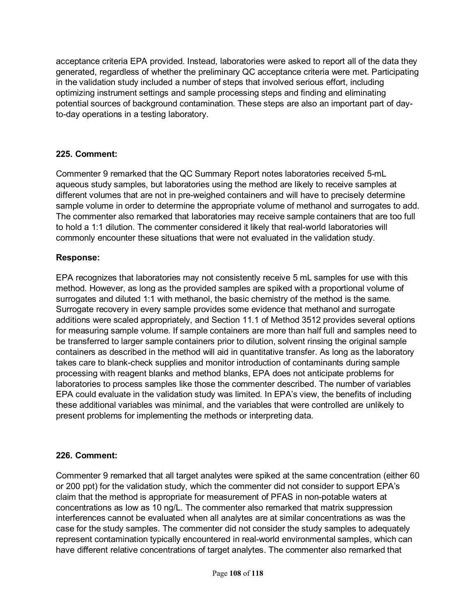acceptance criteria EPA provided. Instead, laboratories were asked to report all of the data they generated, regardless of whether the preliminary QC acceptance criteria were met. Participating in the validation study included a number of steps that involved serious effort, including optimizing instrument settings and sample processing steps and finding and eliminating potential sources of background contamination. These steps are also an important part of dayto-day operations in a testing laboratory.

### **225. Comment:**

Commenter 9 remarked that the QC Summary Report notes laboratories received 5-mL aqueous study samples, but laboratories using the method are likely to receive samples at different volumes that are not in pre-weighed containers and will have to precisely determine sample volume in order to determine the appropriate volume of methanol and surrogates to add. The commenter also remarked that laboratories may receive sample containers that are too full to hold a 1:1 dilution. The commenter considered it likely that real-world laboratories will commonly encounter these situations that were not evaluated in the validation study*.*

### **Response:**

EPA recognizes that laboratories may not consistently receive 5 mL samples for use with this method. However, as long as the provided samples are spiked with a proportional volume of surrogates and diluted 1:1 with methanol, the basic chemistry of the method is the same. Surrogate recovery in every sample provides some evidence that methanol and surrogate additions were scaled appropriately, and Section 11.1 of Method 3512 provides several options for measuring sample volume. If sample containers are more than half full and samples need to be transferred to larger sample containers prior to dilution, solvent rinsing the original sample containers as described in the method will aid in quantitative transfer. As long as the laboratory takes care to blank-check supplies and monitor introduction of contaminants during sample processing with reagent blanks and method blanks, EPA does not anticipate problems for laboratories to process samples like those the commenter described. The number of variables EPA could evaluate in the validation study was limited. In EPA's view, the benefits of including these additional variables was minimal, and the variables that were controlled are unlikely to present problems for implementing the methods or interpreting data.

### **226. Comment:**

Commenter 9 remarked that all target analytes were spiked at the same concentration (either 60 or 200 ppt) for the validation study, which the commenter did not consider to support EPA's claim that the method is appropriate for measurement of PFAS in non-potable waters at concentrations as low as 10 ng/L. The commenter also remarked that matrix suppression interferences cannot be evaluated when all analytes are at similar concentrations as was the case for the study samples. The commenter did not consider the study samples to adequately represent contamination typically encountered in real-world environmental samples, which can have different relative concentrations of target analytes. The commenter also remarked that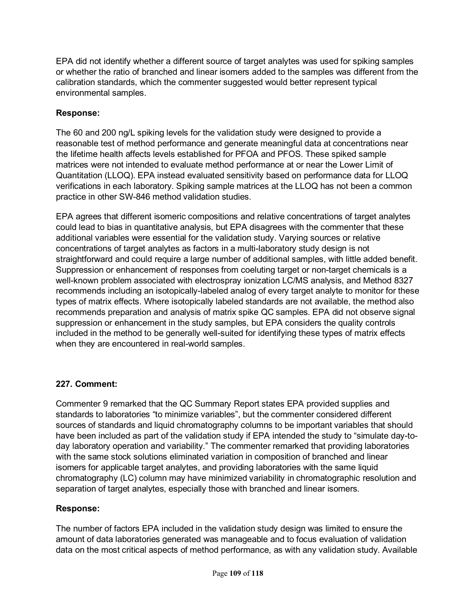EPA did not identify whether a different source of target analytes was used for spiking samples or whether the ratio of branched and linear isomers added to the samples was different from the calibration standards, which the commenter suggested would better represent typical environmental samples.

# **Response:**

The 60 and 200 ng/L spiking levels for the validation study were designed to provide a reasonable test of method performance and generate meaningful data at concentrations near the lifetime health affects levels established for PFOA and PFOS. These spiked sample matrices were not intended to evaluate method performance at or near the Lower Limit of Quantitation (LLOQ). EPA instead evaluated sensitivity based on performance data for LLOQ verifications in each laboratory. Spiking sample matrices at the LLOQ has not been a common practice in other SW-846 method validation studies.

EPA agrees that different isomeric compositions and relative concentrations of target analytes could lead to bias in quantitative analysis, but EPA disagrees with the commenter that these additional variables were essential for the validation study. Varying sources or relative concentrations of target analytes as factors in a multi-laboratory study design is not straightforward and could require a large number of additional samples, with little added benefit. Suppression or enhancement of responses from coeluting target or non-target chemicals is a well-known problem associated with electrospray ionization LC/MS analysis, and Method 8327 recommends including an isotopically-labeled analog of every target analyte to monitor for these types of matrix effects. Where isotopically labeled standards are not available, the method also recommends preparation and analysis of matrix spike QC samples. EPA did not observe signal suppression or enhancement in the study samples, but EPA considers the quality controls included in the method to be generally well-suited for identifying these types of matrix effects when they are encountered in real-world samples.

# **227. Comment:**

Commenter 9 remarked that the QC Summary Report states EPA provided supplies and standards to laboratories "to minimize variables", but the commenter considered different sources of standards and liquid chromatography columns to be important variables that should have been included as part of the validation study if EPA intended the study to "simulate day-today laboratory operation and variability." The commenter remarked that providing laboratories with the same stock solutions eliminated variation in composition of branched and linear isomers for applicable target analytes, and providing laboratories with the same liquid chromatography (LC) column may have minimized variability in chromatographic resolution and separation of target analytes, especially those with branched and linear isomers.

# **Response:**

The number of factors EPA included in the validation study design was limited to ensure the amount of data laboratories generated was manageable and to focus evaluation of validation data on the most critical aspects of method performance, as with any validation study. Available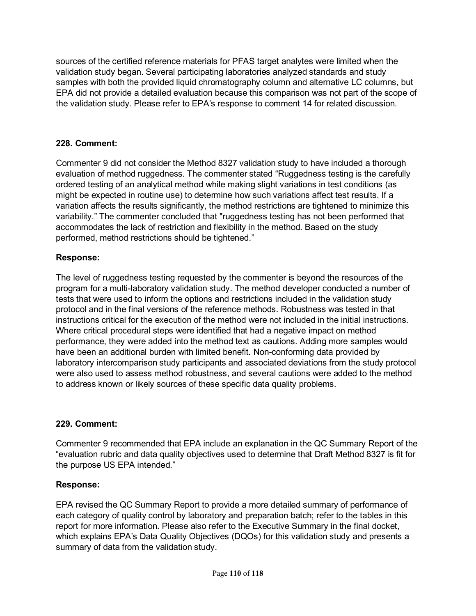sources of the certified reference materials for PFAS target analytes were limited when the validation study began. Several participating laboratories analyzed standards and study samples with both the provided liquid chromatography column and alternative LC columns, but EPA did not provide a detailed evaluation because this comparison was not part of the scope of the validation study. Please refer to EPA's response to comment 14 for related discussion.

## **228. Comment:**

Commenter 9 did not consider the Method 8327 validation study to have included a thorough evaluation of method ruggedness. The commenter stated "Ruggedness testing is the carefully ordered testing of an analytical method while making slight variations in test conditions (as might be expected in routine use) to determine how such variations affect test results. If a variation affects the results significantly, the method restrictions are tightened to minimize this variability." The commenter concluded that "ruggedness testing has not been performed that accommodates the lack of restriction and flexibility in the method. Based on the study performed, method restrictions should be tightened."

## **Response:**

The level of ruggedness testing requested by the commenter is beyond the resources of the program for a multi-laboratory validation study. The method developer conducted a number of tests that were used to inform the options and restrictions included in the validation study protocol and in the final versions of the reference methods. Robustness was tested in that instructions critical for the execution of the method were not included in the initial instructions. Where critical procedural steps were identified that had a negative impact on method performance, they were added into the method text as cautions. Adding more samples would have been an additional burden with limited benefit. Non-conforming data provided by laboratory intercomparison study participants and associated deviations from the study protocol were also used to assess method robustness, and several cautions were added to the method to address known or likely sources of these specific data quality problems.

## **229. Comment:**

Commenter 9 recommended that EPA include an explanation in the QC Summary Report of the "evaluation rubric and data quality objectives used to determine that Draft Method 8327 is fit for the purpose US EPA intended."

# **Response:**

EPA revised the QC Summary Report to provide a more detailed summary of performance of each category of quality control by laboratory and preparation batch; refer to the tables in this report for more information. Please also refer to the Executive Summary in the final docket, which explains EPA's Data Quality Objectives (DQOs) for this validation study and presents a summary of data from the validation study.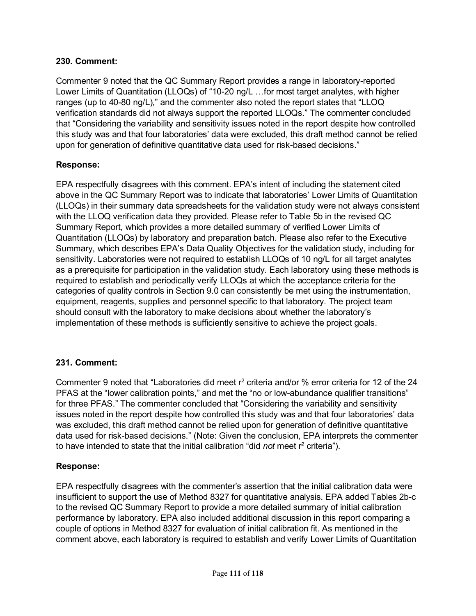#### **230. Comment:**

Commenter 9 noted that the QC Summary Report provides a range in laboratory-reported Lower Limits of Quantitation (LLOQs) of "10-20 ng/L …for most target analytes, with higher ranges (up to 40-80 ng/L)," and the commenter also noted the report states that "LLOQ verification standards did not always support the reported LLOQs." The commenter concluded that "Considering the variability and sensitivity issues noted in the report despite how controlled this study was and that four laboratories' data were excluded, this draft method cannot be relied upon for generation of definitive quantitative data used for risk-based decisions."

#### **Response:**

EPA respectfully disagrees with this comment. EPA's intent of including the statement cited above in the QC Summary Report was to indicate that laboratories' Lower Limits of Quantitation (LLOQs) in their summary data spreadsheets for the validation study were not always consistent with the LLOQ verification data they provided. Please refer to Table 5b in the revised QC Summary Report, which provides a more detailed summary of verified Lower Limits of Quantitation (LLOQs) by laboratory and preparation batch. Please also refer to the Executive Summary, which describes EPA's Data Quality Objectives for the validation study, including for sensitivity. Laboratories were not required to establish LLOQs of 10 ng/L for all target analytes as a prerequisite for participation in the validation study. Each laboratory using these methods is required to establish and periodically verify LLOQs at which the acceptance criteria for the categories of quality controls in Section 9.0 can consistently be met using the instrumentation, equipment, reagents, supplies and personnel specific to that laboratory. The project team should consult with the laboratory to make decisions about whether the laboratory's implementation of these methods is sufficiently sensitive to achieve the project goals.

## **231. Comment:**

Commenter 9 noted that "Laboratories did meet  $r^2$  criteria and/or % error criteria for 12 of the 24 PFAS at the "lower calibration points," and met the "no or low-abundance qualifier transitions" for three PFAS." The commenter concluded that "Considering the variability and sensitivity issues noted in the report despite how controlled this study was and that four laboratories' data was excluded, this draft method cannot be relied upon for generation of definitive quantitative data used for risk-based decisions." (Note: Given the conclusion, EPA interprets the commenter to have intended to state that the initial calibration "did *not* meet r<sup>2</sup> criteria").

#### **Response:**

EPA respectfully disagrees with the commenter's assertion that the initial calibration data were insufficient to support the use of Method 8327 for quantitative analysis. EPA added Tables 2b-c to the revised QC Summary Report to provide a more detailed summary of initial calibration performance by laboratory. EPA also included additional discussion in this report comparing a couple of options in Method 8327 for evaluation of initial calibration fit. As mentioned in the comment above, each laboratory is required to establish and verify Lower Limits of Quantitation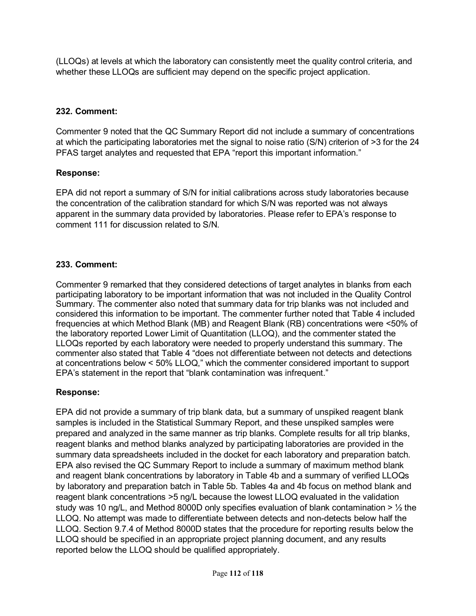(LLOQs) at levels at which the laboratory can consistently meet the quality control criteria, and whether these LLOQs are sufficient may depend on the specific project application.

## **232. Comment:**

Commenter 9 noted that the QC Summary Report did not include a summary of concentrations at which the participating laboratories met the signal to noise ratio (S/N) criterion of >3 for the 24 PFAS target analytes and requested that EPA "report this important information."

## **Response:**

EPA did not report a summary of S/N for initial calibrations across study laboratories because the concentration of the calibration standard for which S/N was reported was not always apparent in the summary data provided by laboratories. Please refer to EPA's response to comment 111 for discussion related to S/N.

## **233. Comment:**

Commenter 9 remarked that they considered detections of target analytes in blanks from each participating laboratory to be important information that was not included in the Quality Control Summary. The commenter also noted that summary data for trip blanks was not included and considered this information to be important. The commenter further noted that Table 4 included frequencies at which Method Blank (MB) and Reagent Blank (RB) concentrations were <50% of the laboratory reported Lower Limit of Quantitation (LLOQ), and the commenter stated the LLOQs reported by each laboratory were needed to properly understand this summary. The commenter also stated that Table 4 "does not differentiate between not detects and detections at concentrations below < 50% LLOQ," which the commenter considered important to support EPA's statement in the report that "blank contamination was infrequent."

# **Response:**

EPA did not provide a summary of trip blank data, but a summary of unspiked reagent blank samples is included in the Statistical Summary Report, and these unspiked samples were prepared and analyzed in the same manner as trip blanks. Complete results for all trip blanks, reagent blanks and method blanks analyzed by participating laboratories are provided in the summary data spreadsheets included in the docket for each laboratory and preparation batch. EPA also revised the QC Summary Report to include a summary of maximum method blank and reagent blank concentrations by laboratory in Table 4b and a summary of verified LLOQs by laboratory and preparation batch in Table 5b. Tables 4a and 4b focus on method blank and reagent blank concentrations >5 ng/L because the lowest LLOQ evaluated in the validation study was 10 ng/L, and Method 8000D only specifies evaluation of blank contamination  $>$  1/<sub>2</sub> the LLOQ. No attempt was made to differentiate between detects and non-detects below half the LLOQ. Section 9.7.4 of Method 8000D states that the procedure for reporting results below the LLOQ should be specified in an appropriate project planning document, and any results reported below the LLOQ should be qualified appropriately.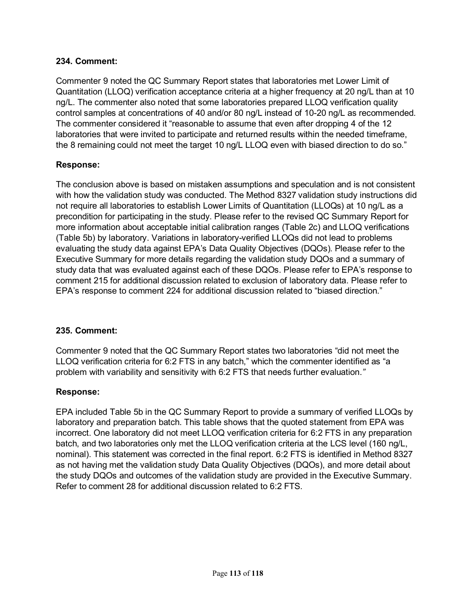#### **234. Comment:**

Commenter 9 noted the QC Summary Report states that laboratories met Lower Limit of Quantitation (LLOQ) verification acceptance criteria at a higher frequency at 20 ng/L than at 10 ng/L. The commenter also noted that some laboratories prepared LLOQ verification quality control samples at concentrations of 40 and/or 80 ng/L instead of 10-20 ng/L as recommended. The commenter considered it "reasonable to assume that even after dropping 4 of the 12 laboratories that were invited to participate and returned results within the needed timeframe, the 8 remaining could not meet the target 10 ng/L LLOQ even with biased direction to do so."

#### **Response:**

The conclusion above is based on mistaken assumptions and speculation and is not consistent with how the validation study was conducted. The Method 8327 validation study instructions did not require all laboratories to establish Lower Limits of Quantitation (LLOQs) at 10 ng/L as a precondition for participating in the study. Please refer to the revised QC Summary Report for more information about acceptable initial calibration ranges (Table 2c) and LLOQ verifications (Table 5b) by laboratory. Variations in laboratory-verified LLOQs did not lead to problems evaluating the study data against EPA's Data Quality Objectives (DQOs). Please refer to the Executive Summary for more details regarding the validation study DQOs and a summary of study data that was evaluated against each of these DQOs. Please refer to EPA's response to comment 215 for additional discussion related to exclusion of laboratory data. Please refer to EPA's response to comment 224 for additional discussion related to "biased direction."

#### **235. Comment:**

Commenter 9 noted that the QC Summary Report states two laboratories "did not meet the LLOQ verification criteria for 6:2 FTS in any batch," which the commenter identified as "a problem with variability and sensitivity with 6:2 FTS that needs further evaluation.*"*

#### **Response:**

EPA included Table 5b in the QC Summary Report to provide a summary of verified LLOQs by laboratory and preparation batch. This table shows that the quoted statement from EPA was incorrect. One laboratory did not meet LLOQ verification criteria for 6:2 FTS in any preparation batch, and two laboratories only met the LLOQ verification criteria at the LCS level (160 ng/L, nominal). This statement was corrected in the final report. 6:2 FTS is identified in Method 8327 as not having met the validation study Data Quality Objectives (DQOs), and more detail about the study DQOs and outcomes of the validation study are provided in the Executive Summary. Refer to comment 28 for additional discussion related to 6:2 FTS.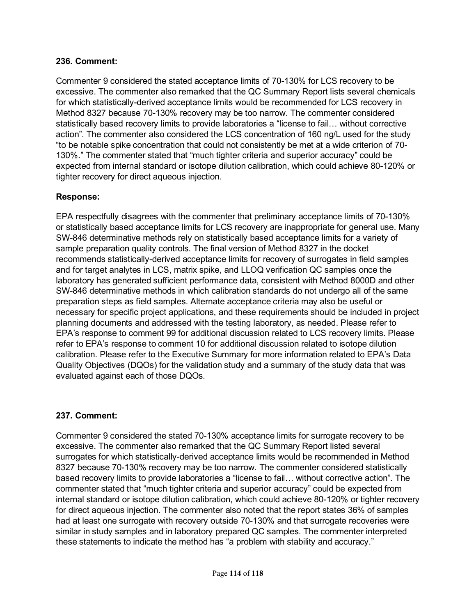#### **236. Comment:**

Commenter 9 considered the stated acceptance limits of 70-130% for LCS recovery to be excessive. The commenter also remarked that the QC Summary Report lists several chemicals for which statistically-derived acceptance limits would be recommended for LCS recovery in Method 8327 because 70-130% recovery may be too narrow. The commenter considered statistically based recovery limits to provide laboratories a "license to fail… without corrective action". The commenter also considered the LCS concentration of 160 ng/L used for the study "to be notable spike concentration that could not consistently be met at a wide criterion of 70- 130%." The commenter stated that "much tighter criteria and superior accuracy" could be expected from internal standard or isotope dilution calibration, which could achieve 80-120% or tighter recovery for direct aqueous injection.

## **Response:**

EPA respectfully disagrees with the commenter that preliminary acceptance limits of 70-130% or statistically based acceptance limits for LCS recovery are inappropriate for general use. Many SW-846 determinative methods rely on statistically based acceptance limits for a variety of sample preparation quality controls. The final version of Method 8327 in the docket recommends statistically-derived acceptance limits for recovery of surrogates in field samples and for target analytes in LCS, matrix spike, and LLOQ verification QC samples once the laboratory has generated sufficient performance data, consistent with Method 8000D and other SW-846 determinative methods in which calibration standards do not undergo all of the same preparation steps as field samples. Alternate acceptance criteria may also be useful or necessary for specific project applications, and these requirements should be included in project planning documents and addressed with the testing laboratory, as needed. Please refer to EPA's response to comment 99 for additional discussion related to LCS recovery limits. Please refer to EPA's response to comment 10 for additional discussion related to isotope dilution calibration. Please refer to the Executive Summary for more information related to EPA's Data Quality Objectives (DQOs) for the validation study and a summary of the study data that was evaluated against each of those DQOs.

## **237. Comment:**

Commenter 9 considered the stated 70-130% acceptance limits for surrogate recovery to be excessive. The commenter also remarked that the QC Summary Report listed several surrogates for which statistically-derived acceptance limits would be recommended in Method 8327 because 70-130% recovery may be too narrow. The commenter considered statistically based recovery limits to provide laboratories a "license to fail… without corrective action". The commenter stated that "much tighter criteria and superior accuracy" could be expected from internal standard or isotope dilution calibration, which could achieve 80-120% or tighter recovery for direct aqueous injection. The commenter also noted that the report states 36% of samples had at least one surrogate with recovery outside 70-130% and that surrogate recoveries were similar in study samples and in laboratory prepared QC samples. The commenter interpreted these statements to indicate the method has "a problem with stability and accuracy."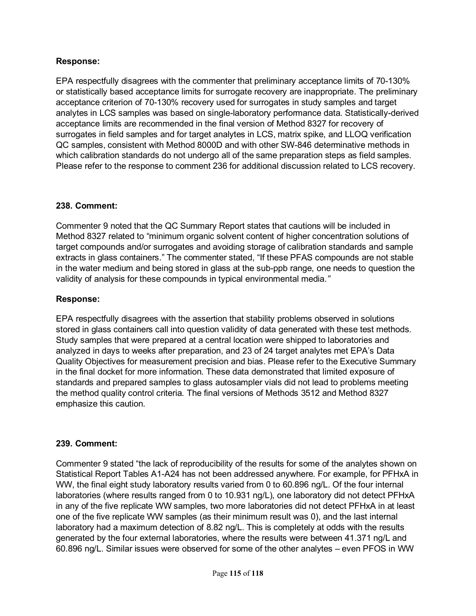## **Response:**

EPA respectfully disagrees with the commenter that preliminary acceptance limits of 70-130% or statistically based acceptance limits for surrogate recovery are inappropriate. The preliminary acceptance criterion of 70-130% recovery used for surrogates in study samples and target analytes in LCS samples was based on single-laboratory performance data. Statistically-derived acceptance limits are recommended in the final version of Method 8327 for recovery of surrogates in field samples and for target analytes in LCS, matrix spike, and LLOQ verification QC samples, consistent with Method 8000D and with other SW-846 determinative methods in which calibration standards do not undergo all of the same preparation steps as field samples. Please refer to the response to comment 236 for additional discussion related to LCS recovery.

## **238. Comment:**

Commenter 9 noted that the QC Summary Report states that cautions will be included in Method 8327 related to "minimum organic solvent content of higher concentration solutions of target compounds and/or surrogates and avoiding storage of calibration standards and sample extracts in glass containers." The commenter stated, "If these PFAS compounds are not stable in the water medium and being stored in glass at the sub-ppb range, one needs to question the validity of analysis for these compounds in typical environmental media.*"*

## **Response:**

EPA respectfully disagrees with the assertion that stability problems observed in solutions stored in glass containers call into question validity of data generated with these test methods. Study samples that were prepared at a central location were shipped to laboratories and analyzed in days to weeks after preparation, and 23 of 24 target analytes met EPA's Data Quality Objectives for measurement precision and bias. Please refer to the Executive Summary in the final docket for more information. These data demonstrated that limited exposure of standards and prepared samples to glass autosampler vials did not lead to problems meeting the method quality control criteria. The final versions of Methods 3512 and Method 8327 emphasize this caution.

## **239. Comment:**

Commenter 9 stated "the lack of reproducibility of the results for some of the analytes shown on Statistical Report Tables A1-A24 has not been addressed anywhere. For example, for PFHxA in WW, the final eight study laboratory results varied from 0 to 60.896 ng/L. Of the four internal laboratories (where results ranged from 0 to 10.931 ng/L), one laboratory did not detect PFHxA in any of the five replicate WW samples, two more laboratories did not detect PFHxA in at least one of the five replicate WW samples (as their minimum result was 0), and the last internal laboratory had a maximum detection of 8.82 ng/L. This is completely at odds with the results generated by the four external laboratories, where the results were between 41.371 ng/L and 60.896 ng/L. Similar issues were observed for some of the other analytes – even PFOS in WW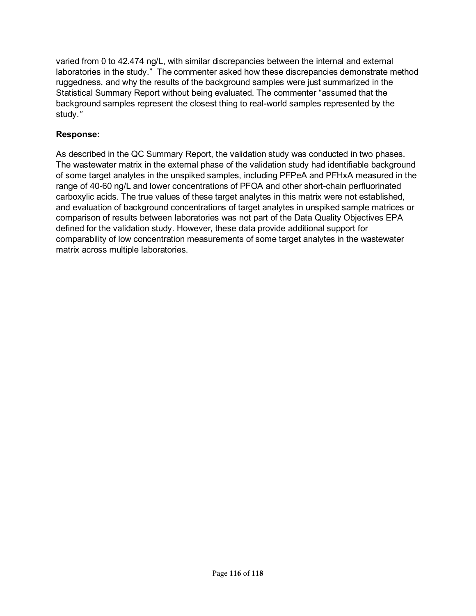varied from 0 to 42.474 ng/L, with similar discrepancies between the internal and external laboratories in the study." The commenter asked how these discrepancies demonstrate method ruggedness, and why the results of the background samples were just summarized in the Statistical Summary Report without being evaluated. The commenter "assumed that the background samples represent the closest thing to real-world samples represented by the study.*"*

## **Response:**

As described in the QC Summary Report, the validation study was conducted in two phases. The wastewater matrix in the external phase of the validation study had identifiable background of some target analytes in the unspiked samples, including PFPeA and PFHxA measured in the range of 40-60 ng/L and lower concentrations of PFOA and other short-chain perfluorinated carboxylic acids. The true values of these target analytes in this matrix were not established, and evaluation of background concentrations of target analytes in unspiked sample matrices or comparison of results between laboratories was not part of the Data Quality Objectives EPA defined for the validation study. However, these data provide additional support for comparability of low concentration measurements of some target analytes in the wastewater matrix across multiple laboratories.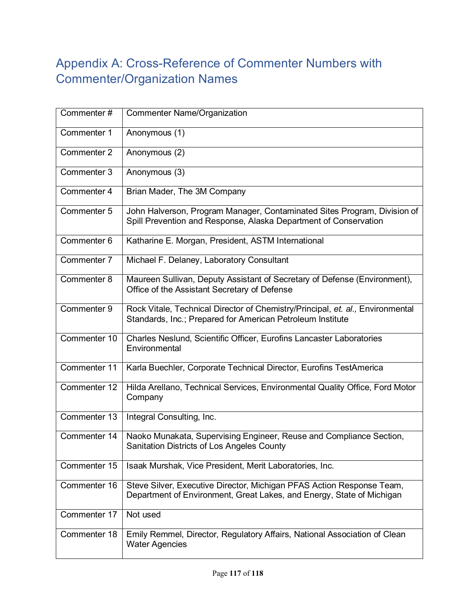# Appendix A: Cross-Reference of Commenter Numbers with Commenter/Organization Names

| Commenter#   | <b>Commenter Name/Organization</b>                                                                                                             |
|--------------|------------------------------------------------------------------------------------------------------------------------------------------------|
| Commenter 1  | Anonymous (1)                                                                                                                                  |
| Commenter 2  | Anonymous (2)                                                                                                                                  |
| Commenter 3  | Anonymous (3)                                                                                                                                  |
| Commenter 4  | Brian Mader, The 3M Company                                                                                                                    |
| Commenter 5  | John Halverson, Program Manager, Contaminated Sites Program, Division of<br>Spill Prevention and Response, Alaska Department of Conservation   |
| Commenter 6  | Katharine E. Morgan, President, ASTM International                                                                                             |
| Commenter 7  | Michael F. Delaney, Laboratory Consultant                                                                                                      |
| Commenter 8  | Maureen Sullivan, Deputy Assistant of Secretary of Defense (Environment),<br>Office of the Assistant Secretary of Defense                      |
| Commenter 9  | Rock Vitale, Technical Director of Chemistry/Principal, et. al., Environmental<br>Standards, Inc.; Prepared for American Petroleum Institute   |
| Commenter 10 | Charles Neslund, Scientific Officer, Eurofins Lancaster Laboratories<br>Environmental                                                          |
| Commenter 11 | Karla Buechler, Corporate Technical Director, Eurofins TestAmerica                                                                             |
| Commenter 12 | Hilda Arellano, Technical Services, Environmental Quality Office, Ford Motor<br>Company                                                        |
| Commenter 13 | Integral Consulting, Inc.                                                                                                                      |
| Commenter 14 | Naoko Munakata, Supervising Engineer, Reuse and Compliance Section,<br>Sanitation Districts of Los Angeles County                              |
| Commenter 15 | Isaak Murshak, Vice President, Merit Laboratories, Inc.                                                                                        |
| Commenter 16 | Steve Silver, Executive Director, Michigan PFAS Action Response Team,<br>Department of Environment, Great Lakes, and Energy, State of Michigan |
| Commenter 17 | Not used                                                                                                                                       |
| Commenter 18 | Emily Remmel, Director, Regulatory Affairs, National Association of Clean<br><b>Water Agencies</b>                                             |